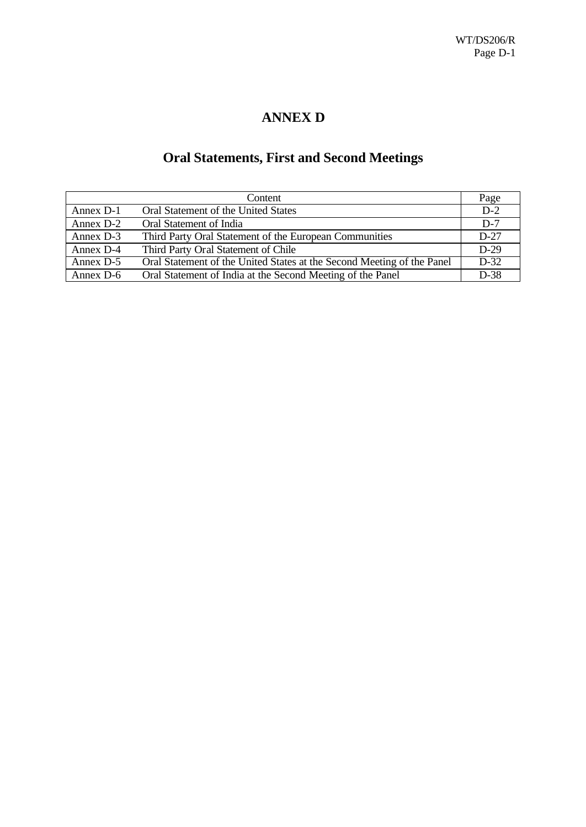# **ANNEX D**

# **Oral Statements, First and Second Meetings**

|           | Content                                                                | Page   |
|-----------|------------------------------------------------------------------------|--------|
| Annex D-1 | Oral Statement of the United States                                    | $D-2$  |
| Annex D-2 | Oral Statement of India                                                | $D-7$  |
| Annex D-3 | Third Party Oral Statement of the European Communities                 | $D-27$ |
| Annex D-4 | Third Party Oral Statement of Chile                                    | $D-29$ |
| Annex D-5 | Oral Statement of the United States at the Second Meeting of the Panel | $D-32$ |
| Annex D-6 | Oral Statement of India at the Second Meeting of the Panel             | $D-38$ |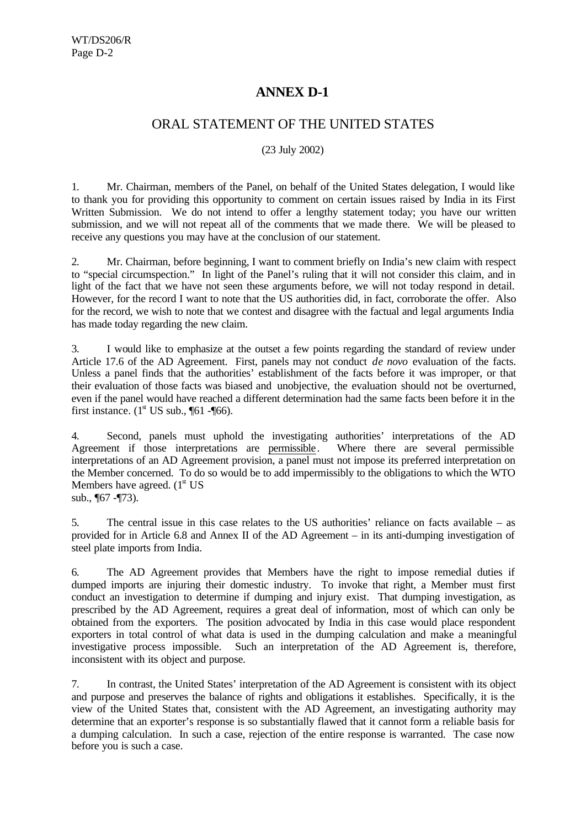# **ANNEX D-1**

# ORAL STATEMENT OF THE UNITED STATES

### (23 July 2002)

1. Mr. Chairman, members of the Panel, on behalf of the United States delegation, I would like to thank you for providing this opportunity to comment on certain issues raised by India in its First Written Submission. We do not intend to offer a lengthy statement today; you have our written submission, and we will not repeat all of the comments that we made there. We will be pleased to receive any questions you may have at the conclusion of our statement.

2. Mr. Chairman, before beginning, I want to comment briefly on India's new claim with respect to "special circumspection." In light of the Panel's ruling that it will not consider this claim, and in light of the fact that we have not seen these arguments before, we will not today respond in detail. However, for the record I want to note that the US authorities did, in fact, corroborate the offer. Also for the record, we wish to note that we contest and disagree with the factual and legal arguments India has made today regarding the new claim.

3. I would like to emphasize at the outset a few points regarding the standard of review under Article 17.6 of the AD Agreement. First, panels may not conduct *de novo* evaluation of the facts. Unless a panel finds that the authorities' establishment of the facts before it was improper, or that their evaluation of those facts was biased and unobjective, the evaluation should not be overturned, even if the panel would have reached a different determination had the same facts been before it in the first instance.  $(1^{\text{st}}$  US sub.,  $\P$ 61 - $\P$ 66).

4. Second, panels must uphold the investigating authorities' interpretations of the AD Agreement if those interpretations are permissible. Where there are several permissible interpretations of an AD Agreement provision, a panel must not impose its preferred interpretation on the Member concerned. To do so would be to add impermissibly to the obligations to which the WTO Members have agreed.  $(1<sup>st</sup> US$ sub., ¶67 -¶73).

5. The central issue in this case relates to the US authorities' reliance on facts available – as provided for in Article 6.8 and Annex II of the AD Agreement – in its anti-dumping investigation of steel plate imports from India.

6. The AD Agreement provides that Members have the right to impose remedial duties if dumped imports are injuring their domestic industry. To invoke that right, a Member must first conduct an investigation to determine if dumping and injury exist. That dumping investigation, as prescribed by the AD Agreement, requires a great deal of information, most of which can only be obtained from the exporters. The position advocated by India in this case would place respondent exporters in total control of what data is used in the dumping calculation and make a meaningful investigative process impossible. Such an interpretation of the AD Agreement is, therefore, inconsistent with its object and purpose.

7. In contrast, the United States' interpretation of the AD Agreement is consistent with its object and purpose and preserves the balance of rights and obligations it establishes. Specifically, it is the view of the United States that, consistent with the AD Agreement, an investigating authority may determine that an exporter's response is so substantially flawed that it cannot form a reliable basis for a dumping calculation. In such a case, rejection of the entire response is warranted. The case now before you is such a case.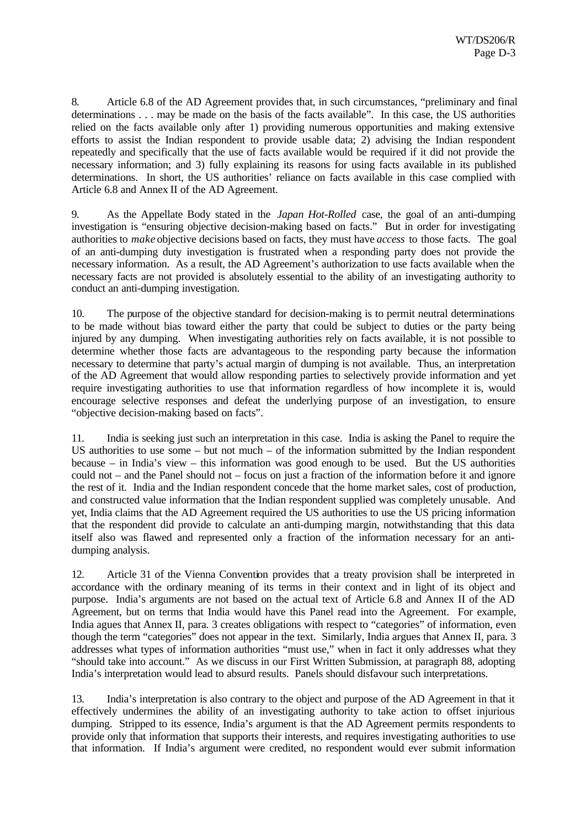8. Article 6.8 of the AD Agreement provides that, in such circumstances, "preliminary and final determinations . . . may be made on the basis of the facts available". In this case, the US authorities relied on the facts available only after 1) providing numerous opportunities and making extensive efforts to assist the Indian respondent to provide usable data; 2) advising the Indian respondent repeatedly and specifically that the use of facts available would be required if it did not provide the necessary information; and 3) fully explaining its reasons for using facts available in its published determinations. In short, the US authorities' reliance on facts available in this case complied with Article 6.8 and Annex II of the AD Agreement.

9. As the Appellate Body stated in the *Japan Hot-Rolled* case, the goal of an anti-dumping investigation is "ensuring objective decision-making based on facts." But in order for investigating authorities to *make* objective decisions based on facts, they must have *access* to those facts. The goal of an anti-dumping duty investigation is frustrated when a responding party does not provide the necessary information. As a result, the AD Agreement's authorization to use facts available when the necessary facts are not provided is absolutely essential to the ability of an investigating authority to conduct an anti-dumping investigation.

10. The purpose of the objective standard for decision-making is to permit neutral determinations to be made without bias toward either the party that could be subject to duties or the party being injured by any dumping. When investigating authorities rely on facts available, it is not possible to determine whether those facts are advantageous to the responding party because the information necessary to determine that party's actual margin of dumping is not available. Thus, an interpretation of the AD Agreement that would allow responding parties to selectively provide information and yet require investigating authorities to use that information regardless of how incomplete it is, would encourage selective responses and defeat the underlying purpose of an investigation, to ensure "objective decision-making based on facts".

11. India is seeking just such an interpretation in this case. India is asking the Panel to require the US authorities to use some – but not much – of the information submitted by the Indian respondent because – in India's view – this information was good enough to be used. But the US authorities could not – and the Panel should not – focus on just a fraction of the information before it and ignore the rest of it. India and the Indian respondent concede that the home market sales, cost of production, and constructed value information that the Indian respondent supplied was completely unusable. And yet, India claims that the AD Agreement required the US authorities to use the US pricing information that the respondent did provide to calculate an anti-dumping margin, notwithstanding that this data itself also was flawed and represented only a fraction of the information necessary for an antidumping analysis.

12. Article 31 of the Vienna Convention provides that a treaty provision shall be interpreted in accordance with the ordinary meaning of its terms in their context and in light of its object and purpose. India's arguments are not based on the actual text of Article 6.8 and Annex II of the AD Agreement, but on terms that India would have this Panel read into the Agreement. For example, India agues that Annex II, para. 3 creates obligations with respect to "categories" of information, even though the term "categories" does not appear in the text. Similarly, India argues that Annex II, para. 3 addresses what types of information authorities "must use," when in fact it only addresses what they "should take into account." As we discuss in our First Written Submission, at paragraph 88, adopting India's interpretation would lead to absurd results. Panels should disfavour such interpretations.

13. India's interpretation is also contrary to the object and purpose of the AD Agreement in that it effectively undermines the ability of an investigating authority to take action to offset injurious dumping. Stripped to its essence, India's argument is that the AD Agreement permits respondents to provide only that information that supports their interests, and requires investigating authorities to use that information. If India's argument were credited, no respondent would ever submit information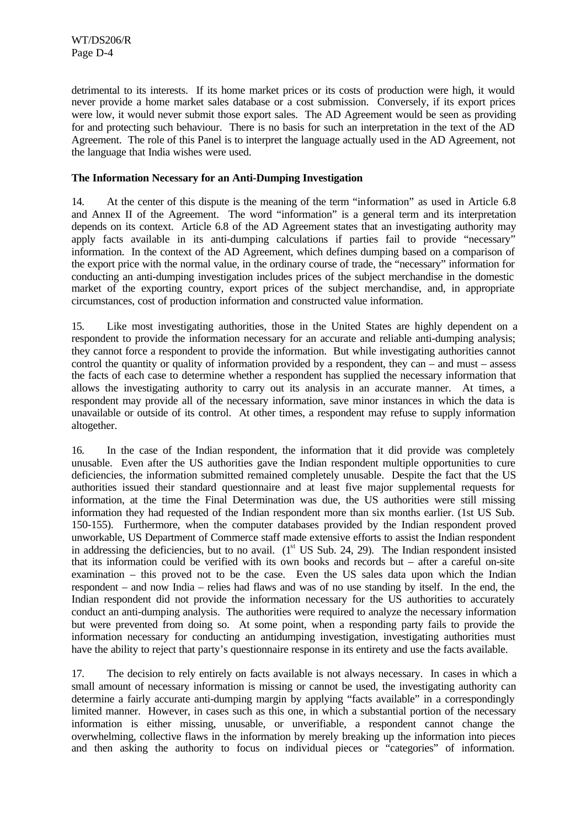detrimental to its interests. If its home market prices or its costs of production were high, it would never provide a home market sales database or a cost submission. Conversely, if its export prices were low, it would never submit those export sales. The AD Agreement would be seen as providing for and protecting such behaviour. There is no basis for such an interpretation in the text of the AD Agreement. The role of this Panel is to interpret the language actually used in the AD Agreement, not the language that India wishes were used.

### **The Information Necessary for an Anti-Dumping Investigation**

14. At the center of this dispute is the meaning of the term "information" as used in Article 6.8 and Annex II of the Agreement. The word "information" is a general term and its interpretation depends on its context. Article 6.8 of the AD Agreement states that an investigating authority may apply facts available in its anti-dumping calculations if parties fail to provide "necessary" information. In the context of the AD Agreement, which defines dumping based on a comparison of the export price with the normal value, in the ordinary course of trade, the "necessary" information for conducting an anti-dumping investigation includes prices of the subject merchandise in the domestic market of the exporting country, export prices of the subject merchandise, and, in appropriate circumstances, cost of production information and constructed value information.

15. Like most investigating authorities, those in the United States are highly dependent on a respondent to provide the information necessary for an accurate and reliable anti-dumping analysis; they cannot force a respondent to provide the information. But while investigating authorities cannot control the quantity or quality of information provided by a respondent, they can – and must – assess the facts of each case to determine whether a respondent has supplied the necessary information that allows the investigating authority to carry out its analysis in an accurate manner. At times, a respondent may provide all of the necessary information, save minor instances in which the data is unavailable or outside of its control. At other times, a respondent may refuse to supply information altogether.

16. In the case of the Indian respondent, the information that it did provide was completely unusable. Even after the US authorities gave the Indian respondent multiple opportunities to cure deficiencies, the information submitted remained completely unusable. Despite the fact that the US authorities issued their standard questionnaire and at least five major supplemental requests for information, at the time the Final Determination was due, the US authorities were still missing information they had requested of the Indian respondent more than six months earlier. (1st US Sub. 150-155). Furthermore, when the computer databases provided by the Indian respondent proved unworkable, US Department of Commerce staff made extensive efforts to assist the Indian respondent in addressing the deficiencies, but to no avail.  $(1<sup>st</sup> US Sub. 24, 29)$ . The Indian respondent insisted that its information could be verified with its own books and records but – after a careful on-site examination – this proved not to be the case. Even the US sales data upon which the Indian respondent – and now India – relies had flaws and was of no use standing by itself. In the end, the Indian respondent did not provide the information necessary for the US authorities to accurately conduct an anti-dumping analysis. The authorities were required to analyze the necessary information but were prevented from doing so. At some point, when a responding party fails to provide the information necessary for conducting an antidumping investigation, investigating authorities must have the ability to reject that party's questionnaire response in its entirety and use the facts available.

17. The decision to rely entirely on facts available is not always necessary. In cases in which a small amount of necessary information is missing or cannot be used, the investigating authority can determine a fairly accurate anti-dumping margin by applying "facts available" in a correspondingly limited manner. However, in cases such as this one, in which a substantial portion of the necessary information is either missing, unusable, or unverifiable, a respondent cannot change the overwhelming, collective flaws in the information by merely breaking up the information into pieces and then asking the authority to focus on individual pieces or "categories" of information.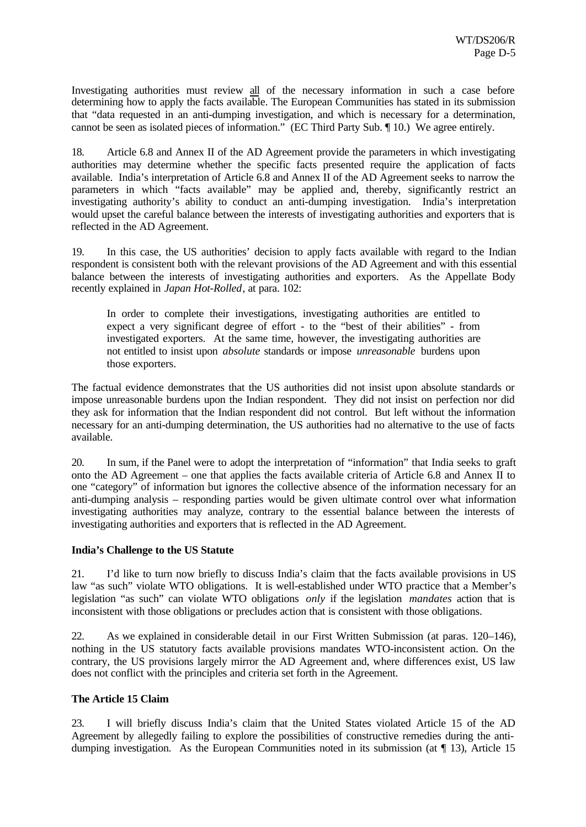Investigating authorities must review all of the necessary information in such a case before determining how to apply the facts available. The European Communities has stated in its submission that "data requested in an anti-dumping investigation, and which is necessary for a determination, cannot be seen as isolated pieces of information." (EC Third Party Sub. ¶ 10.) We agree entirely.

18. Article 6.8 and Annex II of the AD Agreement provide the parameters in which investigating authorities may determine whether the specific facts presented require the application of facts available. India's interpretation of Article 6.8 and Annex II of the AD Agreement seeks to narrow the parameters in which "facts available" may be applied and, thereby, significantly restrict an investigating authority's ability to conduct an anti-dumping investigation. India's interpretation would upset the careful balance between the interests of investigating authorities and exporters that is reflected in the AD Agreement.

19. In this case, the US authorities' decision to apply facts available with regard to the Indian respondent is consistent both with the relevant provisions of the AD Agreement and with this essential balance between the interests of investigating authorities and exporters. As the Appellate Body recently explained in *Japan Hot-Rolled*, at para. 102:

In order to complete their investigations, investigating authorities are entitled to expect a very significant degree of effort - to the "best of their abilities" - from investigated exporters. At the same time, however, the investigating authorities are not entitled to insist upon *absolute* standards or impose *unreasonable* burdens upon those exporters.

The factual evidence demonstrates that the US authorities did not insist upon absolute standards or impose unreasonable burdens upon the Indian respondent. They did not insist on perfection nor did they ask for information that the Indian respondent did not control. But left without the information necessary for an anti-dumping determination, the US authorities had no alternative to the use of facts available.

20. In sum, if the Panel were to adopt the interpretation of "information" that India seeks to graft onto the AD Agreement – one that applies the facts available criteria of Article 6.8 and Annex II to one "category" of information but ignores the collective absence of the information necessary for an anti-dumping analysis – responding parties would be given ultimate control over what information investigating authorities may analyze, contrary to the essential balance between the interests of investigating authorities and exporters that is reflected in the AD Agreement.

#### **India's Challenge to the US Statute**

21. I'd like to turn now briefly to discuss India's claim that the facts available provisions in US law "as such" violate WTO obligations. It is well-established under WTO practice that a Member's legislation "as such" can violate WTO obligations *only* if the legislation *mandates* action that is inconsistent with those obligations or precludes action that is consistent with those obligations.

22. As we explained in considerable detail in our First Written Submission (at paras. 120–146), nothing in the US statutory facts available provisions mandates WTO-inconsistent action. On the contrary, the US provisions largely mirror the AD Agreement and, where differences exist, US law does not conflict with the principles and criteria set forth in the Agreement.

#### **The Article 15 Claim**

23. I will briefly discuss India's claim that the United States violated Article 15 of the AD Agreement by allegedly failing to explore the possibilities of constructive remedies during the antidumping investigation. As the European Communities noted in its submission (at ¶ 13), Article 15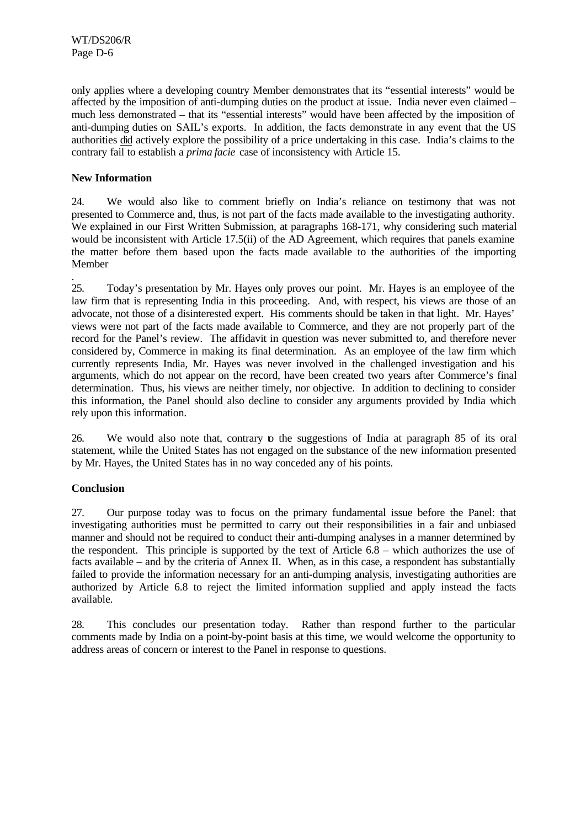only applies where a developing country Member demonstrates that its "essential interests" would be affected by the imposition of anti-dumping duties on the product at issue. India never even claimed – much less demonstrated – that its "essential interests" would have been affected by the imposition of anti-dumping duties on SAIL's exports. In addition, the facts demonstrate in any event that the US authorities did actively explore the possibility of a price undertaking in this case. India's claims to the contrary fail to establish a *prima facie* case of inconsistency with Article 15.

# **New Information**

24. We would also like to comment briefly on India's reliance on testimony that was not presented to Commerce and, thus, is not part of the facts made available to the investigating authority. We explained in our First Written Submission, at paragraphs 168-171, why considering such material would be inconsistent with Article 17.5(ii) of the AD Agreement, which requires that panels examine the matter before them based upon the facts made available to the authorities of the importing Member

. 25. Today's presentation by Mr. Hayes only proves our point. Mr. Hayes is an employee of the law firm that is representing India in this proceeding. And, with respect, his views are those of an advocate, not those of a disinterested expert. His comments should be taken in that light. Mr. Hayes' views were not part of the facts made available to Commerce, and they are not properly part of the record for the Panel's review. The affidavit in question was never submitted to, and therefore never considered by, Commerce in making its final determination. As an employee of the law firm which currently represents India, Mr. Hayes was never involved in the challenged investigation and his arguments, which do not appear on the record, have been created two years after Commerce's final determination. Thus, his views are neither timely, nor objective. In addition to declining to consider this information, the Panel should also decline to consider any arguments provided by India which rely upon this information.

26. We would also note that, contrary to the suggestions of India at paragraph 85 of its oral statement, while the United States has not engaged on the substance of the new information presented by Mr. Hayes, the United States has in no way conceded any of his points.

# **Conclusion**

27. Our purpose today was to focus on the primary fundamental issue before the Panel: that investigating authorities must be permitted to carry out their responsibilities in a fair and unbiased manner and should not be required to conduct their anti-dumping analyses in a manner determined by the respondent. This principle is supported by the text of Article 6.8 – which authorizes the use of facts available – and by the criteria of Annex II. When, as in this case, a respondent has substantially failed to provide the information necessary for an anti-dumping analysis, investigating authorities are authorized by Article 6.8 to reject the limited information supplied and apply instead the facts available.

28. This concludes our presentation today. Rather than respond further to the particular comments made by India on a point-by-point basis at this time, we would welcome the opportunity to address areas of concern or interest to the Panel in response to questions.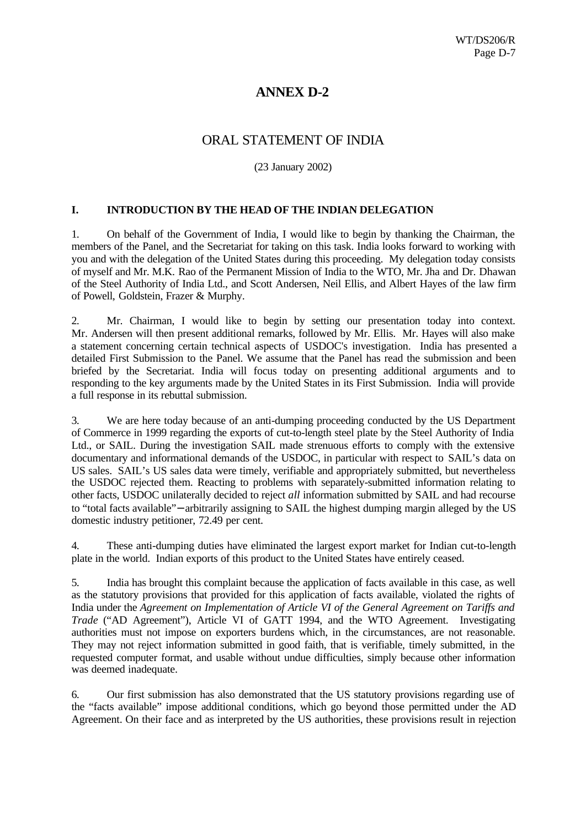# **ANNEX D-2**

# ORAL STATEMENT OF INDIA

(23 January 2002)

# **I. INTRODUCTION BY THE HEAD OF THE INDIAN DELEGATION**

1. On behalf of the Government of India, I would like to begin by thanking the Chairman, the members of the Panel, and the Secretariat for taking on this task. India looks forward to working with you and with the delegation of the United States during this proceeding. My delegation today consists of myself and Mr. M.K. Rao of the Permanent Mission of India to the WTO, Mr. Jha and Dr. Dhawan of the Steel Authority of India Ltd., and Scott Andersen, Neil Ellis, and Albert Hayes of the law firm of Powell, Goldstein, Frazer & Murphy.

2. Mr. Chairman, I would like to begin by setting our presentation today into context. Mr. Andersen will then present additional remarks, followed by Mr. Ellis. Mr. Hayes will also make a statement concerning certain technical aspects of USDOC's investigation. India has presented a detailed First Submission to the Panel. We assume that the Panel has read the submission and been briefed by the Secretariat. India will focus today on presenting additional arguments and to responding to the key arguments made by the United States in its First Submission. India will provide a full response in its rebuttal submission.

3. We are here today because of an anti-dumping proceeding conducted by the US Department of Commerce in 1999 regarding the exports of cut-to-length steel plate by the Steel Authority of India Ltd., or SAIL. During the investigation SAIL made strenuous efforts to comply with the extensive documentary and informational demands of the USDOC, in particular with respect to SAIL's data on US sales. SAIL's US sales data were timely, verifiable and appropriately submitted, but nevertheless the USDOC rejected them. Reacting to problems with separately-submitted information relating to other facts, USDOC unilaterally decided to reject *all* information submitted by SAIL and had recourse to "total facts available"− arbitrarily assigning to SAIL the highest dumping margin alleged by the US domestic industry petitioner, 72.49 per cent.

4. These anti-dumping duties have eliminated the largest export market for Indian cut-to-length plate in the world. Indian exports of this product to the United States have entirely ceased.

5. India has brought this complaint because the application of facts available in this case, as well as the statutory provisions that provided for this application of facts available, violated the rights of India under the *Agreement on Implementation of Article VI of the General Agreement on Tariffs and Trade* ("AD Agreement"), Article VI of GATT 1994, and the WTO Agreement. Investigating authorities must not impose on exporters burdens which, in the circumstances, are not reasonable. They may not reject information submitted in good faith, that is verifiable, timely submitted, in the requested computer format, and usable without undue difficulties, simply because other information was deemed inadequate.

6. Our first submission has also demonstrated that the US statutory provisions regarding use of the "facts available" impose additional conditions, which go beyond those permitted under the AD Agreement. On their face and as interpreted by the US authorities, these provisions result in rejection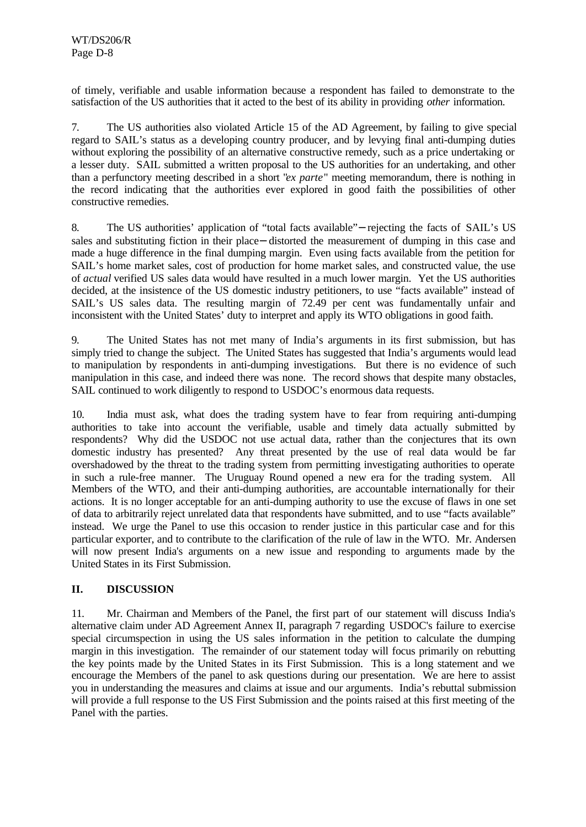of timely, verifiable and usable information because a respondent has failed to demonstrate to the satisfaction of the US authorities that it acted to the best of its ability in providing *other* information.

7. The US authorities also violated Article 15 of the AD Agreement, by failing to give special regard to SAIL's status as a developing country producer, and by levying final anti-dumping duties without exploring the possibility of an alternative constructive remedy, such as a price undertaking or a lesser duty. SAIL submitted a written proposal to the US authorities for an undertaking, and other than a perfunctory meeting described in a short "*ex parte*" meeting memorandum, there is nothing in the record indicating that the authorities ever explored in good faith the possibilities of other constructive remedies.

8. The US authorities' application of "total facts available"− rejecting the facts of SAIL's US sales and substituting fiction in their place– distorted the measurement of dumping in this case and made a huge difference in the final dumping margin. Even using facts available from the petition for SAIL's home market sales, cost of production for home market sales, and constructed value, the use of *actual* verified US sales data would have resulted in a much lower margin. Yet the US authorities decided, at the insistence of the US domestic industry petitioners, to use "facts available" instead of SAIL's US sales data. The resulting margin of 72.49 per cent was fundamentally unfair and inconsistent with the United States' duty to interpret and apply its WTO obligations in good faith.

9. The United States has not met many of India's arguments in its first submission, but has simply tried to change the subject. The United States has suggested that India's arguments would lead to manipulation by respondents in anti-dumping investigations. But there is no evidence of such manipulation in this case, and indeed there was none. The record shows that despite many obstacles, SAIL continued to work diligently to respond to USDOC's enormous data requests.

10. India must ask, what does the trading system have to fear from requiring anti-dumping authorities to take into account the verifiable, usable and timely data actually submitted by respondents? Why did the USDOC not use actual data, rather than the conjectures that its own domestic industry has presented? Any threat presented by the use of real data would be far overshadowed by the threat to the trading system from permitting investigating authorities to operate in such a rule-free manner. The Uruguay Round opened a new era for the trading system. All Members of the WTO, and their anti-dumping authorities, are accountable internationally for their actions. It is no longer acceptable for an anti-dumping authority to use the excuse of flaws in one set of data to arbitrarily reject unrelated data that respondents have submitted, and to use "facts available" instead. We urge the Panel to use this occasion to render justice in this particular case and for this particular exporter, and to contribute to the clarification of the rule of law in the WTO. Mr. Andersen will now present India's arguments on a new issue and responding to arguments made by the United States in its First Submission.

# **II. DISCUSSION**

11. Mr. Chairman and Members of the Panel, the first part of our statement will discuss India's alternative claim under AD Agreement Annex II, paragraph 7 regarding USDOC's failure to exercise special circumspection in using the US sales information in the petition to calculate the dumping margin in this investigation. The remainder of our statement today will focus primarily on rebutting the key points made by the United States in its First Submission. This is a long statement and we encourage the Members of the panel to ask questions during our presentation. We are here to assist you in understanding the measures and claims at issue and our arguments. India's rebuttal submission will provide a full response to the US First Submission and the points raised at this first meeting of the Panel with the parties.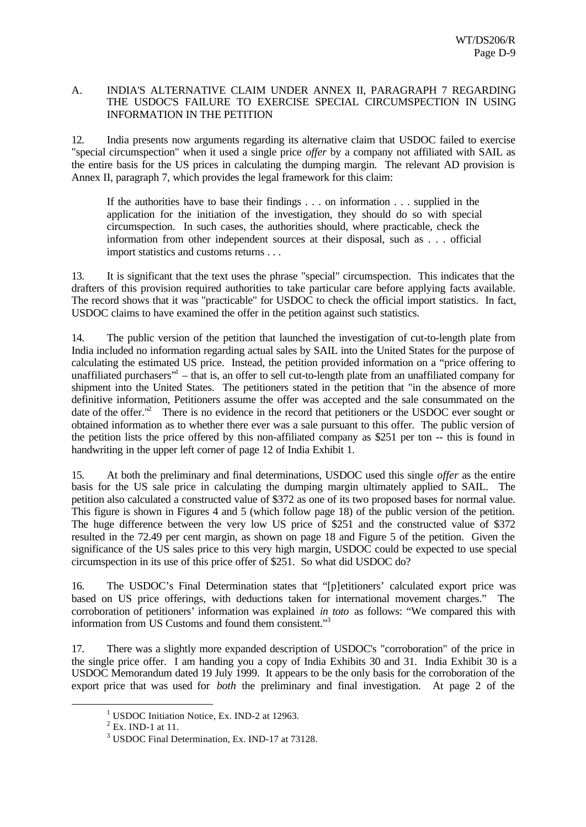#### A. INDIA'S ALTERNATIVE CLAIM UNDER ANNEX II, PARAGRAPH 7 REGARDING THE USDOC'S FAILURE TO EXERCISE SPECIAL CIRCUMSPECTION IN USING INFORMATION IN THE PETITION

12. India presents now arguments regarding its alternative claim that USDOC failed to exercise "special circumspection" when it used a single price *offer* by a company not affiliated with SAIL as the entire basis for the US prices in calculating the dumping margin. The relevant AD provision is Annex II, paragraph 7, which provides the legal framework for this claim:

If the authorities have to base their findings . . . on information . . . supplied in the application for the initiation of the investigation, they should do so with special circumspection. In such cases, the authorities should, where practicable, check the information from other independent sources at their disposal, such as . . . official import statistics and customs returns . . .

13. It is significant that the text uses the phrase "special" circumspection. This indicates that the drafters of this provision required authorities to take particular care before applying facts available. The record shows that it was "practicable" for USDOC to check the official import statistics. In fact, USDOC claims to have examined the offer in the petition against such statistics.

14. The public version of the petition that launched the investigation of cut-to-length plate from India included no information regarding actual sales by SAIL into the United States for the purpose of calculating the estimated US price. Instead, the petition provided information on a "price offering to unaffiliated purchasers"<sup>1</sup> – that is, an offer to sell cut-to-length plate from an unaffiliated company for shipment into the United States. The petitioners stated in the petition that "in the absence of more definitive information, Petitioners assume the offer was accepted and the sale consummated on the date of the offer."<sup>2</sup> There is no evidence in the record that petitioners or the USDOC ever sought or obtained information as to whether there ever was a sale pursuant to this offer. The public version of the petition lists the price offered by this non-affiliated company as \$251 per ton -- this is found in handwriting in the upper left corner of page 12 of India Exhibit 1.

15. At both the preliminary and final determinations, USDOC used this single *offer* as the entire basis for the US sale price in calculating the dumping margin ultimately applied to SAIL. The petition also calculated a constructed value of \$372 as one of its two proposed bases for normal value. This figure is shown in Figures 4 and 5 (which follow page 18) of the public version of the petition. The huge difference between the very low US price of \$251 and the constructed value of \$372 resulted in the 72.49 per cent margin, as shown on page 18 and Figure 5 of the petition. Given the significance of the US sales price to this very high margin, USDOC could be expected to use special circumspection in its use of this price offer of \$251. So what did USDOC do?

16. The USDOC's Final Determination states that "[p]etitioners' calculated export price was based on US price offerings, with deductions taken for international movement charges." The corroboration of petitioners' information was explained *in toto* as follows: "We compared this with information from US Customs and found them consistent."<sup>3</sup>

17. There was a slightly more expanded description of USDOC's "corroboration" of the price in the single price offer. I am handing you a copy of India Exhibits 30 and 31. India Exhibit 30 is a USDOC Memorandum dated 19 July 1999. It appears to be the only basis for the corroboration of the export price that was used for *both* the preliminary and final investigation. At page 2 of the

<sup>&</sup>lt;sup>1</sup> USDOC Initiation Notice, Ex. IND-2 at 12963.

 $<sup>2</sup>$  Ex. IND-1 at 11.</sup>

<sup>3</sup> USDOC Final Determination, Ex. IND-17 at 73128.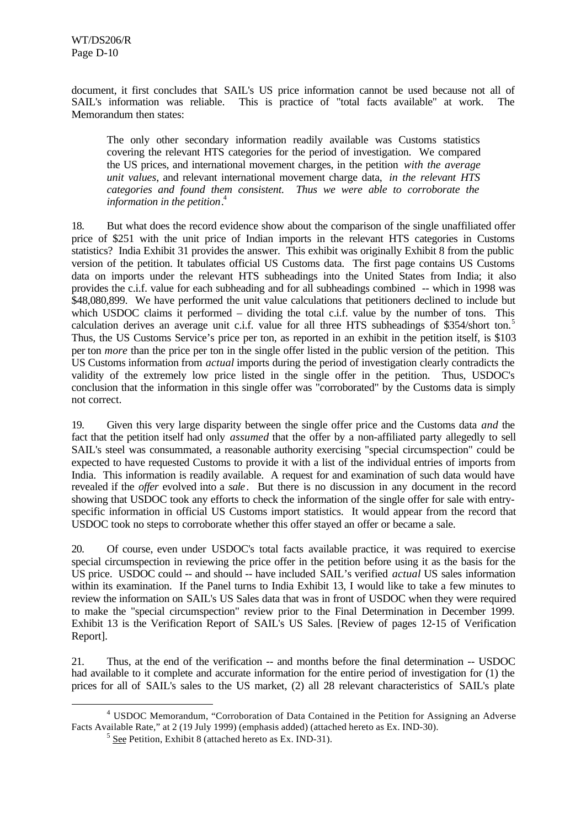document, it first concludes that SAIL's US price information cannot be used because not all of SAIL's information was reliable. This is practice of "total facts available" at work. The Memorandum then states:

The only other secondary information readily available was Customs statistics covering the relevant HTS categories for the period of investigation. We compared the US prices, and international movement charges, in the petition *with the average unit values*, and relevant international movement charge data, *in the relevant HTS categories and found them consistent. Thus we were able to corroborate the information in the petition*. 4

18. But what does the record evidence show about the comparison of the single unaffiliated offer price of \$251 with the unit price of Indian imports in the relevant HTS categories in Customs statistics? India Exhibit 31 provides the answer. This exhibit was originally Exhibit 8 from the public version of the petition. It tabulates official US Customs data. The first page contains US Customs data on imports under the relevant HTS subheadings into the United States from India; it also provides the c.i.f. value for each subheading and for all subheadings combined -- which in 1998 was \$48,080,899. We have performed the unit value calculations that petitioners declined to include but which USDOC claims it performed – dividing the total c.i.f. value by the number of tons. This calculation derives an average unit c.i.f. value for all three HTS subheadings of \$354/short ton.<sup>5</sup> Thus, the US Customs Service's price per ton, as reported in an exhibit in the petition itself, is \$103 per ton *more* than the price per ton in the single offer listed in the public version of the petition. This US Customs information from *actual* imports during the period of investigation clearly contradicts the validity of the extremely low price listed in the single offer in the petition. Thus, USDOC's conclusion that the information in this single offer was "corroborated" by the Customs data is simply not correct.

19. Given this very large disparity between the single offer price and the Customs data *and* the fact that the petition itself had only *assumed* that the offer by a non-affiliated party allegedly to sell SAIL's steel was consummated, a reasonable authority exercising "special circumspection" could be expected to have requested Customs to provide it with a list of the individual entries of imports from India. This information is readily available. A request for and examination of such data would have revealed if the *offer* evolved into a *sale*. But there is no discussion in any document in the record showing that USDOC took any efforts to check the information of the single offer for sale with entryspecific information in official US Customs import statistics. It would appear from the record that USDOC took no steps to corroborate whether this offer stayed an offer or became a sale.

20. Of course, even under USDOC's total facts available practice, it was required to exercise special circumspection in reviewing the price offer in the petition before using it as the basis for the US price. USDOC could -- and should -- have included SAIL's verified *actual* US sales information within its examination. If the Panel turns to India Exhibit 13, I would like to take a few minutes to review the information on SAIL's US Sales data that was in front of USDOC when they were required to make the "special circumspection" review prior to the Final Determination in December 1999. Exhibit 13 is the Verification Report of SAIL's US Sales. [Review of pages 12-15 of Verification Report].

21. Thus, at the end of the verification -- and months before the final determination -- USDOC had available to it complete and accurate information for the entire period of investigation for (1) the prices for all of SAIL's sales to the US market, (2) all 28 relevant characteristics of SAIL's plate

<sup>4</sup> USDOC Memorandum, "Corroboration of Data Contained in the Petition for Assigning an Adverse Facts Available Rate," at 2 (19 July 1999) (emphasis added) (attached hereto as Ex. IND-30).

 $5$  See Petition, Exhibit 8 (attached hereto as Ex. IND-31).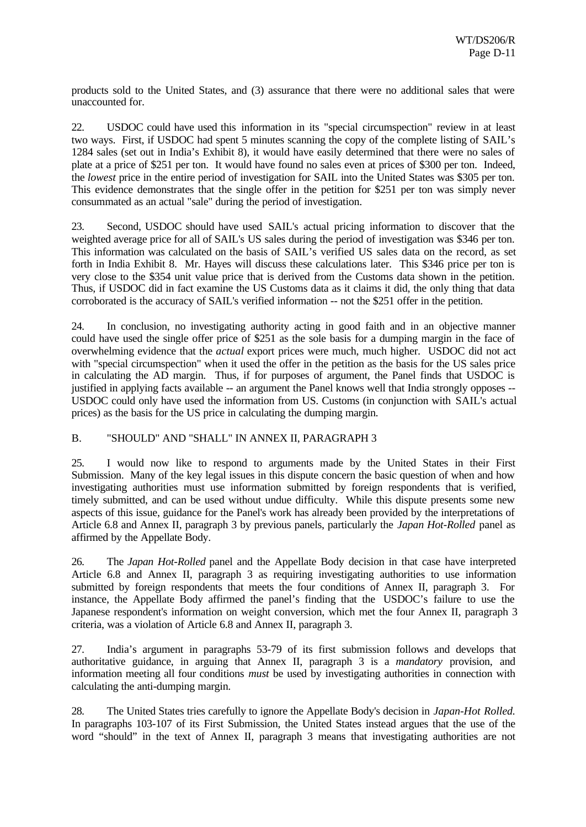products sold to the United States, and (3) assurance that there were no additional sales that were unaccounted for.

22. USDOC could have used this information in its "special circumspection" review in at least two ways. First, if USDOC had spent 5 minutes scanning the copy of the complete listing of SAIL's 1284 sales (set out in India's Exhibit 8), it would have easily determined that there were no sales of plate at a price of \$251 per ton. It would have found no sales even at prices of \$300 per ton. Indeed, the *lowest* price in the entire period of investigation for SAIL into the United States was \$305 per ton. This evidence demonstrates that the single offer in the petition for \$251 per ton was simply never consummated as an actual "sale" during the period of investigation.

23. Second, USDOC should have used SAIL's actual pricing information to discover that the weighted average price for all of SAIL's US sales during the period of investigation was \$346 per ton. This information was calculated on the basis of SAIL's verified US sales data on the record, as set forth in India Exhibit 8. Mr. Hayes will discuss these calculations later. This \$346 price per ton is very close to the \$354 unit value price that is derived from the Customs data shown in the petition. Thus, if USDOC did in fact examine the US Customs data as it claims it did, the only thing that data corroborated is the accuracy of SAIL's verified information -- not the \$251 offer in the petition.

24. In conclusion, no investigating authority acting in good faith and in an objective manner could have used the single offer price of \$251 as the sole basis for a dumping margin in the face of overwhelming evidence that the *actual* export prices were much, much higher. USDOC did not act with "special circumspection" when it used the offer in the petition as the basis for the US sales price in calculating the AD margin. Thus, if for purposes of argument, the Panel finds that USDOC is justified in applying facts available -- an argument the Panel knows well that India strongly opposes -- USDOC could only have used the information from US. Customs (in conjunction with SAIL's actual prices) as the basis for the US price in calculating the dumping margin.

# B. "SHOULD" AND "SHALL" IN ANNEX II, PARAGRAPH 3

25. I would now like to respond to arguments made by the United States in their First Submission. Many of the key legal issues in this dispute concern the basic question of when and how investigating authorities must use information submitted by foreign respondents that is verified, timely submitted, and can be used without undue difficulty. While this dispute presents some new aspects of this issue, guidance for the Panel's work has already been provided by the interpretations of Article 6.8 and Annex II, paragraph 3 by previous panels, particularly the *Japan Hot-Rolled* panel as affirmed by the Appellate Body.

26. The *Japan Hot-Rolled* panel and the Appellate Body decision in that case have interpreted Article 6.8 and Annex II, paragraph 3 as requiring investigating authorities to use information submitted by foreign respondents that meets the four conditions of Annex II, paragraph 3. For instance, the Appellate Body affirmed the panel's finding that the USDOC's failure to use the Japanese respondent's information on weight conversion, which met the four Annex II, paragraph 3 criteria, was a violation of Article 6.8 and Annex II, paragraph 3.

27. India's argument in paragraphs 53-79 of its first submission follows and develops that authoritative guidance, in arguing that Annex II, paragraph 3 is a *mandatory* provision, and information meeting all four conditions *must* be used by investigating authorities in connection with calculating the anti-dumping margin.

28. The United States tries carefully to ignore the Appellate Body's decision in *Japan-Hot Rolled.* In paragraphs 103-107 of its First Submission, the United States instead argues that the use of the word "should" in the text of Annex II, paragraph 3 means that investigating authorities are not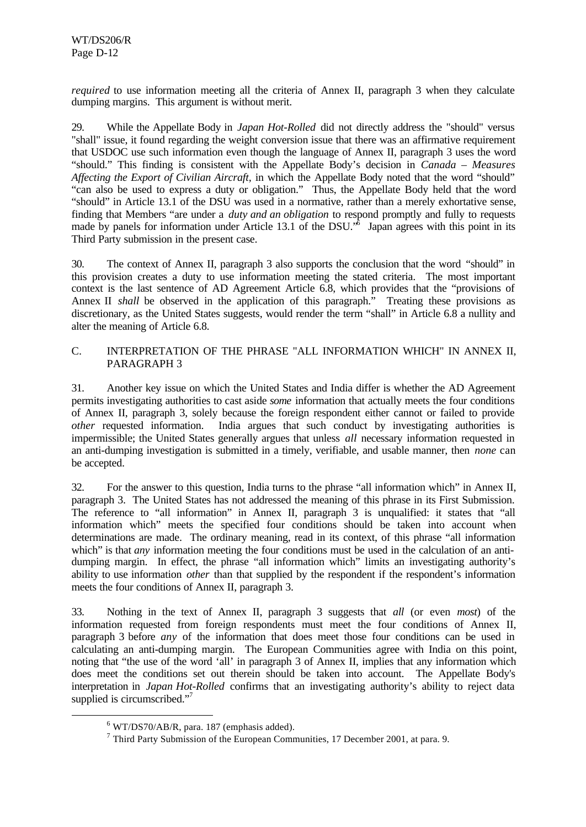*required* to use information meeting all the criteria of Annex II, paragraph 3 when they calculate dumping margins. This argument is without merit.

29. While the Appellate Body in *Japan Hot-Rolled* did not directly address the "should" versus "shall" issue, it found regarding the weight conversion issue that there was an affirmative requirement that USDOC use such information even though the language of Annex II, paragraph 3 uses the word "should." This finding is consistent with the Appellate Body's decision in *Canada – Measures Affecting the Export of Civilian Aircraft,* in which the Appellate Body noted that the word "should" "can also be used to express a duty or obligation." Thus, the Appellate Body held that the word "should" in Article 13.1 of the DSU was used in a normative, rather than a merely exhortative sense, finding that Members "are under a *duty and an obligation* to respond promptly and fully to requests made by panels for information under Article 13.1 of the DSU.<sup> $\delta$ </sup> Japan agrees with this point in its Third Party submission in the present case.

30. The context of Annex II, paragraph 3 also supports the conclusion that the word "should" in this provision creates a duty to use information meeting the stated criteria. The most important context is the last sentence of AD Agreement Article 6.8, which provides that the "provisions of Annex II *shall* be observed in the application of this paragraph." Treating these provisions as discretionary, as the United States suggests, would render the term "shall" in Article 6.8 a nullity and alter the meaning of Article 6.8.

### C. INTERPRETATION OF THE PHRASE "ALL INFORMATION WHICH" IN ANNEX II, PARAGRAPH 3

31. Another key issue on which the United States and India differ is whether the AD Agreement permits investigating authorities to cast aside *some* information that actually meets the four conditions of Annex II, paragraph 3, solely because the foreign respondent either cannot or failed to provide *other* requested information. India argues that such conduct by investigating authorities is impermissible; the United States generally argues that unless *all* necessary information requested in an anti-dumping investigation is submitted in a timely, verifiable, and usable manner, then *none* can be accepted.

32. For the answer to this question, India turns to the phrase "all information which" in Annex II, paragraph 3. The United States has not addressed the meaning of this phrase in its First Submission. The reference to "all information" in Annex II, paragraph 3 is unqualified: it states that "all information which" meets the specified four conditions should be taken into account when determinations are made. The ordinary meaning, read in its context, of this phrase "all information which" is that *any* information meeting the four conditions must be used in the calculation of an antidumping margin. In effect, the phrase "all information which" limits an investigating authority's ability to use information *other* than that supplied by the respondent if the respondent's information meets the four conditions of Annex II, paragraph 3.

33. Nothing in the text of Annex II, paragraph 3 suggests that *all* (or even *most*) of the information requested from foreign respondents must meet the four conditions of Annex II, paragraph 3 before *any* of the information that does meet those four conditions can be used in calculating an anti-dumping margin. The European Communities agree with India on this point, noting that "the use of the word 'all' in paragraph 3 of Annex II, implies that any information which does meet the conditions set out therein should be taken into account. The Appellate Body's interpretation in *Japan Hot-Rolled* confirms that an investigating authority's ability to reject data supplied is circumscribed."<sup>7</sup>

 $6$  WT/DS70/AB/R, para. 187 (emphasis added).

 $7$  Third Party Submission of the European Communities, 17 December 2001, at para. 9.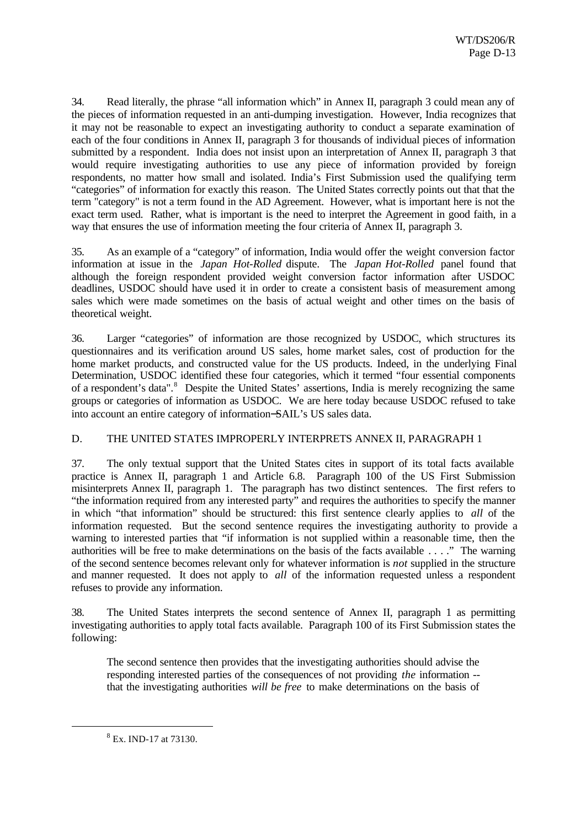34. Read literally, the phrase "all information which" in Annex II, paragraph 3 could mean any of the pieces of information requested in an anti-dumping investigation. However, India recognizes that it may not be reasonable to expect an investigating authority to conduct a separate examination of each of the four conditions in Annex II, paragraph 3 for thousands of individual pieces of information submitted by a respondent. India does not insist upon an interpretation of Annex II, paragraph 3 that would require investigating authorities to use any piece of information provided by foreign respondents, no matter how small and isolated. India's First Submission used the qualifying term "categories" of information for exactly this reason. The United States correctly points out that that the term "category" is not a term found in the AD Agreement. However, what is important here is not the exact term used. Rather, what is important is the need to interpret the Agreement in good faith, in a way that ensures the use of information meeting the four criteria of Annex II, paragraph 3.

35. As an example of a "category" of information, India would offer the weight conversion factor information at issue in the *Japan Hot-Rolled* dispute. The *Japan Hot-Rolled* panel found that although the foreign respondent provided weight conversion factor information after USDOC deadlines, USDOC should have used it in order to create a consistent basis of measurement among sales which were made sometimes on the basis of actual weight and other times on the basis of theoretical weight.

36. Larger "categories" of information are those recognized by USDOC, which structures its questionnaires and its verification around US sales, home market sales, cost of production for the home market products, and constructed value for the US products. Indeed, in the underlying Final Determination, USDOC identified these four categories, which it termed "four essential components of a respondent's data".<sup>8</sup> Despite the United States' assertions, India is merely recognizing the same groups or categories of information as USDOC. We are here today because USDOC refused to take into account an entire category of information−SAIL's US sales data.

# D. THE UNITED STATES IMPROPERLY INTERPRETS ANNEX II, PARAGRAPH 1

37. The only textual support that the United States cites in support of its total facts available practice is Annex II, paragraph 1 and Article 6.8. Paragraph 100 of the US First Submission misinterprets Annex II, paragraph 1. The paragraph has two distinct sentences. The first refers to "the information required from any interested party" and requires the authorities to specify the manner in which "that information" should be structured: this first sentence clearly applies to *all* of the information requested. But the second sentence requires the investigating authority to provide a warning to interested parties that "if information is not supplied within a reasonable time, then the authorities will be free to make determinations on the basis of the facts available . . . ." The warning of the second sentence becomes relevant only for whatever information is *not* supplied in the structure and manner requested. It does not apply to *all* of the information requested unless a respondent refuses to provide any information.

38. The United States interprets the second sentence of Annex II, paragraph 1 as permitting investigating authorities to apply total facts available. Paragraph 100 of its First Submission states the following:

The second sentence then provides that the investigating authorities should advise the responding interested parties of the consequences of not providing *the* information - that the investigating authorities *will be free* to make determinations on the basis of

<sup>8</sup> Ex. IND-17 at 73130.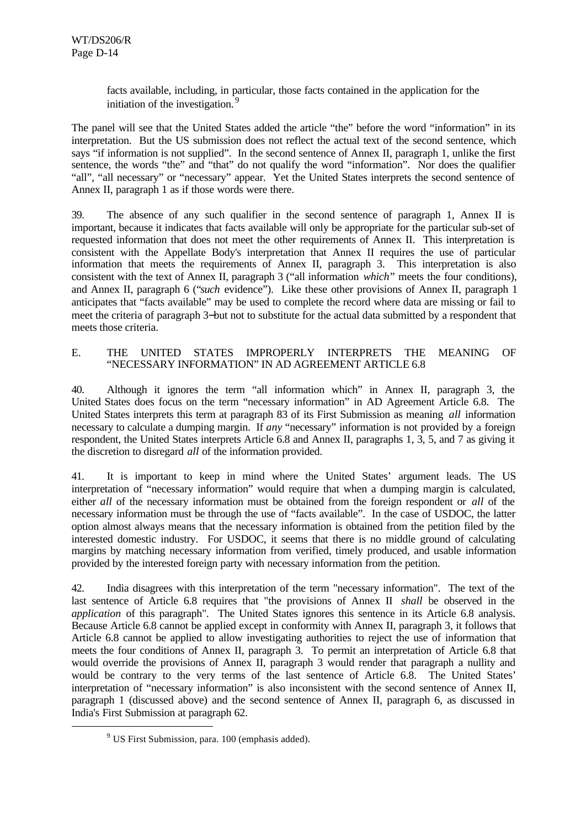facts available, including, in particular, those facts contained in the application for the initiation of the investigation.<sup>9</sup>

The panel will see that the United States added the article "the" before the word "information" in its interpretation. But the US submission does not reflect the actual text of the second sentence, which says "if information is not supplied". In the second sentence of Annex II, paragraph 1, unlike the first sentence, the words "the" and "that" do not qualify the word "information". Nor does the qualifier "all", "all necessary" or "necessary" appear. Yet the United States interprets the second sentence of Annex II, paragraph 1 as if those words were there.

39. The absence of any such qualifier in the second sentence of paragraph 1, Annex II is important, because it indicates that facts available will only be appropriate for the particular sub-set of requested information that does not meet the other requirements of Annex II. This interpretation is consistent with the Appellate Body's interpretation that Annex II requires the use of particular information that meets the requirements of Annex II, paragraph 3. This interpretation is also consistent with the text of Annex II, paragraph 3 ("all information *which*" meets the four conditions), and Annex II, paragraph 6 ("*such* evidence"). Like these other provisions of Annex II, paragraph 1 anticipates that "facts available" may be used to complete the record where data are missing or fail to meet the criteria of paragraph 3−but not to substitute for the actual data submitted by a respondent that meets those criteria.

### E. THE UNITED STATES IMPROPERLY INTERPRETS THE MEANING OF "NECESSARY INFORMATION" IN AD AGREEMENT ARTICLE 6.8

40. Although it ignores the term "all information which" in Annex II, paragraph 3, the United States does focus on the term "necessary information" in AD Agreement Article 6.8. The United States interprets this term at paragraph 83 of its First Submission as meaning *all* information necessary to calculate a dumping margin. If *any* "necessary" information is not provided by a foreign respondent, the United States interprets Article 6.8 and Annex II, paragraphs 1, 3, 5, and 7 as giving it the discretion to disregard *all* of the information provided.

41. It is important to keep in mind where the United States' argument leads. The US interpretation of "necessary information" would require that when a dumping margin is calculated, either *all* of the necessary information must be obtained from the foreign respondent or *all* of the necessary information must be through the use of "facts available". In the case of USDOC, the latter option almost always means that the necessary information is obtained from the petition filed by the interested domestic industry. For USDOC, it seems that there is no middle ground of calculating margins by matching necessary information from verified, timely produced, and usable information provided by the interested foreign party with necessary information from the petition.

42. India disagrees with this interpretation of the term "necessary information". The text of the last sentence of Article 6.8 requires that "the provisions of Annex II *shall* be observed in the *application* of this paragraph". The United States ignores this sentence in its Article 6.8 analysis. Because Article 6.8 cannot be applied except in conformity with Annex II, paragraph 3, it follows that Article 6.8 cannot be applied to allow investigating authorities to reject the use of information that meets the four conditions of Annex II, paragraph 3. To permit an interpretation of Article 6.8 that would override the provisions of Annex II, paragraph 3 would render that paragraph a nullity and would be contrary to the very terms of the last sentence of Article 6.8. The United States' interpretation of "necessary information" is also inconsistent with the second sentence of Annex II, paragraph 1 (discussed above) and the second sentence of Annex II, paragraph 6, as discussed in India's First Submission at paragraph 62.

<sup>&</sup>lt;sup>9</sup> US First Submission, para. 100 (emphasis added).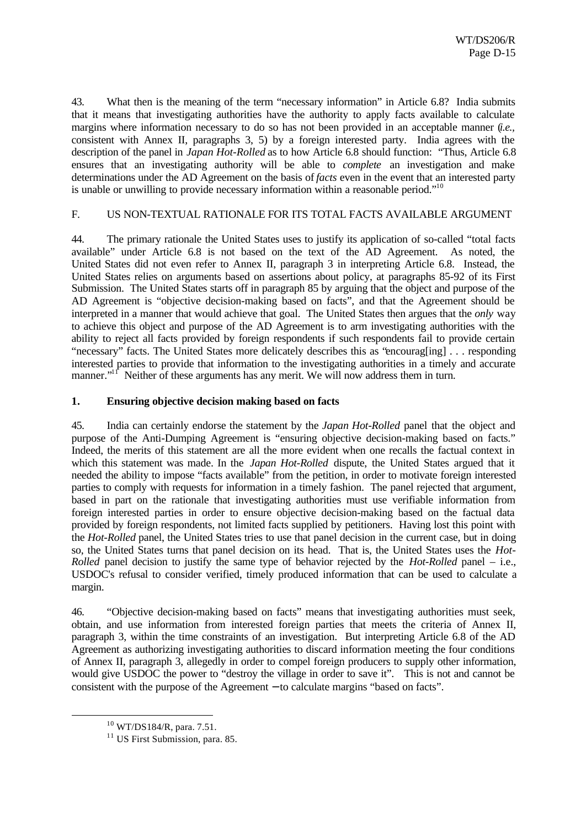43. What then is the meaning of the term "necessary information" in Article 6.8? India submits that it means that investigating authorities have the authority to apply facts available to calculate margins where information necessary to do so has not been provided in an acceptable manner (*i.e.,* consistent with Annex II, paragraphs 3, 5) by a foreign interested party. India agrees with the description of the panel in *Japan Hot-Rolled* as to how Article 6.8 should function: "Thus, Article 6.8 ensures that an investigating authority will be able to *complete* an investigation and make determinations under the AD Agreement on the basis of *facts* even in the event that an interested party is unable or unwilling to provide necessary information within a reasonable period."<sup>10</sup>

# F. US NON-TEXTUAL RATIONALE FOR ITS TOTAL FACTS AVAILABLE ARGUMENT

44. The primary rationale the United States uses to justify its application of so-called "total facts available" under Article 6.8 is not based on the text of the AD Agreement. As noted, the United States did not even refer to Annex II, paragraph 3 in interpreting Article 6.8. Instead, the United States relies on arguments based on assertions about policy, at paragraphs 85-92 of its First Submission. The United States starts off in paragraph 85 by arguing that the object and purpose of the AD Agreement is "objective decision-making based on facts", and that the Agreement should be interpreted in a manner that would achieve that goal. The United States then argues that the *only* way to achieve this object and purpose of the AD Agreement is to arm investigating authorities with the ability to reject all facts provided by foreign respondents if such respondents fail to provide certain "necessary" facts. The United States more delicately describes this as "encourag[ing] . . . responding interested parties to provide that information to the investigating authorities in a timely and accurate manner."<sup>11</sup> Neither of these arguments has any merit. We will now address them in turn.

### **1. Ensuring objective decision making based on facts**

45. India can certainly endorse the statement by the *Japan Hot-Rolled* panel that the object and purpose of the Anti-Dumping Agreement is "ensuring objective decision-making based on facts." Indeed, the merits of this statement are all the more evident when one recalls the factual context in which this statement was made. In the *Japan Hot-Rolled* dispute, the United States argued that it needed the ability to impose "facts available" from the petition, in order to motivate foreign interested parties to comply with requests for information in a timely fashion. The panel rejected that argument, based in part on the rationale that investigating authorities must use verifiable information from foreign interested parties in order to ensure objective decision-making based on the factual data provided by foreign respondents, not limited facts supplied by petitioners. Having lost this point with the *Hot-Rolled* panel, the United States tries to use that panel decision in the current case, but in doing so, the United States turns that panel decision on its head. That is, the United States uses the *Hot-Rolled* panel decision to justify the same type of behavior rejected by the *Hot-Rolled* panel – i.e., USDOC's refusal to consider verified, timely produced information that can be used to calculate a margin.

46. "Objective decision-making based on facts" means that investigating authorities must seek, obtain, and use information from interested foreign parties that meets the criteria of Annex II, paragraph 3, within the time constraints of an investigation. But interpreting Article 6.8 of the AD Agreement as authorizing investigating authorities to discard information meeting the four conditions of Annex II, paragraph 3, allegedly in order to compel foreign producers to supply other information, would give USDOC the power to "destroy the village in order to save it". This is not and cannot be consistent with the purpose of the Agreement − to calculate margins "based on facts".

<sup>10</sup> WT/DS184/R, para. 7.51.

<sup>&</sup>lt;sup>11</sup> US First Submission, para. 85.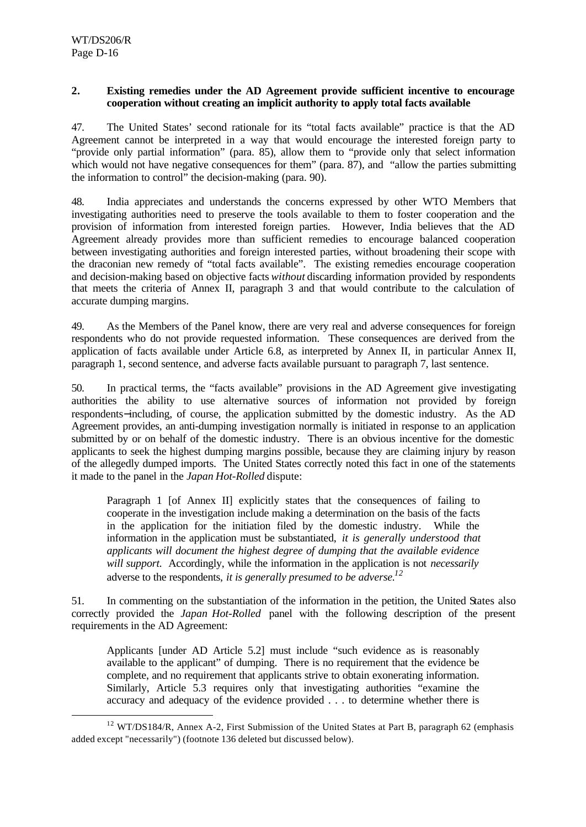l

#### **2. Existing remedies under the AD Agreement provide sufficient incentive to encourage cooperation without creating an implicit authority to apply total facts available**

47. The United States' second rationale for its "total facts available" practice is that the AD Agreement cannot be interpreted in a way that would encourage the interested foreign party to "provide only partial information" (para. 85), allow them to "provide only that select information which would not have negative consequences for them" (para. 87), and "allow the parties submitting the information to control" the decision-making (para. 90).

48. India appreciates and understands the concerns expressed by other WTO Members that investigating authorities need to preserve the tools available to them to foster cooperation and the provision of information from interested foreign parties. However, India believes that the AD Agreement already provides more than sufficient remedies to encourage balanced cooperation between investigating authorities and foreign interested parties, without broadening their scope with the draconian new remedy of "total facts available". The existing remedies encourage cooperation and decision-making based on objective facts *without* discarding information provided by respondents that meets the criteria of Annex II, paragraph 3 and that would contribute to the calculation of accurate dumping margins.

49. As the Members of the Panel know, there are very real and adverse consequences for foreign respondents who do not provide requested information. These consequences are derived from the application of facts available under Article 6.8, as interpreted by Annex II, in particular Annex II, paragraph 1, second sentence, and adverse facts available pursuant to paragraph 7, last sentence.

50. In practical terms, the "facts available" provisions in the AD Agreement give investigating authorities the ability to use alternative sources of information not provided by foreign respondents−including, of course, the application submitted by the domestic industry. As the AD Agreement provides, an anti-dumping investigation normally is initiated in response to an application submitted by or on behalf of the domestic industry. There is an obvious incentive for the domestic applicants to seek the highest dumping margins possible, because they are claiming injury by reason of the allegedly dumped imports. The United States correctly noted this fact in one of the statements it made to the panel in the *Japan Hot-Rolled* dispute:

Paragraph 1 [of Annex II] explicitly states that the consequences of failing to cooperate in the investigation include making a determination on the basis of the facts in the application for the initiation filed by the domestic industry. While the information in the application must be substantiated, *it is generally understood that applicants will document the highest degree of dumping that the available evidence will support.* Accordingly, while the information in the application is not *necessarily* adverse to the respondents, *it is generally presumed to be adverse.<sup>12</sup>*

51. In commenting on the substantiation of the information in the petition, the United States also correctly provided the *Japan Hot-Rolled* panel with the following description of the present requirements in the AD Agreement:

Applicants [under AD Article 5.2] must include "such evidence as is reasonably available to the applicant" of dumping. There is no requirement that the evidence be complete, and no requirement that applicants strive to obtain exonerating information. Similarly, Article 5.3 requires only that investigating authorities "examine the accuracy and adequacy of the evidence provided . . . to determine whether there is

<sup>&</sup>lt;sup>12</sup> WT/DS184/R, Annex A-2, First Submission of the United States at Part B, paragraph 62 (emphasis added except "necessarily") (footnote 136 deleted but discussed below).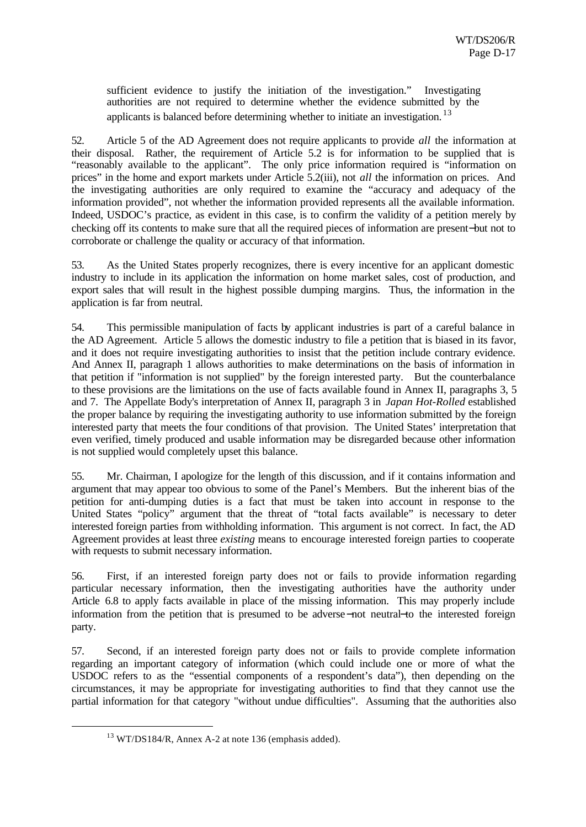sufficient evidence to justify the initiation of the investigation." Investigating authorities are not required to determine whether the evidence submitted by the applicants is balanced before determining whether to initiate an investigation.<sup>13</sup>

52. Article 5 of the AD Agreement does not require applicants to provide *all* the information at their disposal. Rather, the requirement of Article 5.2 is for information to be supplied that is "reasonably available to the applicant". The only price information required is "information on prices" in the home and export markets under Article 5.2(iii), not *all* the information on prices. And the investigating authorities are only required to examine the "accuracy and adequacy of the information provided", not whether the information provided represents all the available information. Indeed, USDOC's practice, as evident in this case, is to confirm the validity of a petition merely by checking off its contents to make sure that all the required pieces of information are present−but not to corroborate or challenge the quality or accuracy of that information.

53. As the United States properly recognizes, there is every incentive for an applicant domestic industry to include in its application the information on home market sales, cost of production, and export sales that will result in the highest possible dumping margins. Thus, the information in the application is far from neutral.

54. This permissible manipulation of facts by applicant industries is part of a careful balance in the AD Agreement. Article 5 allows the domestic industry to file a petition that is biased in its favor, and it does not require investigating authorities to insist that the petition include contrary evidence. And Annex II, paragraph 1 allows authorities to make determinations on the basis of information in that petition if "information is not supplied" by the foreign interested party. But the counterbalance to these provisions are the limitations on the use of facts available found in Annex II, paragraphs 3, 5 and 7. The Appellate Body's interpretation of Annex II, paragraph 3 in *Japan Hot-Rolled* established the proper balance by requiring the investigating authority to use information submitted by the foreign interested party that meets the four conditions of that provision. The United States' interpretation that even verified, timely produced and usable information may be disregarded because other information is not supplied would completely upset this balance.

55. Mr. Chairman, I apologize for the length of this discussion, and if it contains information and argument that may appear too obvious to some of the Panel's Members. But the inherent bias of the petition for anti-dumping duties is a fact that must be taken into account in response to the United States "policy" argument that the threat of "total facts available" is necessary to deter interested foreign parties from withholding information. This argument is not correct. In fact, the AD Agreement provides at least three *existing* means to encourage interested foreign parties to cooperate with requests to submit necessary information.

56. First, if an interested foreign party does not or fails to provide information regarding particular necessary information, then the investigating authorities have the authority under Article 6.8 to apply facts available in place of the missing information. This may properly include information from the petition that is presumed to be adverse−not neutral−to the interested foreign party.

57. Second, if an interested foreign party does not or fails to provide complete information regarding an important category of information (which could include one or more of what the USDOC refers to as the "essential components of a respondent's data"), then depending on the circumstances, it may be appropriate for investigating authorities to find that they cannot use the partial information for that category "without undue difficulties". Assuming that the authorities also

<sup>13</sup> WT/DS184/R, Annex A-2 at note 136 (emphasis added).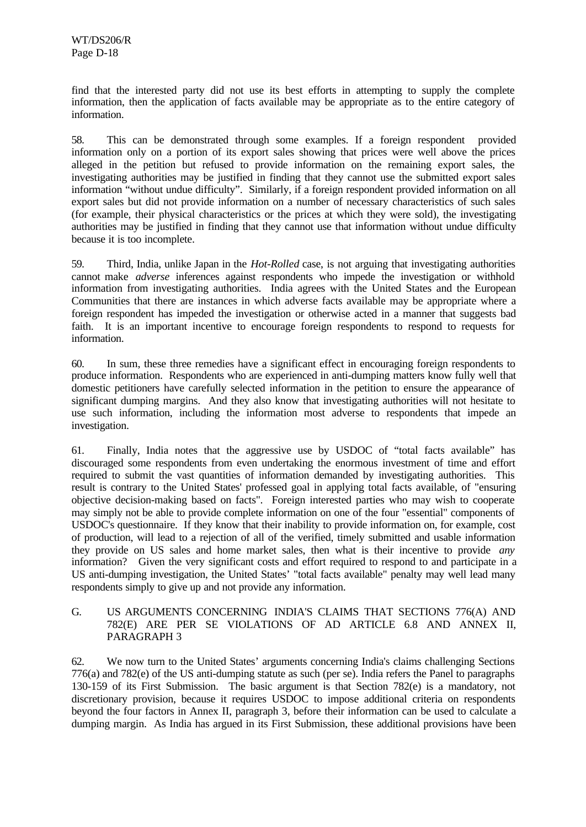find that the interested party did not use its best efforts in attempting to supply the complete information, then the application of facts available may be appropriate as to the entire category of information.

58. This can be demonstrated through some examples. If a foreign respondent provided information only on a portion of its export sales showing that prices were well above the prices alleged in the petition but refused to provide information on the remaining export sales, the investigating authorities may be justified in finding that they cannot use the submitted export sales information "without undue difficulty". Similarly, if a foreign respondent provided information on all export sales but did not provide information on a number of necessary characteristics of such sales (for example, their physical characteristics or the prices at which they were sold), the investigating authorities may be justified in finding that they cannot use that information without undue difficulty because it is too incomplete.

59. Third, India, unlike Japan in the *Hot-Rolled* case, is not arguing that investigating authorities cannot make *adverse* inferences against respondents who impede the investigation or withhold information from investigating authorities. India agrees with the United States and the European Communities that there are instances in which adverse facts available may be appropriate where a foreign respondent has impeded the investigation or otherwise acted in a manner that suggests bad faith. It is an important incentive to encourage foreign respondents to respond to requests for information.

60. In sum, these three remedies have a significant effect in encouraging foreign respondents to produce information. Respondents who are experienced in anti-dumping matters know fully well that domestic petitioners have carefully selected information in the petition to ensure the appearance of significant dumping margins. And they also know that investigating authorities will not hesitate to use such information, including the information most adverse to respondents that impede an investigation.

61. Finally, India notes that the aggressive use by USDOC of "total facts available" has discouraged some respondents from even undertaking the enormous investment of time and effort required to submit the vast quantities of information demanded by investigating authorities. This result is contrary to the United States' professed goal in applying total facts available, of "ensuring objective decision-making based on facts". Foreign interested parties who may wish to cooperate may simply not be able to provide complete information on one of the four "essential" components of USDOC's questionnaire. If they know that their inability to provide information on, for example, cost of production, will lead to a rejection of all of the verified, timely submitted and usable information they provide on US sales and home market sales, then what is their incentive to provide *any* information? Given the very significant costs and effort required to respond to and participate in a US anti-dumping investigation, the United States' "total facts available" penalty may well lead many respondents simply to give up and not provide any information.

### G. US ARGUMENTS CONCERNING INDIA'S CLAIMS THAT SECTIONS 776(A) AND 782(E) ARE PER SE VIOLATIONS OF AD ARTICLE 6.8 AND ANNEX II, PARAGRAPH 3

62. We now turn to the United States' arguments concerning India's claims challenging Sections 776(a) and 782(e) of the US anti-dumping statute as such (per se). India refers the Panel to paragraphs 130-159 of its First Submission. The basic argument is that Section 782(e) is a mandatory, not discretionary provision, because it requires USDOC to impose additional criteria on respondents beyond the four factors in Annex II, paragraph 3, before their information can be used to calculate a dumping margin. As India has argued in its First Submission, these additional provisions have been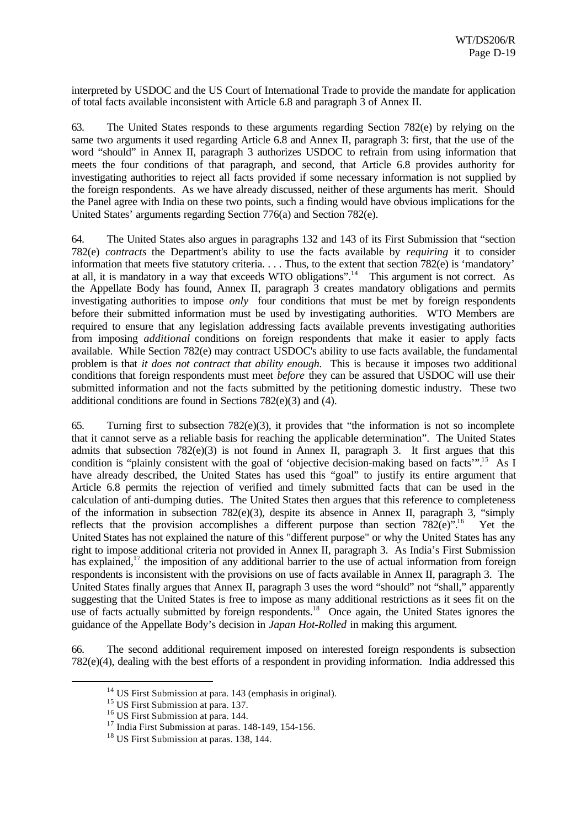interpreted by USDOC and the US Court of International Trade to provide the mandate for application of total facts available inconsistent with Article 6.8 and paragraph 3 of Annex II.

63. The United States responds to these arguments regarding Section 782(e) by relying on the same two arguments it used regarding Article 6.8 and Annex II, paragraph 3: first, that the use of the word "should" in Annex II, paragraph 3 authorizes USDOC to refrain from using information that meets the four conditions of that paragraph, and second, that Article 6.8 provides authority for investigating authorities to reject all facts provided if some necessary information is not supplied by the foreign respondents. As we have already discussed, neither of these arguments has merit. Should the Panel agree with India on these two points, such a finding would have obvious implications for the United States' arguments regarding Section 776(a) and Section 782(e).

64. The United States also argues in paragraphs 132 and 143 of its First Submission that "section 782(e) *contracts* the Department's ability to use the facts available by *requiring* it to consider information that meets five statutory criteria. . . . Thus, to the extent that section 782(e) is 'mandatory' at all, it is mandatory in a way that exceeds WTO obligations".<sup>14</sup> This argument is not correct. As the Appellate Body has found, Annex II, paragraph 3 creates mandatory obligations and permits investigating authorities to impose *only* four conditions that must be met by foreign respondents before their submitted information must be used by investigating authorities. WTO Members are required to ensure that any legislation addressing facts available prevents investigating authorities from imposing *additional* conditions on foreign respondents that make it easier to apply facts available. While Section 782(e) may contract USDOC's ability to use facts available, the fundamental problem is that *it does not contract that ability enough.* This is because it imposes two additional conditions that foreign respondents must meet *before* they can be assured that USDOC will use their submitted information and not the facts submitted by the petitioning domestic industry. These two additional conditions are found in Sections 782(e)(3) and (4).

65. Turning first to subsection  $782(e)(3)$ , it provides that "the information is not so incomplete that it cannot serve as a reliable basis for reaching the applicable determination". The United States admits that subsection  $782(e)(3)$  is not found in Annex II, paragraph 3. It first argues that this condition is "plainly consistent with the goal of 'objective decision-making based on facts'".<sup>15</sup> As I have already described, the United States has used this "goal" to justify its entire argument that Article 6.8 permits the rejection of verified and timely submitted facts that can be used in the calculation of anti-dumping duties. The United States then argues that this reference to completeness of the information in subsection  $782(e)(3)$ , despite its absence in Annex II, paragraph 3, "simply reflects that the provision accomplishes a different purpose than section 782(e)".<sup>16</sup> Yet the United States has not explained the nature of this "different purpose" or why the United States has any right to impose additional criteria not provided in Annex II, paragraph 3. As India's First Submission has explained,<sup>17</sup> the imposition of any additional barrier to the use of actual information from foreign respondents is inconsistent with the provisions on use of facts available in Annex II, paragraph 3. The United States finally argues that Annex II, paragraph 3 uses the word "should" not "shall," apparently suggesting that the United States is free to impose as many additional restrictions as it sees fit on the use of facts actually submitted by foreign respondents.<sup>18</sup> Once again, the United States ignores the guidance of the Appellate Body's decision in *Japan Hot-Rolled* in making this argument.

66. The second additional requirement imposed on interested foreign respondents is subsection 782(e)(4), dealing with the best efforts of a respondent in providing information. India addressed this

<sup>&</sup>lt;sup>14</sup> US First Submission at para. 143 (emphasis in original).

<sup>&</sup>lt;sup>15</sup> US First Submission at para. 137.

<sup>&</sup>lt;sup>16</sup> US First Submission at para. 144.

 $17$  India First Submission at paras. 148-149, 154-156.

<sup>&</sup>lt;sup>18</sup> US First Submission at paras. 138, 144.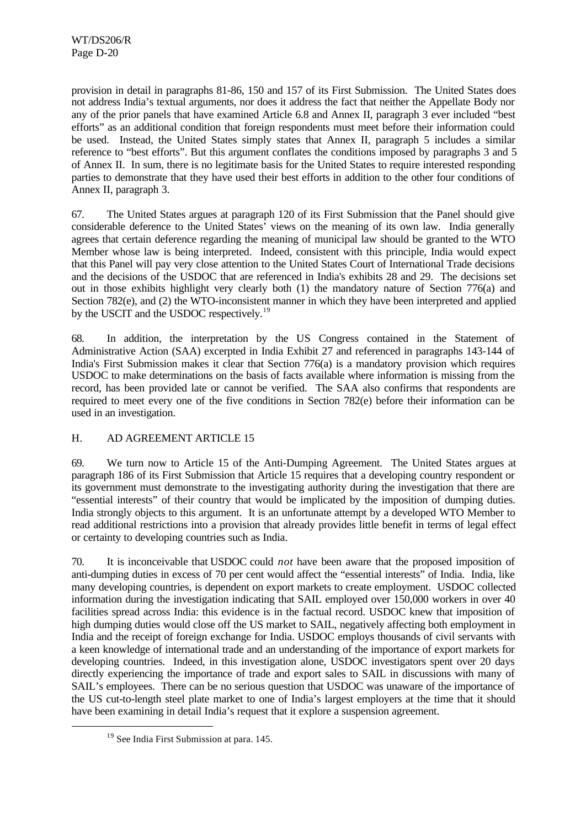provision in detail in paragraphs 81-86, 150 and 157 of its First Submission. The United States does not address India's textual arguments, nor does it address the fact that neither the Appellate Body nor any of the prior panels that have examined Article 6.8 and Annex II, paragraph 3 ever included "best efforts" as an additional condition that foreign respondents must meet before their information could be used. Instead, the United States simply states that Annex II, paragraph 5 includes a similar reference to "best efforts". But this argument conflates the conditions imposed by paragraphs 3 and 5 of Annex II. In sum, there is no legitimate basis for the United States to require interested responding parties to demonstrate that they have used their best efforts in addition to the other four conditions of Annex II, paragraph 3.

67. The United States argues at paragraph 120 of its First Submission that the Panel should give considerable deference to the United States' views on the meaning of its own law. India generally agrees that certain deference regarding the meaning of municipal law should be granted to the WTO Member whose law is being interpreted. Indeed, consistent with this principle, India would expect that this Panel will pay very close attention to the United States Court of International Trade decisions and the decisions of the USDOC that are referenced in India's exhibits 28 and 29. The decisions set out in those exhibits highlight very clearly both (1) the mandatory nature of Section 776(a) and Section 782(e), and (2) the WTO-inconsistent manner in which they have been interpreted and applied by the USCIT and the USDOC respectively.<sup>19</sup>

68. In addition, the interpretation by the US Congress contained in the Statement of Administrative Action (SAA) excerpted in India Exhibit 27 and referenced in paragraphs 143-144 of India's First Submission makes it clear that Section 776(a) is a mandatory provision which requires USDOC to make determinations on the basis of facts available where information is missing from the record, has been provided late or cannot be verified. The SAA also confirms that respondents are required to meet every one of the five conditions in Section 782(e) before their information can be used in an investigation.

# H. AD AGREEMENT ARTICLE 15

69. We turn now to Article 15 of the Anti-Dumping Agreement. The United States argues at paragraph 186 of its First Submission that Article 15 requires that a developing country respondent or its government must demonstrate to the investigating authority during the investigation that there are "essential interests" of their country that would be implicated by the imposition of dumping duties. India strongly objects to this argument. It is an unfortunate attempt by a developed WTO Member to read additional restrictions into a provision that already provides little benefit in terms of legal effect or certainty to developing countries such as India.

70. It is inconceivable that USDOC could *not* have been aware that the proposed imposition of anti-dumping duties in excess of 70 per cent would affect the "essential interests" of India. India, like many developing countries, is dependent on export markets to create employment. USDOC collected information during the investigation indicating that SAIL employed over 150,000 workers in over 40 facilities spread across India: this evidence is in the factual record. USDOC knew that imposition of high dumping duties would close off the US market to SAIL, negatively affecting both employment in India and the receipt of foreign exchange for India. USDOC employs thousands of civil servants with a keen knowledge of international trade and an understanding of the importance of export markets for developing countries. Indeed, in this investigation alone, USDOC investigators spent over 20 days directly experiencing the importance of trade and export sales to SAIL in discussions with many of SAIL's employees. There can be no serious question that USDOC was unaware of the importance of the US cut-to-length steel plate market to one of India's largest employers at the time that it should have been examining in detail India's request that it explore a suspension agreement.

<sup>&</sup>lt;sup>19</sup> See India First Submission at para. 145.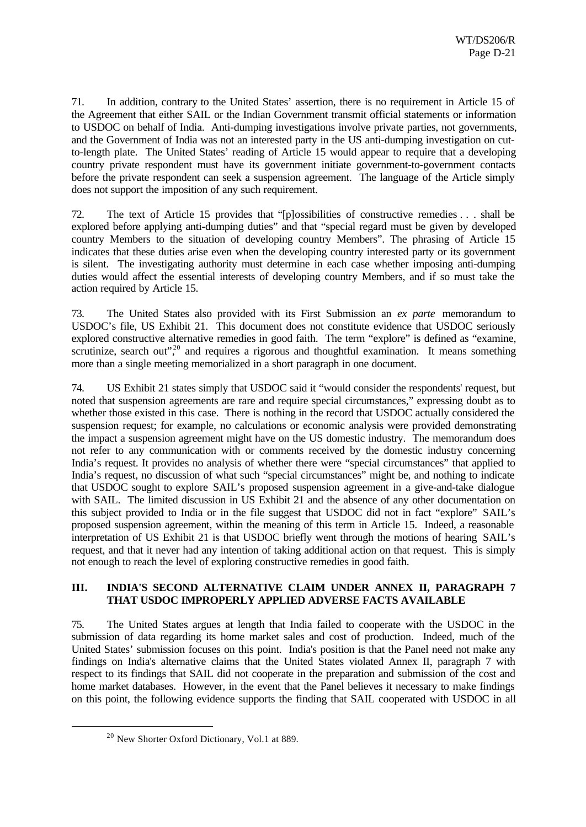71. In addition, contrary to the United States' assertion, there is no requirement in Article 15 of the Agreement that either SAIL or the Indian Government transmit official statements or information to USDOC on behalf of India. Anti-dumping investigations involve private parties, not governments, and the Government of India was not an interested party in the US anti-dumping investigation on cutto-length plate. The United States' reading of Article 15 would appear to require that a developing country private respondent must have its government initiate government-to-government contacts before the private respondent can seek a suspension agreement. The language of the Article simply does not support the imposition of any such requirement.

72. The text of Article 15 provides that "[p]ossibilities of constructive remedies . . . shall be explored before applying anti-dumping duties" and that "special regard must be given by developed country Members to the situation of developing country Members". The phrasing of Article 15 indicates that these duties arise even when the developing country interested party or its government is silent. The investigating authority must determine in each case whether imposing anti-dumping duties would affect the essential interests of developing country Members, and if so must take the action required by Article 15.

73. The United States also provided with its First Submission an *ex parte* memorandum to USDOC's file, US Exhibit 21. This document does not constitute evidence that USDOC seriously explored constructive alternative remedies in good faith. The term "explore" is defined as "examine, scrutinize, search out",<sup>20</sup> and requires a rigorous and thoughtful examination. It means something more than a single meeting memorialized in a short paragraph in one document.

74. US Exhibit 21 states simply that USDOC said it "would consider the respondents' request, but noted that suspension agreements are rare and require special circumstances," expressing doubt as to whether those existed in this case. There is nothing in the record that USDOC actually considered the suspension request; for example, no calculations or economic analysis were provided demonstrating the impact a suspension agreement might have on the US domestic industry. The memorandum does not refer to any communication with or comments received by the domestic industry concerning India's request. It provides no analysis of whether there were "special circumstances" that applied to India's request, no discussion of what such "special circumstances" might be, and nothing to indicate that USDOC sought to explore SAIL's proposed suspension agreement in a give-and-take dialogue with SAIL. The limited discussion in US Exhibit 21 and the absence of any other documentation on this subject provided to India or in the file suggest that USDOC did not in fact "explore" SAIL's proposed suspension agreement, within the meaning of this term in Article 15. Indeed, a reasonable interpretation of US Exhibit 21 is that USDOC briefly went through the motions of hearing SAIL's request, and that it never had any intention of taking additional action on that request. This is simply not enough to reach the level of exploring constructive remedies in good faith.

# **III. INDIA'S SECOND ALTERNATIVE CLAIM UNDER ANNEX II, PARAGRAPH 7 THAT USDOC IMPROPERLY APPLIED ADVERSE FACTS AVAILABLE**

75. The United States argues at length that India failed to cooperate with the USDOC in the submission of data regarding its home market sales and cost of production. Indeed, much of the United States' submission focuses on this point. India's position is that the Panel need not make any findings on India's alternative claims that the United States violated Annex II, paragraph 7 with respect to its findings that SAIL did not cooperate in the preparation and submission of the cost and home market databases. However, in the event that the Panel believes it necessary to make findings on this point, the following evidence supports the finding that SAIL cooperated with USDOC in all

<sup>20</sup> New Shorter Oxford Dictionary, Vol.1 at 889.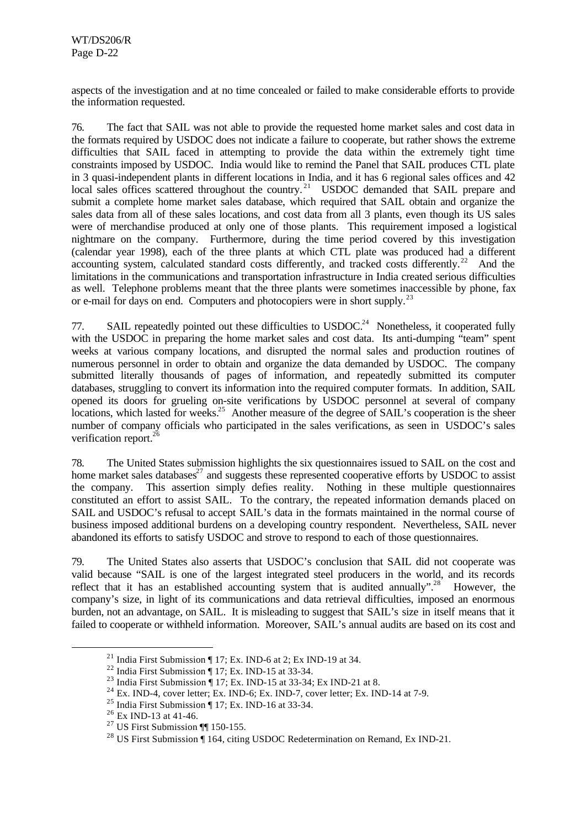aspects of the investigation and at no time concealed or failed to make considerable efforts to provide the information requested.

76. The fact that SAIL was not able to provide the requested home market sales and cost data in the formats required by USDOC does not indicate a failure to cooperate, but rather shows the extreme difficulties that SAIL faced in attempting to provide the data within the extremely tight time constraints imposed by USDOC. India would like to remind the Panel that SAIL produces CTL plate in 3 quasi-independent plants in different locations in India, and it has 6 regional sales offices and 42 local sales offices scattered throughout the country.<sup>21</sup> USDOC demanded that SAIL prepare and submit a complete home market sales database, which required that SAIL obtain and organize the sales data from all of these sales locations, and cost data from all 3 plants, even though its US sales were of merchandise produced at only one of those plants. This requirement imposed a logistical nightmare on the company. Furthermore, during the time period covered by this investigation (calendar year 1998), each of the three plants at which CTL plate was produced had a different accounting system, calculated standard costs differently, and tracked costs differently.<sup>22</sup> And the limitations in the communications and transportation infrastructure in India created serious difficulties as well. Telephone problems meant that the three plants were sometimes inaccessible by phone, fax or e-mail for days on end. Computers and photocopiers were in short supply.<sup>23</sup>

77. SAIL repeatedly pointed out these difficulties to USDOC.<sup>24</sup> Nonetheless, it cooperated fully with the USDOC in preparing the home market sales and cost data. Its anti-dumping "team" spent weeks at various company locations, and disrupted the normal sales and production routines of numerous personnel in order to obtain and organize the data demanded by USDOC. The company submitted literally thousands of pages of information, and repeatedly submitted its computer databases, struggling to convert its information into the required computer formats. In addition, SAIL opened its doors for grueling on-site verifications by USDOC personnel at several of company locations, which lasted for weeks.<sup>25</sup> Another measure of the degree of SAIL's cooperation is the sheer number of company officials who participated in the sales verifications, as seen in USDOC's sales verification report.<sup>26</sup>

78. The United States submission highlights the six questionnaires issued to SAIL on the cost and home market sales databases $^{27}$  and suggests these represented cooperative efforts by USDOC to assist the company. This assertion simply defies reality. Nothing in these multiple questionnaires constituted an effort to assist SAIL. To the contrary, the repeated information demands placed on SAIL and USDOC's refusal to accept SAIL's data in the formats maintained in the normal course of business imposed additional burdens on a developing country respondent. Nevertheless, SAIL never abandoned its efforts to satisfy USDOC and strove to respond to each of those questionnaires.

79. The United States also asserts that USDOC's conclusion that SAIL did not cooperate was valid because "SAIL is one of the largest integrated steel producers in the world, and its records reflect that it has an established accounting system that is audited annually".<sup>28</sup> However, the company's size, in light of its communications and data retrieval difficulties, imposed an enormous burden, not an advantage, on SAIL. It is misleading to suggest that SAIL's size in itself means that it failed to cooperate or withheld information. Moreover, SAIL's annual audits are based on its cost and

<sup>&</sup>lt;sup>21</sup> India First Submission  $\P$  17; Ex. IND-6 at 2; Ex IND-19 at 34.

<sup>&</sup>lt;sup>22</sup> India First Submission  $\P$  17; Ex. IND-15 at 33-34.

<sup>&</sup>lt;sup>23</sup> India First Submission  $\P$  17; Ex. IND-15 at 33-34; Ex IND-21 at 8.

 $^{24}$  Ex. IND-4, cover letter; Ex. IND-6; Ex. IND-7, cover letter; Ex. IND-14 at 7-9.

<sup>&</sup>lt;sup>25</sup> India First Submission ¶ 17; Ex. IND-16 at 33-34.

<sup>26</sup> Ex IND-13 at 41-46.

 $27$  US First Submission ¶ 150-155.

<sup>&</sup>lt;sup>28</sup> US First Submission ¶ 164, citing USDOC Redetermination on Remand, Ex IND-21.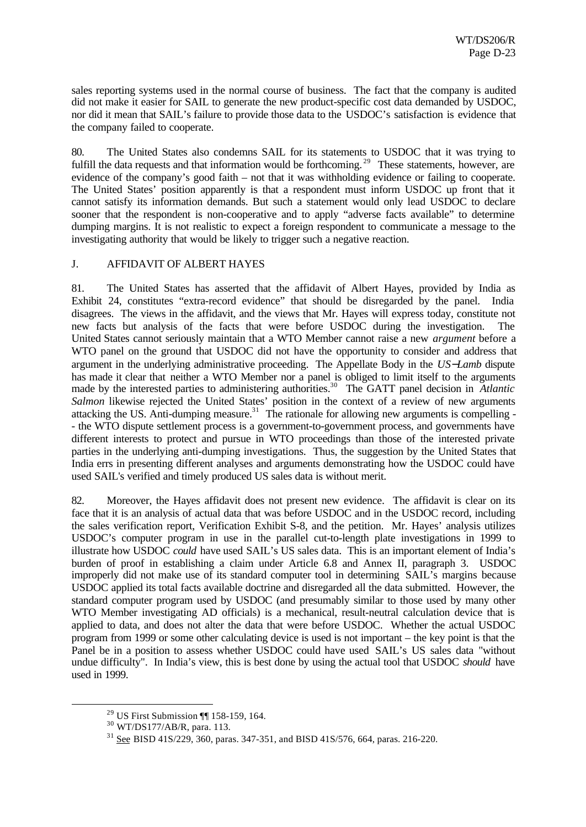sales reporting systems used in the normal course of business. The fact that the company is audited did not make it easier for SAIL to generate the new product-specific cost data demanded by USDOC, nor did it mean that SAIL's failure to provide those data to the USDOC's satisfaction is evidence that the company failed to cooperate.

80. The United States also condemns SAIL for its statements to USDOC that it was trying to fulfill the data requests and that information would be forthcoming.<sup>29</sup> These statements, however, are evidence of the company's good faith – not that it was withholding evidence or failing to cooperate. The United States' position apparently is that a respondent must inform USDOC up front that it cannot satisfy its information demands. But such a statement would only lead USDOC to declare sooner that the respondent is non-cooperative and to apply "adverse facts available" to determine dumping margins. It is not realistic to expect a foreign respondent to communicate a message to the investigating authority that would be likely to trigger such a negative reaction.

#### J. AFFIDAVIT OF ALBERT HAYES

81. The United States has asserted that the affidavit of Albert Hayes, provided by India as Exhibit 24, constitutes "extra-record evidence" that should be disregarded by the panel. India disagrees. The views in the affidavit, and the views that Mr. Hayes will express today, constitute not new facts but analysis of the facts that were before USDOC during the investigation. The United States cannot seriously maintain that a WTO Member cannot raise a new *argument* before a WTO panel on the ground that USDOC did not have the opportunity to consider and address that argument in the underlying administrative proceeding. The Appellate Body in the *US-Lamb* dispute has made it clear that neither a WTO Member nor a panel is obliged to limit itself to the arguments made by the interested parties to administering authorities.<sup>30</sup> The GATT panel decision in *Atlantic Salmon* likewise rejected the United States' position in the context of a review of new arguments attacking the US. Anti-dumping measure. $31$  The rationale for allowing new arguments is compelling -- the WTO dispute settlement process is a government-to-government process, and governments have different interests to protect and pursue in WTO proceedings than those of the interested private parties in the underlying anti-dumping investigations. Thus, the suggestion by the United States that India errs in presenting different analyses and arguments demonstrating how the USDOC could have used SAIL's verified and timely produced US sales data is without merit.

82. Moreover, the Hayes affidavit does not present new evidence. The affidavit is clear on its face that it is an analysis of actual data that was before USDOC and in the USDOC record, including the sales verification report, Verification Exhibit S-8, and the petition. Mr. Hayes' analysis utilizes USDOC's computer program in use in the parallel cut-to-length plate investigations in 1999 to illustrate how USDOC *could* have used SAIL's US sales data. This is an important element of India's burden of proof in establishing a claim under Article 6.8 and Annex II, paragraph 3. USDOC improperly did not make use of its standard computer tool in determining SAIL's margins because USDOC applied its total facts available doctrine and disregarded all the data submitted. However, the standard computer program used by USDOC (and presumably similar to those used by many other WTO Member investigating AD officials) is a mechanical, result-neutral calculation device that is applied to data, and does not alter the data that were before USDOC. Whether the actual USDOC program from 1999 or some other calculating device is used is not important – the key point is that the Panel be in a position to assess whether USDOC could have used SAIL's US sales data "without undue difficulty". In India's view, this is best done by using the actual tool that USDOC *should* have used in 1999.

<sup>29</sup> US First Submission ¶¶ 158-159, 164.

 $30 \text{ WT}/\text{DS}177/\text{AB/R}$ , para. 113.

<sup>31</sup> See BISD 41S/229, 360, paras. 347-351, and BISD 41S/576, 664, paras. 216-220.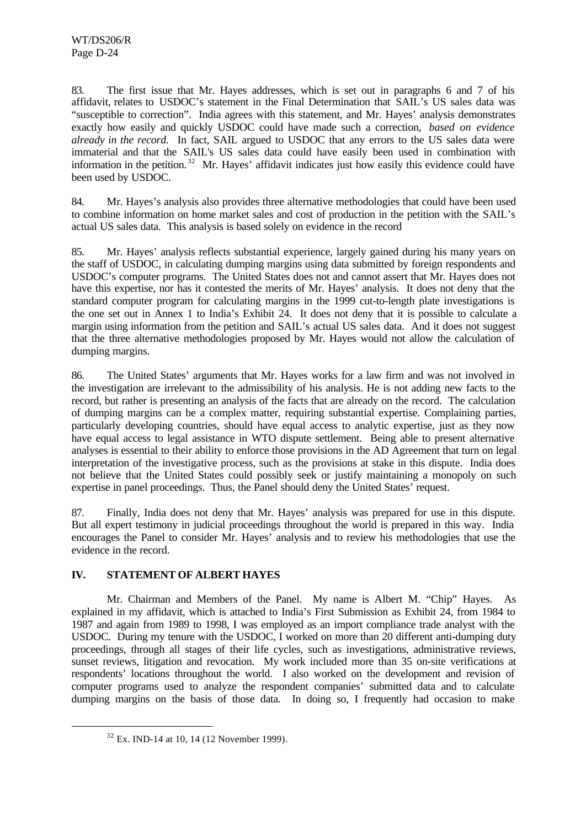83. The first issue that Mr. Hayes addresses, which is set out in paragraphs 6 and 7 of his affidavit, relates to USDOC's statement in the Final Determination that SAIL's US sales data was "susceptible to correction". India agrees with this statement, and Mr. Hayes' analysis demonstrates exactly how easily and quickly USDOC could have made such a correction, *based on evidence already in the record.* In fact, SAIL argued to USDOC that any errors to the US sales data were immaterial and that the SAIL's US sales data could have easily been used in combination with information in the petition. <sup>32</sup> Mr. Hayes' affidavit indicates just how easily this evidence could have been used by USDOC.

84. Mr. Hayes's analysis also provides three alternative methodologies that could have been used to combine information on home market sales and cost of production in the petition with the SAIL's actual US sales data. This analysis is based solely on evidence in the record

85. Mr. Hayes' analysis reflects substantial experience, largely gained during his many years on the staff of USDOC, in calculating dumping margins using data submitted by foreign respondents and USDOC's computer programs. The United States does not and cannot assert that Mr. Hayes does not have this expertise, nor has it contested the merits of Mr. Hayes' analysis. It does not deny that the standard computer program for calculating margins in the 1999 cut-to-length plate investigations is the one set out in Annex 1 to India's Exhibit 24. It does not deny that it is possible to calculate a margin using information from the petition and SAIL's actual US sales data. And it does not suggest that the three alternative methodologies proposed by Mr. Hayes would not allow the calculation of dumping margins.

86. The United States' arguments that Mr. Hayes works for a law firm and was not involved in the investigation are irrelevant to the admissibility of his analysis. He is not adding new facts to the record, but rather is presenting an analysis of the facts that are already on the record. The calculation of dumping margins can be a complex matter, requiring substantial expertise. Complaining parties, particularly developing countries, should have equal access to analytic expertise, just as they now have equal access to legal assistance in WTO dispute settlement. Being able to present alternative analyses is essential to their ability to enforce those provisions in the AD Agreement that turn on legal interpretation of the investigative process, such as the provisions at stake in this dispute. India does not believe that the United States could possibly seek or justify maintaining a monopoly on such expertise in panel proceedings. Thus, the Panel should deny the United States' request.

87. Finally, India does not deny that Mr. Hayes' analysis was prepared for use in this dispute. But all expert testimony in judicial proceedings throughout the world is prepared in this way. India encourages the Panel to consider Mr. Hayes' analysis and to review his methodologies that use the evidence in the record.

# **IV. STATEMENT OF ALBERT HAYES**

Mr. Chairman and Members of the Panel. My name is Albert M. "Chip" Hayes. As explained in my affidavit, which is attached to India's First Submission as Exhibit 24, from 1984 to 1987 and again from 1989 to 1998, I was employed as an import compliance trade analyst with the USDOC. During my tenure with the USDOC, I worked on more than 20 different anti-dumping duty proceedings, through all stages of their life cycles, such as investigations, administrative reviews, sunset reviews, litigation and revocation. My work included more than 35 on-site verifications at respondents' locations throughout the world. I also worked on the development and revision of computer programs used to analyze the respondent companies' submitted data and to calculate dumping margins on the basis of those data. In doing so, I frequently had occasion to make

 $32$  Ex. IND-14 at 10, 14 (12 November 1999).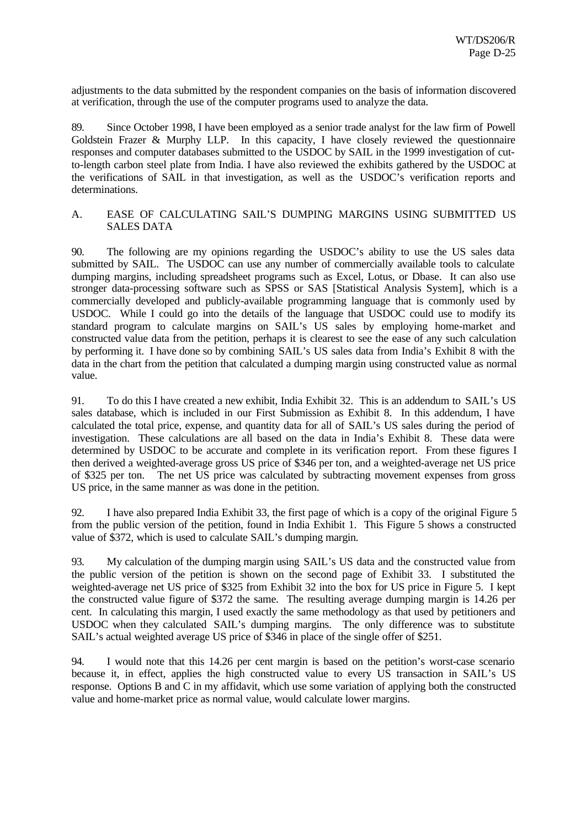adjustments to the data submitted by the respondent companies on the basis of information discovered at verification, through the use of the computer programs used to analyze the data.

89. Since October 1998, I have been employed as a senior trade analyst for the law firm of Powell Goldstein Frazer & Murphy LLP. In this capacity, I have closely reviewed the questionnaire responses and computer databases submitted to the USDOC by SAIL in the 1999 investigation of cutto-length carbon steel plate from India. I have also reviewed the exhibits gathered by the USDOC at the verifications of SAIL in that investigation, as well as the USDOC's verification reports and determinations.

### A. EASE OF CALCULATING SAIL'S DUMPING MARGINS USING SUBMITTED US SALES DATA

90. The following are my opinions regarding the USDOC's ability to use the US sales data submitted by SAIL. The USDOC can use any number of commercially available tools to calculate dumping margins, including spreadsheet programs such as Excel, Lotus, or Dbase. It can also use stronger data-processing software such as SPSS or SAS [Statistical Analysis System], which is a commercially developed and publicly-available programming language that is commonly used by USDOC. While I could go into the details of the language that USDOC could use to modify its standard program to calculate margins on SAIL's US sales by employing home-market and constructed value data from the petition, perhaps it is clearest to see the ease of any such calculation by performing it. I have done so by combining SAIL's US sales data from India's Exhibit 8 with the data in the chart from the petition that calculated a dumping margin using constructed value as normal value.

91. To do this I have created a new exhibit, India Exhibit 32. This is an addendum to SAIL's US sales database, which is included in our First Submission as Exhibit 8. In this addendum, I have calculated the total price, expense, and quantity data for all of SAIL's US sales during the period of investigation. These calculations are all based on the data in India's Exhibit 8. These data were determined by USDOC to be accurate and complete in its verification report. From these figures I then derived a weighted-average gross US price of \$346 per ton, and a weighted-average net US price of \$325 per ton. The net US price was calculated by subtracting movement expenses from gross US price, in the same manner as was done in the petition.

92. I have also prepared India Exhibit 33, the first page of which is a copy of the original Figure 5 from the public version of the petition, found in India Exhibit 1. This Figure 5 shows a constructed value of \$372, which is used to calculate SAIL's dumping margin.

93. My calculation of the dumping margin using SAIL's US data and the constructed value from the public version of the petition is shown on the second page of Exhibit 33. I substituted the weighted-average net US price of \$325 from Exhibit 32 into the box for US price in Figure 5. I kept the constructed value figure of \$372 the same. The resulting average dumping margin is 14.26 per cent. In calculating this margin, I used exactly the same methodology as that used by petitioners and USDOC when they calculated SAIL's dumping margins. The only difference was to substitute SAIL's actual weighted average US price of \$346 in place of the single offer of \$251.

94. I would note that this 14.26 per cent margin is based on the petition's worst-case scenario because it, in effect, applies the high constructed value to every US transaction in SAIL's US response. Options B and C in my affidavit, which use some variation of applying both the constructed value and home-market price as normal value, would calculate lower margins.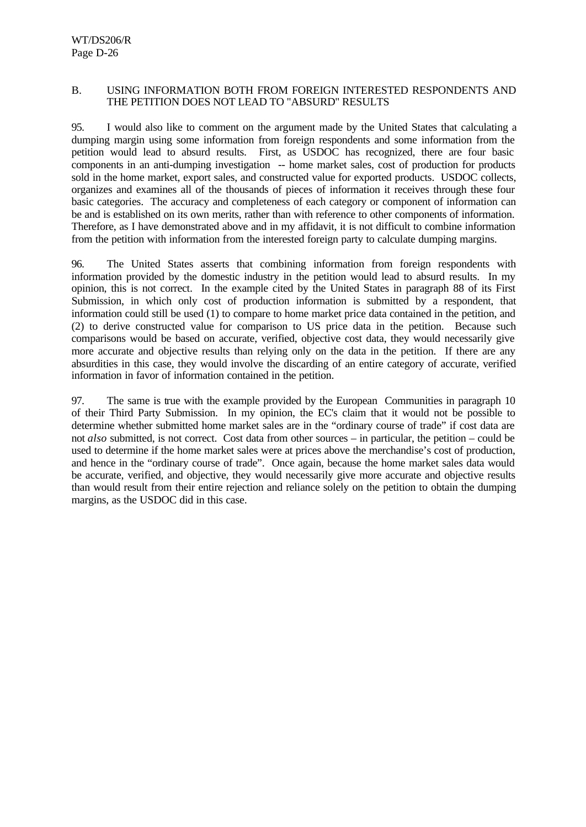#### B. USING INFORMATION BOTH FROM FOREIGN INTERESTED RESPONDENTS AND THE PETITION DOES NOT LEAD TO "ABSURD" RESULTS

95. I would also like to comment on the argument made by the United States that calculating a dumping margin using some information from foreign respondents and some information from the petition would lead to absurd results. First, as USDOC has recognized, there are four basic components in an anti-dumping investigation -- home market sales, cost of production for products sold in the home market, export sales, and constructed value for exported products. USDOC collects, organizes and examines all of the thousands of pieces of information it receives through these four basic categories. The accuracy and completeness of each category or component of information can be and is established on its own merits, rather than with reference to other components of information. Therefore, as I have demonstrated above and in my affidavit, it is not difficult to combine information from the petition with information from the interested foreign party to calculate dumping margins.

96. The United States asserts that combining information from foreign respondents with information provided by the domestic industry in the petition would lead to absurd results. In my opinion, this is not correct. In the example cited by the United States in paragraph 88 of its First Submission, in which only cost of production information is submitted by a respondent, that information could still be used (1) to compare to home market price data contained in the petition, and (2) to derive constructed value for comparison to US price data in the petition. Because such comparisons would be based on accurate, verified, objective cost data, they would necessarily give more accurate and objective results than relying only on the data in the petition. If there are any absurdities in this case, they would involve the discarding of an entire category of accurate, verified information in favor of information contained in the petition.

97. The same is true with the example provided by the European Communities in paragraph 10 of their Third Party Submission. In my opinion, the EC's claim that it would not be possible to determine whether submitted home market sales are in the "ordinary course of trade" if cost data are not *also* submitted, is not correct. Cost data from other sources – in particular, the petition – could be used to determine if the home market sales were at prices above the merchandise's cost of production, and hence in the "ordinary course of trade". Once again, because the home market sales data would be accurate, verified, and objective, they would necessarily give more accurate and objective results than would result from their entire rejection and reliance solely on the petition to obtain the dumping margins, as the USDOC did in this case.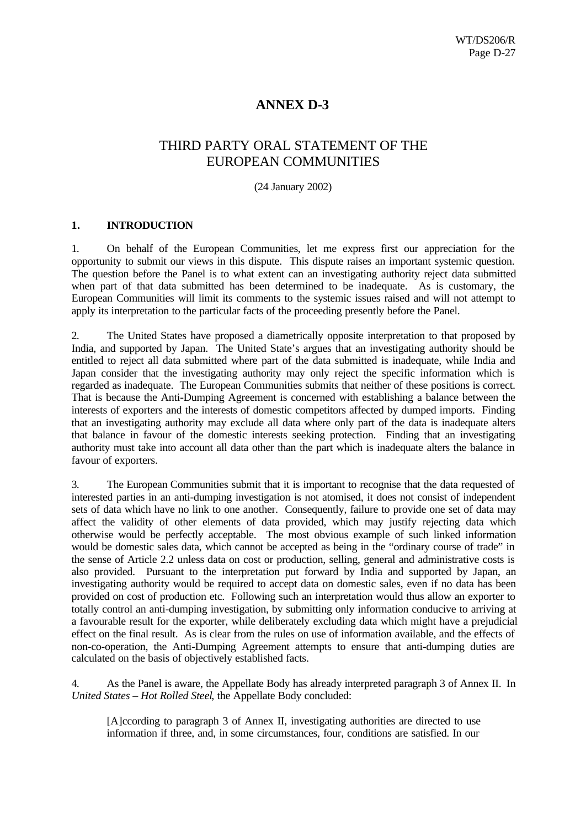# **ANNEX D-3**

# THIRD PARTY ORAL STATEMENT OF THE EUROPEAN COMMUNITIES

#### (24 January 2002)

### **1. INTRODUCTION**

1. On behalf of the European Communities, let me express first our appreciation for the opportunity to submit our views in this dispute. This dispute raises an important systemic question. The question before the Panel is to what extent can an investigating authority reject data submitted when part of that data submitted has been determined to be inadequate. As is customary, the European Communities will limit its comments to the systemic issues raised and will not attempt to apply its interpretation to the particular facts of the proceeding presently before the Panel.

2. The United States have proposed a diametrically opposite interpretation to that proposed by India, and supported by Japan. The United State's argues that an investigating authority should be entitled to reject all data submitted where part of the data submitted is inadequate, while India and Japan consider that the investigating authority may only reject the specific information which is regarded as inadequate. The European Communities submits that neither of these positions is correct. That is because the Anti-Dumping Agreement is concerned with establishing a balance between the interests of exporters and the interests of domestic competitors affected by dumped imports. Finding that an investigating authority may exclude all data where only part of the data is inadequate alters that balance in favour of the domestic interests seeking protection. Finding that an investigating authority must take into account all data other than the part which is inadequate alters the balance in favour of exporters.

3. The European Communities submit that it is important to recognise that the data requested of interested parties in an anti-dumping investigation is not atomised, it does not consist of independent sets of data which have no link to one another. Consequently, failure to provide one set of data may affect the validity of other elements of data provided, which may justify rejecting data which otherwise would be perfectly acceptable. The most obvious example of such linked information would be domestic sales data, which cannot be accepted as being in the "ordinary course of trade" in the sense of Article 2.2 unless data on cost or production, selling, general and administrative costs is also provided. Pursuant to the interpretation put forward by India and supported by Japan, an investigating authority would be required to accept data on domestic sales, even if no data has been provided on cost of production etc. Following such an interpretation would thus allow an exporter to totally control an anti-dumping investigation, by submitting only information conducive to arriving at a favourable result for the exporter, while deliberately excluding data which might have a prejudicial effect on the final result. As is clear from the rules on use of information available, and the effects of non-co-operation, the Anti-Dumping Agreement attempts to ensure that anti-dumping duties are calculated on the basis of objectively established facts.

4. As the Panel is aware, the Appellate Body has already interpreted paragraph 3 of Annex II. In *United States – Hot Rolled Steel*, the Appellate Body concluded:

[A]ccording to paragraph 3 of Annex II, investigating authorities are directed to use information if three, and, in some circumstances, four, conditions are satisfied. In our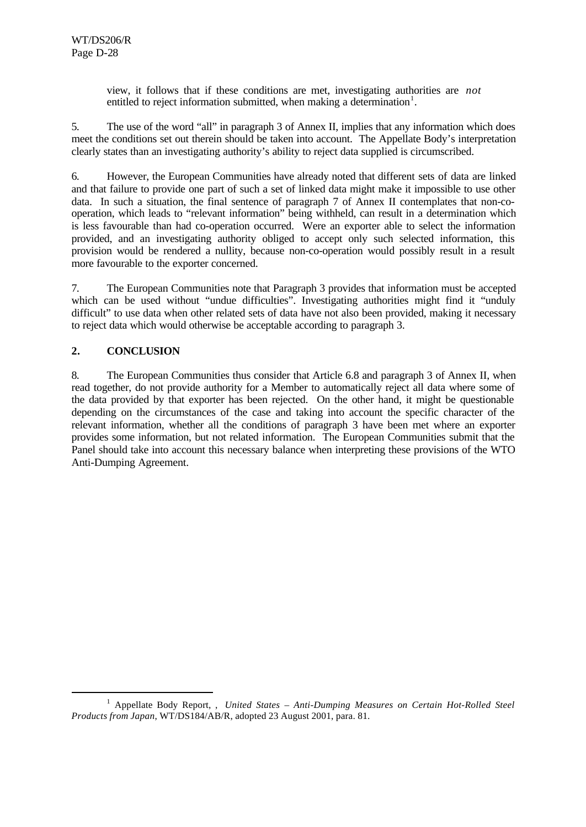view, it follows that if these conditions are met, investigating authorities are *not* entitled to reject information submitted, when making a determination<sup>1</sup>.

5. The use of the word "all" in paragraph 3 of Annex II, implies that any information which does meet the conditions set out therein should be taken into account. The Appellate Body's interpretation clearly states than an investigating authority's ability to reject data supplied is circumscribed.

6. However, the European Communities have already noted that different sets of data are linked and that failure to provide one part of such a set of linked data might make it impossible to use other data. In such a situation, the final sentence of paragraph 7 of Annex II contemplates that non-cooperation, which leads to "relevant information" being withheld, can result in a determination which is less favourable than had co-operation occurred. Were an exporter able to select the information provided, and an investigating authority obliged to accept only such selected information, this provision would be rendered a nullity, because non-co-operation would possibly result in a result more favourable to the exporter concerned.

7. The European Communities note that Paragraph 3 provides that information must be accepted which can be used without "undue difficulties". Investigating authorities might find it "unduly" difficult" to use data when other related sets of data have not also been provided, making it necessary to reject data which would otherwise be acceptable according to paragraph 3.

# **2. CONCLUSION**

l

8. The European Communities thus consider that Article 6.8 and paragraph 3 of Annex II, when read together, do not provide authority for a Member to automatically reject all data where some of the data provided by that exporter has been rejected. On the other hand, it might be questionable depending on the circumstances of the case and taking into account the specific character of the relevant information, whether all the conditions of paragraph 3 have been met where an exporter provides some information, but not related information. The European Communities submit that the Panel should take into account this necessary balance when interpreting these provisions of the WTO Anti-Dumping Agreement.

<sup>&</sup>lt;sup>1</sup> Appellate Body Report,, *United States – Anti-Dumping Measures on Certain Hot-Rolled Steel Products from Japan*, WT/DS184/AB/R, adopted 23 August 2001, para. 81.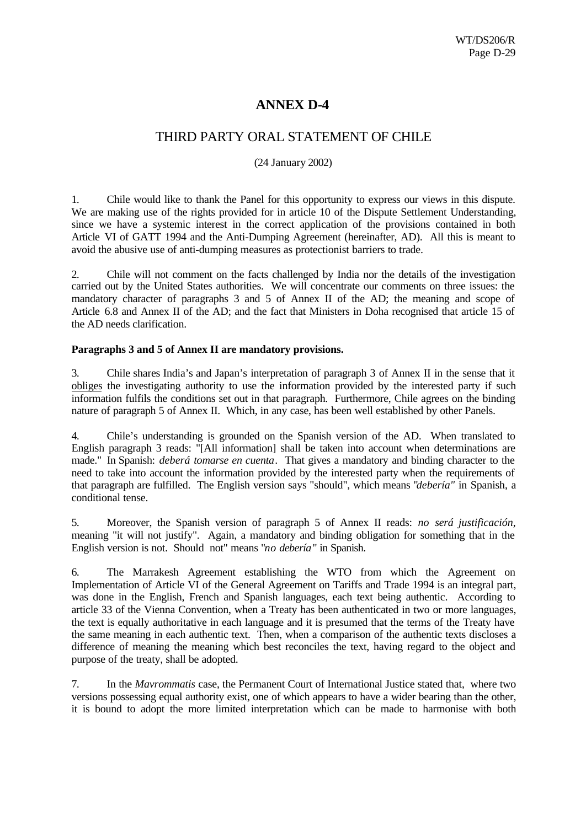# **ANNEX D-4**

# THIRD PARTY ORAL STATEMENT OF CHILE

### (24 January 2002)

1. Chile would like to thank the Panel for this opportunity to express our views in this dispute. We are making use of the rights provided for in article 10 of the Dispute Settlement Understanding, since we have a systemic interest in the correct application of the provisions contained in both Article VI of GATT 1994 and the Anti-Dumping Agreement (hereinafter, AD). All this is meant to avoid the abusive use of anti-dumping measures as protectionist barriers to trade.

2. Chile will not comment on the facts challenged by India nor the details of the investigation carried out by the United States authorities. We will concentrate our comments on three issues: the mandatory character of paragraphs 3 and 5 of Annex II of the AD; the meaning and scope of Article 6.8 and Annex II of the AD; and the fact that Ministers in Doha recognised that article 15 of the AD needs clarification.

### **Paragraphs 3 and 5 of Annex II are mandatory provisions.**

3. Chile shares India's and Japan's interpretation of paragraph 3 of Annex II in the sense that it obliges the investigating authority to use the information provided by the interested party if such information fulfils the conditions set out in that paragraph. Furthermore, Chile agrees on the binding nature of paragraph 5 of Annex II. Which, in any case, has been well established by other Panels.

4. Chile's understanding is grounded on the Spanish version of the AD. When translated to English paragraph 3 reads: "[All information] shall be taken into account when determinations are made." In Spanish: *deberá tomarse en cuenta*. That gives a mandatory and binding character to the need to take into account the information provided by the interested party when the requirements of that paragraph are fulfilled. The English version says "should", which means "*debería"* in Spanish, a conditional tense.

5. Moreover, the Spanish version of paragraph 5 of Annex II reads: *no será justificación*, meaning "it will not justify". Again, a mandatory and binding obligation for something that in the English version is not. Should not" means "*no debería*" in Spanish.

6. The Marrakesh Agreement establishing the WTO from which the Agreement on Implementation of Article VI of the General Agreement on Tariffs and Trade 1994 is an integral part, was done in the English, French and Spanish languages, each text being authentic. According to article 33 of the Vienna Convention, when a Treaty has been authenticated in two or more languages, the text is equally authoritative in each language and it is presumed that the terms of the Treaty have the same meaning in each authentic text. Then, when a comparison of the authentic texts discloses a difference of meaning the meaning which best reconciles the text, having regard to the object and purpose of the treaty, shall be adopted.

7. In the *Mavrommatis* case, the Permanent Court of International Justice stated that, where two versions possessing equal authority exist, one of which appears to have a wider bearing than the other, it is bound to adopt the more limited interpretation which can be made to harmonise with both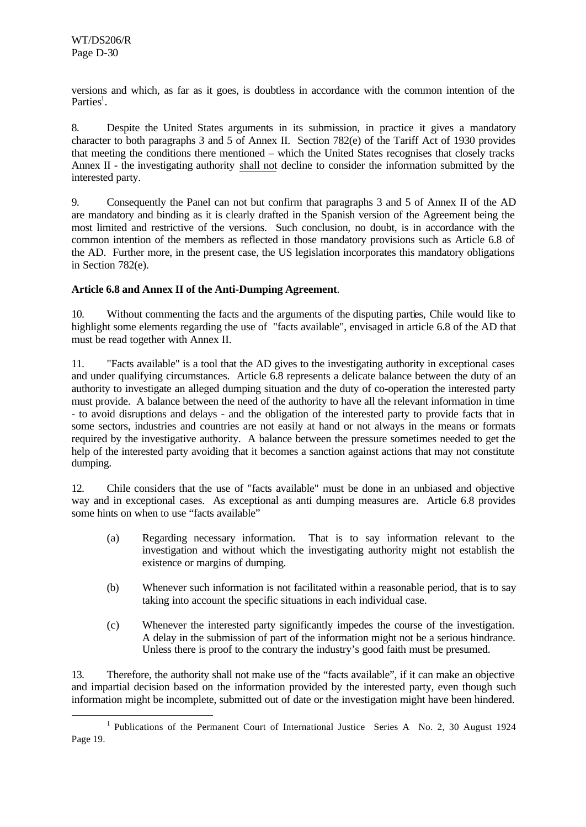l

versions and which, as far as it goes, is doubtless in accordance with the common intention of the Parties<sup>1</sup>.

8. Despite the United States arguments in its submission, in practice it gives a mandatory character to both paragraphs 3 and 5 of Annex II. Section 782(e) of the Tariff Act of 1930 provides that meeting the conditions there mentioned – which the United States recognises that closely tracks Annex II - the investigating authority shall not decline to consider the information submitted by the interested party.

9. Consequently the Panel can not but confirm that paragraphs 3 and 5 of Annex II of the AD are mandatory and binding as it is clearly drafted in the Spanish version of the Agreement being the most limited and restrictive of the versions. Such conclusion, no doubt, is in accordance with the common intention of the members as reflected in those mandatory provisions such as Article 6.8 of the AD. Further more, in the present case, the US legislation incorporates this mandatory obligations in Section 782(e).

# **Article 6.8 and Annex II of the Anti-Dumping Agreement**.

10. Without commenting the facts and the arguments of the disputing parties, Chile would like to highlight some elements regarding the use of "facts available", envisaged in article 6.8 of the AD that must be read together with Annex II.

11. "Facts available" is a tool that the AD gives to the investigating authority in exceptional cases and under qualifying circumstances. Article 6.8 represents a delicate balance between the duty of an authority to investigate an alleged dumping situation and the duty of co-operation the interested party must provide. A balance between the need of the authority to have all the relevant information in time - to avoid disruptions and delays - and the obligation of the interested party to provide facts that in some sectors, industries and countries are not easily at hand or not always in the means or formats required by the investigative authority. A balance between the pressure sometimes needed to get the help of the interested party avoiding that it becomes a sanction against actions that may not constitute dumping.

12. Chile considers that the use of "facts available" must be done in an unbiased and objective way and in exceptional cases. As exceptional as anti dumping measures are. Article 6.8 provides some hints on when to use "facts available"

- (a) Regarding necessary information. That is to say information relevant to the investigation and without which the investigating authority might not establish the existence or margins of dumping.
- (b) Whenever such information is not facilitated within a reasonable period, that is to say taking into account the specific situations in each individual case.
- (c) Whenever the interested party significantly impedes the course of the investigation. A delay in the submission of part of the information might not be a serious hindrance. Unless there is proof to the contrary the industry's good faith must be presumed.

13. Therefore, the authority shall not make use of the "facts available", if it can make an objective and impartial decision based on the information provided by the interested party, even though such information might be incomplete, submitted out of date or the investigation might have been hindered.

<sup>&</sup>lt;sup>1</sup> Publications of the Permanent Court of International Justice Series A No. 2, 30 August 1924 Page 19.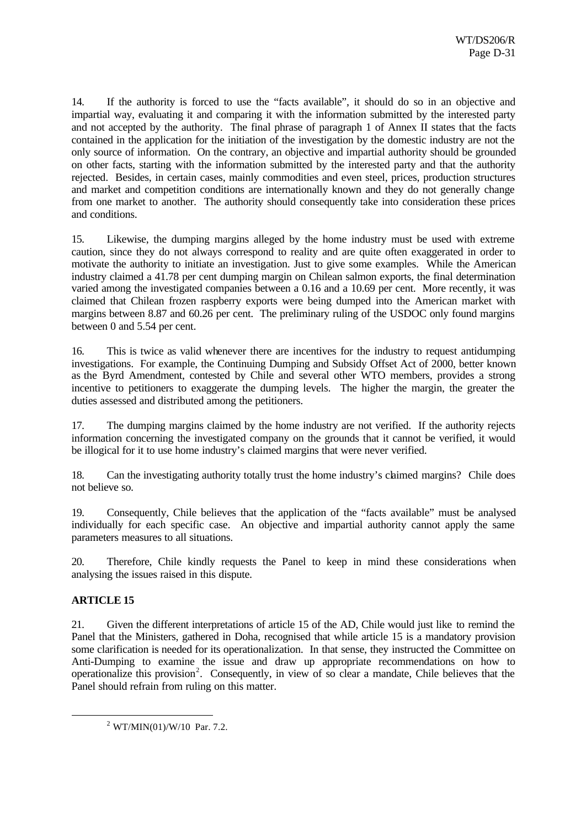14. If the authority is forced to use the "facts available", it should do so in an objective and impartial way, evaluating it and comparing it with the information submitted by the interested party and not accepted by the authority. The final phrase of paragraph 1 of Annex II states that the facts contained in the application for the initiation of the investigation by the domestic industry are not the only source of information. On the contrary, an objective and impartial authority should be grounded on other facts, starting with the information submitted by the interested party and that the authority rejected. Besides, in certain cases, mainly commodities and even steel, prices, production structures and market and competition conditions are internationally known and they do not generally change from one market to another. The authority should consequently take into consideration these prices and conditions.

15. Likewise, the dumping margins alleged by the home industry must be used with extreme caution, since they do not always correspond to reality and are quite often exaggerated in order to motivate the authority to initiate an investigation. Just to give some examples. While the American industry claimed a 41.78 per cent dumping margin on Chilean salmon exports, the final determination varied among the investigated companies between a 0.16 and a 10.69 per cent. More recently, it was claimed that Chilean frozen raspberry exports were being dumped into the American market with margins between 8.87 and 60.26 per cent. The preliminary ruling of the USDOC only found margins between 0 and 5.54 per cent.

16. This is twice as valid whenever there are incentives for the industry to request antidumping investigations. For example, the Continuing Dumping and Subsidy Offset Act of 2000, better known as the Byrd Amendment, contested by Chile and several other WTO members, provides a strong incentive to petitioners to exaggerate the dumping levels. The higher the margin, the greater the duties assessed and distributed among the petitioners.

17. The dumping margins claimed by the home industry are not verified. If the authority rejects information concerning the investigated company on the grounds that it cannot be verified, it would be illogical for it to use home industry's claimed margins that were never verified.

18. Can the investigating authority totally trust the home industry's claimed margins? Chile does not believe so.

19. Consequently, Chile believes that the application of the "facts available" must be analysed individually for each specific case. An objective and impartial authority cannot apply the same parameters measures to all situations.

20. Therefore, Chile kindly requests the Panel to keep in mind these considerations when analysing the issues raised in this dispute.

# **ARTICLE 15**

l

21. Given the different interpretations of article 15 of the AD, Chile would just like to remind the Panel that the Ministers, gathered in Doha, recognised that while article 15 is a mandatory provision some clarification is needed for its operationalization. In that sense, they instructed the Committee on Anti-Dumping to examine the issue and draw up appropriate recommendations on how to operationalize this provision<sup>2</sup>. Consequently, in view of so clear a mandate, Chile believes that the Panel should refrain from ruling on this matter.

 $2$  WT/MIN(01)/W/10 Par. 7.2.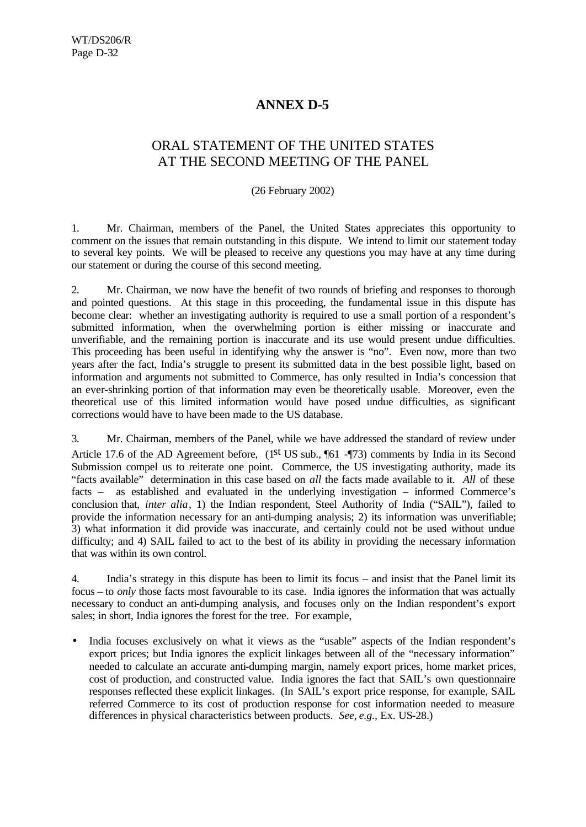# **ANNEX D-5**

# ORAL STATEMENT OF THE UNITED STATES AT THE SECOND MEETING OF THE PANEL

#### (26 February 2002)

1. Mr. Chairman, members of the Panel, the United States appreciates this opportunity to comment on the issues that remain outstanding in this dispute. We intend to limit our statement today to several key points. We will be pleased to receive any questions you may have at any time during our statement or during the course of this second meeting.

2. Mr. Chairman, we now have the benefit of two rounds of briefing and responses to thorough and pointed questions. At this stage in this proceeding, the fundamental issue in this dispute has become clear: whether an investigating authority is required to use a small portion of a respondent's submitted information, when the overwhelming portion is either missing or inaccurate and unverifiable, and the remaining portion is inaccurate and its use would present undue difficulties. This proceeding has been useful in identifying why the answer is "no". Even now, more than two years after the fact, India's struggle to present its submitted data in the best possible light, based on information and arguments not submitted to Commerce, has only resulted in India's concession that an ever-shrinking portion of that information may even be theoretically usable. Moreover, even the theoretical use of this limited information would have posed undue difficulties, as significant corrections would have to have been made to the US database.

3. Mr. Chairman, members of the Panel, while we have addressed the standard of review under Article 17.6 of the AD Agreement before, (1<sup>st</sup> US sub., ¶61 -¶73) comments by India in its Second Submission compel us to reiterate one point. Commerce, the US investigating authority, made its "facts available" determination in this case based on *all* the facts made available to it. *All* of these facts – as established and evaluated in the underlying investigation – informed Commerce's conclusion that, *inter alia*, 1) the Indian respondent, Steel Authority of India ("SAIL"), failed to provide the information necessary for an anti-dumping analysis; 2) its information was unverifiable; 3) what information it did provide was inaccurate, and certainly could not be used without undue difficulty; and 4) SAIL failed to act to the best of its ability in providing the necessary information that was within its own control.

4. India's strategy in this dispute has been to limit its focus – and insist that the Panel limit its focus – to *only* those facts most favourable to its case. India ignores the information that was actually necessary to conduct an anti-dumping analysis, and focuses only on the Indian respondent's export sales; in short, India ignores the forest for the tree. For example,

• India focuses exclusively on what it views as the "usable" aspects of the Indian respondent's export prices; but India ignores the explicit linkages between all of the "necessary information" needed to calculate an accurate anti-dumping margin, namely export prices, home market prices, cost of production, and constructed value. India ignores the fact that SAIL's own questionnaire responses reflected these explicit linkages. (In SAIL's export price response, for example, SAIL referred Commerce to its cost of production response for cost information needed to measure differences in physical characteristics between products. *See, e.g.,* Ex. US-28.)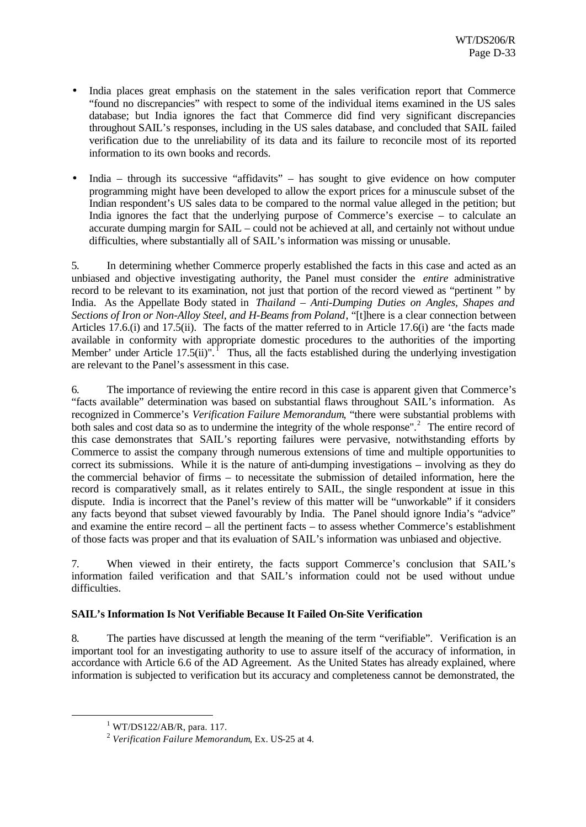- India places great emphasis on the statement in the sales verification report that Commerce "found no discrepancies" with respect to some of the individual items examined in the US sales database; but India ignores the fact that Commerce did find very significant discrepancies throughout SAIL's responses, including in the US sales database, and concluded that SAIL failed verification due to the unreliability of its data and its failure to reconcile most of its reported information to its own books and records.
- India through its successive "affidavits" has sought to give evidence on how computer programming might have been developed to allow the export prices for a minuscule subset of the Indian respondent's US sales data to be compared to the normal value alleged in the petition; but India ignores the fact that the underlying purpose of Commerce's exercise – to calculate an accurate dumping margin for SAIL – could not be achieved at all, and certainly not without undue difficulties, where substantially all of SAIL's information was missing or unusable.

5. In determining whether Commerce properly established the facts in this case and acted as an unbiased and objective investigating authority, the Panel must consider the *entire* administrative record to be relevant to its examination, not just that portion of the record viewed as "pertinent " by India. As the Appellate Body stated in *Thailand – Anti-Dumping Duties on Angles, Shapes and Sections of Iron or Non-Alloy Steel, and H-Beams from Poland*, "[t]here is a clear connection between Articles 17.6.(i) and 17.5(ii). The facts of the matter referred to in Article 17.6(i) are 'the facts made available in conformity with appropriate domestic procedures to the authorities of the importing Member' under Article 17.5(ii)".  $\hat{i}$  Thus, all the facts established during the underlying investigation are relevant to the Panel's assessment in this case.

6. The importance of reviewing the entire record in this case is apparent given that Commerce's "facts available" determination was based on substantial flaws throughout SAIL's information. As recognized in Commerce's *Verification Failure Memorandum*, "there were substantial problems with both sales and cost data so as to undermine the integrity of the whole response".<sup>2</sup> The entire record of this case demonstrates that SAIL's reporting failures were pervasive, notwithstanding efforts by Commerce to assist the company through numerous extensions of time and multiple opportunities to correct its submissions. While it is the nature of anti-dumping investigations – involving as they do the commercial behavior of firms – to necessitate the submission of detailed information, here the record is comparatively small, as it relates entirely to SAIL, the single respondent at issue in this dispute. India is incorrect that the Panel's review of this matter will be "unworkable" if it considers any facts beyond that subset viewed favourably by India. The Panel should ignore India's "advice" and examine the entire record – all the pertinent facts – to assess whether Commerce's establishment of those facts was proper and that its evaluation of SAIL's information was unbiased and objective.

7. When viewed in their entirety, the facts support Commerce's conclusion that SAIL's information failed verification and that SAIL's information could not be used without undue difficulties.

# **SAIL's Information Is Not Verifiable Because It Failed On-Site Verification**

8. The parties have discussed at length the meaning of the term "verifiable". Verification is an important tool for an investigating authority to use to assure itself of the accuracy of information, in accordance with Article 6.6 of the AD Agreement. As the United States has already explained, where information is subjected to verification but its accuracy and completeness cannot be demonstrated, the

 $1$  WT/DS122/AB/R, para. 117.

<sup>2</sup> *Verification Failure Memorandum*, Ex. US-25 at 4.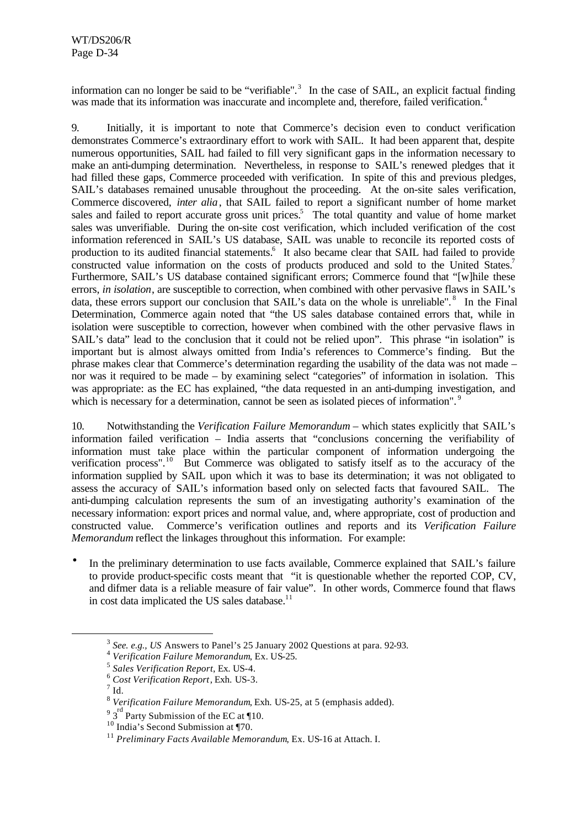information can no longer be said to be "verifiable".<sup>3</sup> In the case of SAIL, an explicit factual finding was made that its information was inaccurate and incomplete and, therefore, failed verification.<sup>4</sup>

9. Initially, it is important to note that Commerce's decision even to conduct verification demonstrates Commerce's extraordinary effort to work with SAIL. It had been apparent that, despite numerous opportunities, SAIL had failed to fill very significant gaps in the information necessary to make an anti-dumping determination. Nevertheless, in response to SAIL's renewed pledges that it had filled these gaps, Commerce proceeded with verification. In spite of this and previous pledges, SAIL's databases remained unusable throughout the proceeding. At the on-site sales verification, Commerce discovered, *inter alia*, that SAIL failed to report a significant number of home market sales and failed to report accurate gross unit prices.<sup>5</sup> The total quantity and value of home market sales was unverifiable. During the on-site cost verification, which included verification of the cost information referenced in SAIL's US database, SAIL was unable to reconcile its reported costs of production to its audited financial statements.<sup>6</sup> It also became clear that SAIL had failed to provide constructed value information on the costs of products produced and sold to the United States.<sup>7</sup> Furthermore, SAIL's US database contained significant errors; Commerce found that "[w]hile these errors, *in isolation*, are susceptible to correction, when combined with other pervasive flaws in SAIL's data, these errors support our conclusion that SAIL's data on the whole is unreliable".<sup>8</sup> In the Final Determination, Commerce again noted that "the US sales database contained errors that, while in isolation were susceptible to correction, however when combined with the other pervasive flaws in SAIL's data" lead to the conclusion that it could not be relied upon". This phrase "in isolation" is important but is almost always omitted from India's references to Commerce's finding. But the phrase makes clear that Commerce's determination regarding the usability of the data was not made – nor was it required to be made – by examining select "categories" of information in isolation. This was appropriate: as the EC has explained, "the data requested in an anti-dumping investigation, and which is necessary for a determination, cannot be seen as isolated pieces of information".<sup>9</sup>

10. Notwithstanding the *Verification Failure Memorandum* – which states explicitly that SAIL's information failed verification – India asserts that "conclusions concerning the verifiability of information must take place within the particular component of information undergoing the verification process".<sup>10</sup> But Commerce was obligated to satisfy itself as to the accuracy of the information supplied by SAIL upon which it was to base its determination; it was not obligated to assess the accuracy of SAIL's information based only on selected facts that favoured SAIL. The anti-dumping calculation represents the sum of an investigating authority's examination of the necessary information: export prices and normal value, and, where appropriate, cost of production and constructed value. Commerce's verification outlines and reports and its *Verification Failure Memorandum* reflect the linkages throughout this information. For example:

• In the preliminary determination to use facts available, Commerce explained that SAIL's failure to provide product-specific costs meant that "it is questionable whether the reported COP, CV, and difmer data is a reliable measure of fair value". In other words, Commerce found that flaws in cost data implicated the US sales database. $11$ 

<sup>3</sup> *See. e.g., US* Answers to Panel's 25 January 2002 Questions at para. 92-93.

<sup>4</sup> *Verification Failure Memorandum*, Ex. US-25.

<sup>5</sup> *Sales Verification Report*, Ex. US-4.

<sup>6</sup> *Cost Verification Report*, Exh. US-3.

 $^7$  Id.

<sup>8</sup> *Verification Failure Memorandum*, Exh. US-25, at 5 (emphasis added).

 $9^9$  3<sup>rd</sup> Party Submission of the EC at ¶10.

<sup>&</sup>lt;sup>10</sup> India's Second Submission at ¶70.

<sup>11</sup> *Preliminary Facts Available Memorandum*, Ex. US-16 at Attach. I.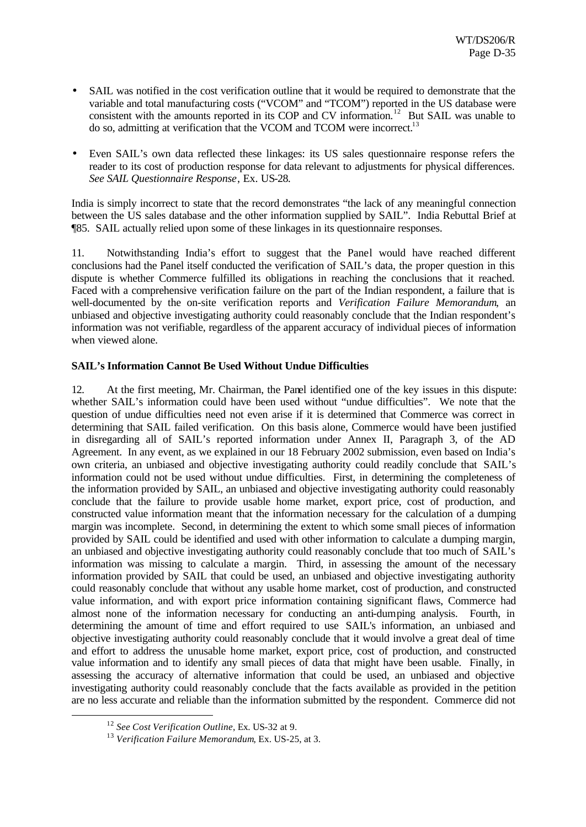- SAIL was notified in the cost verification outline that it would be required to demonstrate that the variable and total manufacturing costs ("VCOM" and "TCOM") reported in the US database were consistent with the amounts reported in its COP and CV information.<sup>12</sup> But SAIL was unable to do so, admitting at verification that the VCOM and TCOM were incorrect.<sup>13</sup>
- Even SAIL's own data reflected these linkages: its US sales questionnaire response refers the reader to its cost of production response for data relevant to adjustments for physical differences. *See SAIL Questionnaire Response*, Ex. US-28.

India is simply incorrect to state that the record demonstrates "the lack of any meaningful connection between the US sales database and the other information supplied by SAIL". India Rebuttal Brief at ¶85. SAIL actually relied upon some of these linkages in its questionnaire responses.

11. Notwithstanding India's effort to suggest that the Panel would have reached different conclusions had the Panel itself conducted the verification of SAIL's data, the proper question in this dispute is whether Commerce fulfilled its obligations in reaching the conclusions that it reached. Faced with a comprehensive verification failure on the part of the Indian respondent, a failure that is well-documented by the on-site verification reports and *Verification Failure Memorandum*, an unbiased and objective investigating authority could reasonably conclude that the Indian respondent's information was not verifiable, regardless of the apparent accuracy of individual pieces of information when viewed alone.

### **SAIL's Information Cannot Be Used Without Undue Difficulties**

12. At the first meeting, Mr. Chairman, the Panel identified one of the key issues in this dispute: whether SAIL's information could have been used without "undue difficulties". We note that the question of undue difficulties need not even arise if it is determined that Commerce was correct in determining that SAIL failed verification. On this basis alone, Commerce would have been justified in disregarding all of SAIL's reported information under Annex II, Paragraph 3, of the AD Agreement. In any event, as we explained in our 18 February 2002 submission, even based on India's own criteria, an unbiased and objective investigating authority could readily conclude that SAIL's information could not be used without undue difficulties. First, in determining the completeness of the information provided by SAIL, an unbiased and objective investigating authority could reasonably conclude that the failure to provide usable home market, export price, cost of production, and constructed value information meant that the information necessary for the calculation of a dumping margin was incomplete. Second, in determining the extent to which some small pieces of information provided by SAIL could be identified and used with other information to calculate a dumping margin, an unbiased and objective investigating authority could reasonably conclude that too much of SAIL's information was missing to calculate a margin. Third, in assessing the amount of the necessary information provided by SAIL that could be used, an unbiased and objective investigating authority could reasonably conclude that without any usable home market, cost of production, and constructed value information, and with export price information containing significant flaws, Commerce had almost none of the information necessary for conducting an anti-dumping analysis. Fourth, in determining the amount of time and effort required to use SAIL's information, an unbiased and objective investigating authority could reasonably conclude that it would involve a great deal of time and effort to address the unusable home market, export price, cost of production, and constructed value information and to identify any small pieces of data that might have been usable. Finally, in assessing the accuracy of alternative information that could be used, an unbiased and objective investigating authority could reasonably conclude that the facts available as provided in the petition are no less accurate and reliable than the information submitted by the respondent. Commerce did not

<sup>12</sup> *See Cost Verification Outline*, Ex. US-32 at 9.

<sup>13</sup> *Verification Failure Memorandum*, Ex. US-25, at 3.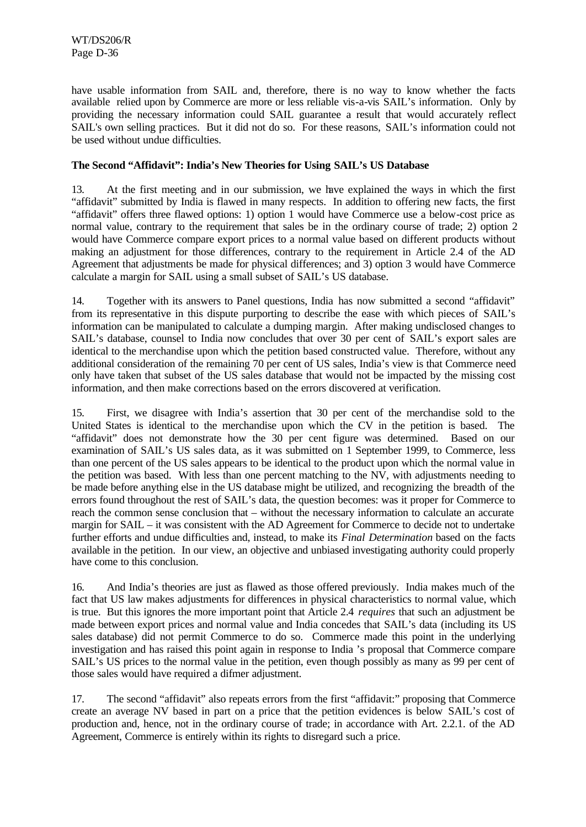have usable information from SAIL and, therefore, there is no way to know whether the facts available relied upon by Commerce are more or less reliable vis-a-vis SAIL's information. Only by providing the necessary information could SAIL guarantee a result that would accurately reflect SAIL's own selling practices. But it did not do so. For these reasons, SAIL's information could not be used without undue difficulties.

### **The Second "Affidavit": India's New Theories for Using SAIL's US Database**

13. At the first meeting and in our submission, we have explained the ways in which the first "affidavit" submitted by India is flawed in many respects. In addition to offering new facts, the first "affidavit" offers three flawed options: 1) option 1 would have Commerce use a below-cost price as normal value, contrary to the requirement that sales be in the ordinary course of trade; 2) option 2 would have Commerce compare export prices to a normal value based on different products without making an adjustment for those differences, contrary to the requirement in Article 2.4 of the AD Agreement that adjustments be made for physical differences; and 3) option 3 would have Commerce calculate a margin for SAIL using a small subset of SAIL's US database.

14. Together with its answers to Panel questions, India has now submitted a second "affidavit" from its representative in this dispute purporting to describe the ease with which pieces of SAIL's information can be manipulated to calculate a dumping margin. After making undisclosed changes to SAIL's database, counsel to India now concludes that over 30 per cent of SAIL's export sales are identical to the merchandise upon which the petition based constructed value. Therefore, without any additional consideration of the remaining 70 per cent of US sales, India's view is that Commerce need only have taken that subset of the US sales database that would not be impacted by the missing cost information, and then make corrections based on the errors discovered at verification.

15. First, we disagree with India's assertion that 30 per cent of the merchandise sold to the United States is identical to the merchandise upon which the CV in the petition is based. The "affidavit" does not demonstrate how the 30 per cent figure was determined. Based on our examination of SAIL's US sales data, as it was submitted on 1 September 1999, to Commerce, less than one percent of the US sales appears to be identical to the product upon which the normal value in the petition was based. With less than one percent matching to the NV, with adjustments needing to be made before anything else in the US database might be utilized, and recognizing the breadth of the errors found throughout the rest of SAIL's data, the question becomes: was it proper for Commerce to reach the common sense conclusion that – without the necessary information to calculate an accurate margin for SAIL – it was consistent with the AD Agreement for Commerce to decide not to undertake further efforts and undue difficulties and, instead, to make its *Final Determination* based on the facts available in the petition. In our view, an objective and unbiased investigating authority could properly have come to this conclusion.

16. And India's theories are just as flawed as those offered previously. India makes much of the fact that US law makes adjustments for differences in physical characteristics to normal value, which is true. But this ignores the more important point that Article 2.4 *requires* that such an adjustment be made between export prices and normal value and India concedes that SAIL's data (including its US sales database) did not permit Commerce to do so. Commerce made this point in the underlying investigation and has raised this point again in response to India 's proposal that Commerce compare SAIL's US prices to the normal value in the petition, even though possibly as many as 99 per cent of those sales would have required a difmer adjustment.

17. The second "affidavit" also repeats errors from the first "affidavit:" proposing that Commerce create an average NV based in part on a price that the petition evidences is below SAIL's cost of production and, hence, not in the ordinary course of trade; in accordance with Art. 2.2.1. of the AD Agreement, Commerce is entirely within its rights to disregard such a price.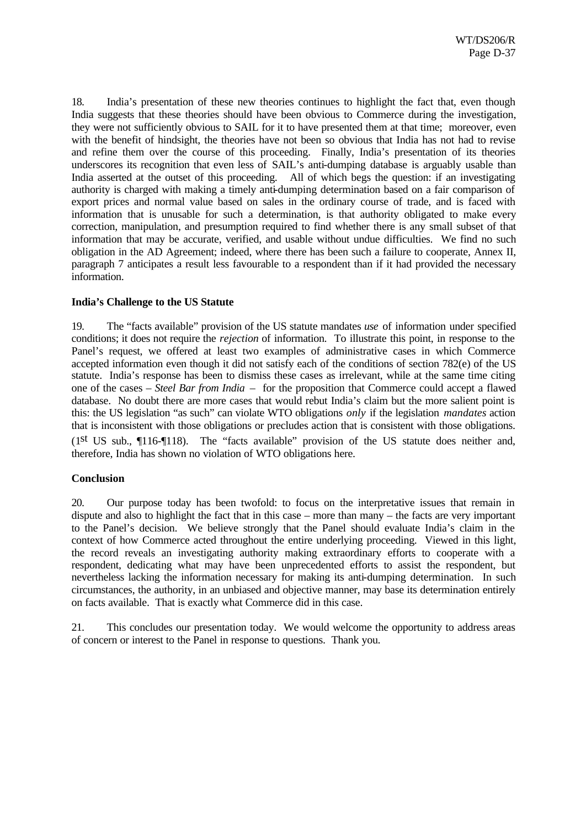18. India's presentation of these new theories continues to highlight the fact that, even though India suggests that these theories should have been obvious to Commerce during the investigation, they were not sufficiently obvious to SAIL for it to have presented them at that time; moreover, even with the benefit of hindsight, the theories have not been so obvious that India has not had to revise and refine them over the course of this proceeding. Finally, India's presentation of its theories underscores its recognition that even less of SAIL's anti-dumping database is arguably usable than India asserted at the outset of this proceeding. All of which begs the question: if an investigating authority is charged with making a timely anti-dumping determination based on a fair comparison of export prices and normal value based on sales in the ordinary course of trade, and is faced with information that is unusable for such a determination, is that authority obligated to make every correction, manipulation, and presumption required to find whether there is any small subset of that information that may be accurate, verified, and usable without undue difficulties. We find no such obligation in the AD Agreement; indeed, where there has been such a failure to cooperate, Annex II, paragraph 7 anticipates a result less favourable to a respondent than if it had provided the necessary information.

### **India's Challenge to the US Statute**

19. The "facts available" provision of the US statute mandates *use* of information under specified conditions; it does not require the *rejection* of information. To illustrate this point, in response to the Panel's request, we offered at least two examples of administrative cases in which Commerce accepted information even though it did not satisfy each of the conditions of section 782(e) of the US statute. India's response has been to dismiss these cases as irrelevant, while at the same time citing one of the cases – *Steel Bar from India* – for the proposition that Commerce could accept a flawed database. No doubt there are more cases that would rebut India's claim but the more salient point is this: the US legislation "as such" can violate WTO obligations *only* if the legislation *mandates* action that is inconsistent with those obligations or precludes action that is consistent with those obligations. (1st US sub., ¶116-¶118). The "facts available" provision of the US statute does neither and, therefore, India has shown no violation of WTO obligations here.

#### **Conclusion**

20. Our purpose today has been twofold: to focus on the interpretative issues that remain in dispute and also to highlight the fact that in this case – more than many – the facts are very important to the Panel's decision. We believe strongly that the Panel should evaluate India's claim in the context of how Commerce acted throughout the entire underlying proceeding. Viewed in this light, the record reveals an investigating authority making extraordinary efforts to cooperate with a respondent, dedicating what may have been unprecedented efforts to assist the respondent, but nevertheless lacking the information necessary for making its anti-dumping determination. In such circumstances, the authority, in an unbiased and objective manner, may base its determination entirely on facts available. That is exactly what Commerce did in this case.

21. This concludes our presentation today. We would welcome the opportunity to address areas of concern or interest to the Panel in response to questions. Thank you.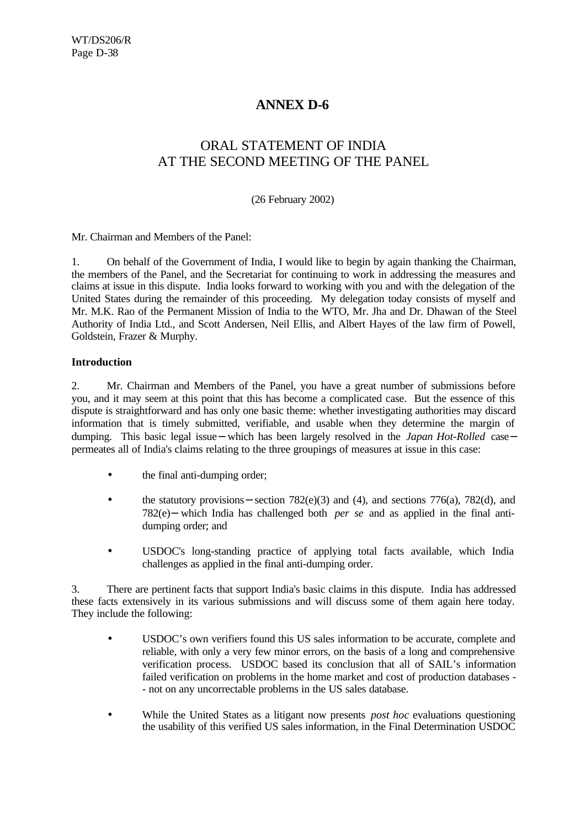# **ANNEX D-6**

# ORAL STATEMENT OF INDIA AT THE SECOND MEETING OF THE PANEL

(26 February 2002)

Mr. Chairman and Members of the Panel:

1. On behalf of the Government of India, I would like to begin by again thanking the Chairman, the members of the Panel, and the Secretariat for continuing to work in addressing the measures and claims at issue in this dispute. India looks forward to working with you and with the delegation of the United States during the remainder of this proceeding. My delegation today consists of myself and Mr. M.K. Rao of the Permanent Mission of India to the WTO, Mr. Jha and Dr. Dhawan of the Steel Authority of India Ltd., and Scott Andersen, Neil Ellis, and Albert Hayes of the law firm of Powell, Goldstein, Frazer & Murphy.

### **Introduction**

2. Mr. Chairman and Members of the Panel, you have a great number of submissions before you, and it may seem at this point that this has become a complicated case. But the essence of this dispute is straightforward and has only one basic theme: whether investigating authorities may discard information that is timely submitted, verifiable, and usable when they determine the margin of dumping. This basic legal issue− which has been largely resolved in the *Japan Hot-Rolled* case− permeates all of India's claims relating to the three groupings of measures at issue in this case:

- the final anti-dumping order;
- the statutory provisions− section 782(e)(3) and (4), and sections 776(a), 782(d), and 782(e)− which India has challenged both *per se* and as applied in the final antidumping order; and
- USDOC's long-standing practice of applying total facts available, which India challenges as applied in the final anti-dumping order.

3. There are pertinent facts that support India's basic claims in this dispute. India has addressed these facts extensively in its various submissions and will discuss some of them again here today. They include the following:

- USDOC's own verifiers found this US sales information to be accurate, complete and reliable, with only a very few minor errors, on the basis of a long and comprehensive verification process. USDOC based its conclusion that all of SAIL's information failed verification on problems in the home market and cost of production databases - - not on any uncorrectable problems in the US sales database.
- While the United States as a litigant now presents *post hoc* evaluations questioning the usability of this verified US sales information, in the Final Determination USDOC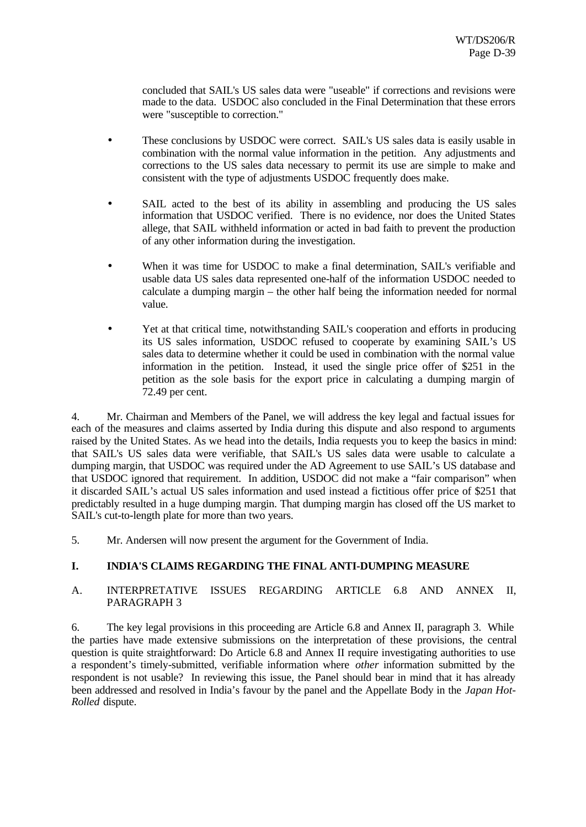concluded that SAIL's US sales data were "useable" if corrections and revisions were made to the data. USDOC also concluded in the Final Determination that these errors were "susceptible to correction."

- These conclusions by USDOC were correct. SAIL's US sales data is easily usable in combination with the normal value information in the petition. Any adjustments and corrections to the US sales data necessary to permit its use are simple to make and consistent with the type of adjustments USDOC frequently does make.
- SAIL acted to the best of its ability in assembling and producing the US sales information that USDOC verified. There is no evidence, nor does the United States allege, that SAIL withheld information or acted in bad faith to prevent the production of any other information during the investigation.
- When it was time for USDOC to make a final determination, SAIL's verifiable and usable data US sales data represented one-half of the information USDOC needed to calculate a dumping margin – the other half being the information needed for normal value.
- Yet at that critical time, notwithstanding SAIL's cooperation and efforts in producing its US sales information, USDOC refused to cooperate by examining SAIL's US sales data to determine whether it could be used in combination with the normal value information in the petition. Instead, it used the single price offer of \$251 in the petition as the sole basis for the export price in calculating a dumping margin of 72.49 per cent.

4. Mr. Chairman and Members of the Panel, we will address the key legal and factual issues for each of the measures and claims asserted by India during this dispute and also respond to arguments raised by the United States. As we head into the details, India requests you to keep the basics in mind: that SAIL's US sales data were verifiable, that SAIL's US sales data were usable to calculate a dumping margin, that USDOC was required under the AD Agreement to use SAIL's US database and that USDOC ignored that requirement. In addition, USDOC did not make a "fair comparison" when it discarded SAIL's actual US sales information and used instead a fictitious offer price of \$251 that predictably resulted in a huge dumping margin. That dumping margin has closed off the US market to SAIL's cut-to-length plate for more than two years.

5. Mr. Andersen will now present the argument for the Government of India.

# **I. INDIA'S CLAIMS REGARDING THE FINAL ANTI-DUMPING MEASURE**

### A. INTERPRETATIVE ISSUES REGARDING ARTICLE 6.8 AND ANNEX II, PARAGRAPH 3

6. The key legal provisions in this proceeding are Article 6.8 and Annex II, paragraph 3. While the parties have made extensive submissions on the interpretation of these provisions, the central question is quite straightforward: Do Article 6.8 and Annex II require investigating authorities to use a respondent's timely-submitted, verifiable information where *other* information submitted by the respondent is not usable? In reviewing this issue, the Panel should bear in mind that it has already been addressed and resolved in India's favour by the panel and the Appellate Body in the *Japan Hot-Rolled* dispute.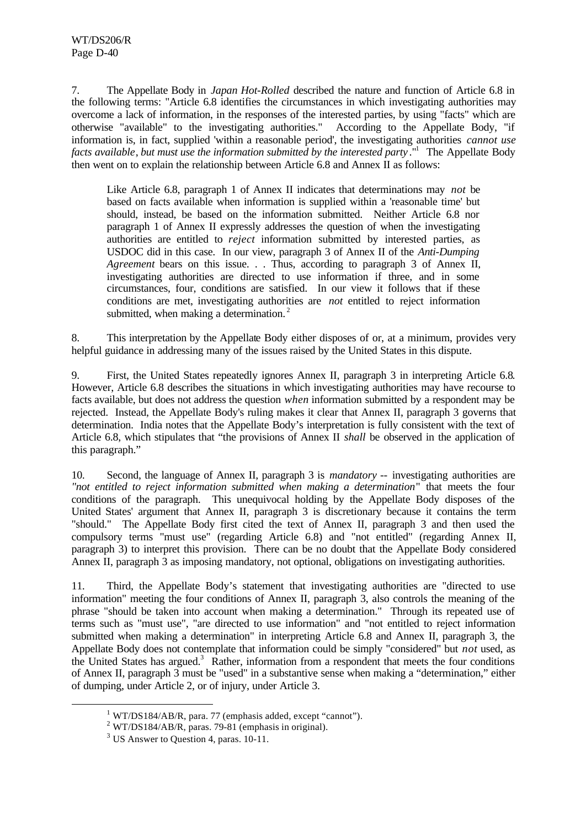7. The Appellate Body in *Japan Hot-Rolled* described the nature and function of Article 6.8 in the following terms: "Article 6.8 identifies the circumstances in which investigating authorities may overcome a lack of information, in the responses of the interested parties, by using "facts" which are otherwise "available" to the investigating authorities." According to the Appellate Body, "if information is, in fact, supplied 'within a reasonable period', the investigating authorities *cannot use* facts available, but must use the information submitted by the interested party."<sup>1</sup> The Appellate Body then went on to explain the relationship between Article 6.8 and Annex II as follows:

Like Article 6.8, paragraph 1 of Annex II indicates that determinations may *not* be based on facts available when information is supplied within a 'reasonable time' but should, instead, be based on the information submitted. Neither Article 6.8 nor paragraph 1 of Annex II expressly addresses the question of when the investigating authorities are entitled to *reject* information submitted by interested parties, as USDOC did in this case. In our view, paragraph 3 of Annex II of the *Anti-Dumping Agreement* bears on this issue. . . Thus, according to paragraph 3 of Annex II, investigating authorities are directed to use information if three, and in some circumstances, four, conditions are satisfied. In our view it follows that if these conditions are met, investigating authorities are *not* entitled to reject information submitted, when making a determination.<sup>2</sup>

8. This interpretation by the Appellate Body either disposes of or, at a minimum, provides very helpful guidance in addressing many of the issues raised by the United States in this dispute.

9. First, the United States repeatedly ignores Annex II, paragraph 3 in interpreting Article 6.8. However, Article 6.8 describes the situations in which investigating authorities may have recourse to facts available, but does not address the question *when* information submitted by a respondent may be rejected. Instead, the Appellate Body's ruling makes it clear that Annex II, paragraph 3 governs that determination. India notes that the Appellate Body's interpretation is fully consistent with the text of Article 6.8, which stipulates that "the provisions of Annex II *shall* be observed in the application of this paragraph."

10. Second, the language of Annex II, paragraph 3 is *mandatory --* investigating authorities are *"not entitled to reject information submitted when making a determination*" that meets the four conditions of the paragraph. This unequivocal holding by the Appellate Body disposes of the United States' argument that Annex II, paragraph 3 is discretionary because it contains the term "should." The Appellate Body first cited the text of Annex II, paragraph 3 and then used the compulsory terms "must use" (regarding Article 6.8) and "not entitled" (regarding Annex II, paragraph 3) to interpret this provision. There can be no doubt that the Appellate Body considered Annex II, paragraph 3 as imposing mandatory, not optional, obligations on investigating authorities.

11. Third, the Appellate Body's statement that investigating authorities are "directed to use information" meeting the four conditions of Annex II, paragraph 3, also controls the meaning of the phrase "should be taken into account when making a determination." Through its repeated use of terms such as "must use", "are directed to use information" and "not entitled to reject information submitted when making a determination" in interpreting Article 6.8 and Annex II, paragraph 3, the Appellate Body does not contemplate that information could be simply "considered" but *not* used, as the United States has argued.<sup>3</sup> Rather, information from a respondent that meets the four conditions of Annex II, paragraph 3 must be "used" in a substantive sense when making a "determination," either of dumping, under Article 2, or of injury, under Article 3.

 $1$  WT/DS184/AB/R, para. 77 (emphasis added, except "cannot").

 $2$  WT/DS184/AB/R, paras. 79-81 (emphasis in original).

<sup>&</sup>lt;sup>3</sup> US Answer to Question 4, paras. 10-11.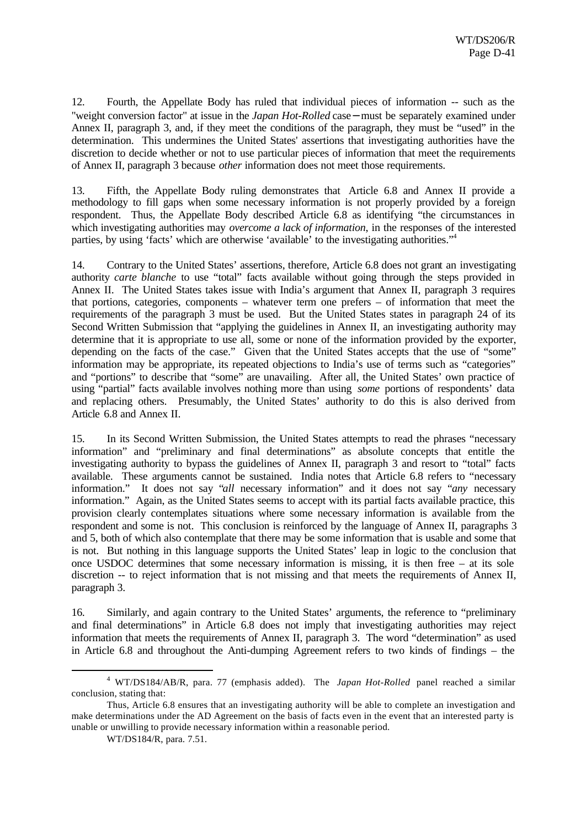12. Fourth, the Appellate Body has ruled that individual pieces of information -- such as the "weight conversion factor" at issue in the *Japan Hot-Rolled* case− must be separately examined under Annex II, paragraph 3, and, if they meet the conditions of the paragraph, they must be "used" in the determination. This undermines the United States' assertions that investigating authorities have the discretion to decide whether or not to use particular pieces of information that meet the requirements of Annex II, paragraph 3 because *other* information does not meet those requirements.

13. Fifth, the Appellate Body ruling demonstrates that Article 6.8 and Annex II provide a methodology to fill gaps when some necessary information is not properly provided by a foreign respondent. Thus, the Appellate Body described Article 6.8 as identifying "the circumstances in which investigating authorities may *overcome a lack of information*, in the responses of the interested parties, by using 'facts' which are otherwise 'available' to the investigating authorities."<sup>4</sup>

14. Contrary to the United States' assertions, therefore, Article 6.8 does not grant an investigating authority *carte blanche* to use "total" facts available without going through the steps provided in Annex II. The United States takes issue with India's argument that Annex II, paragraph 3 requires that portions, categories, components – whatever term one prefers – of information that meet the requirements of the paragraph 3 must be used. But the United States states in paragraph 24 of its Second Written Submission that "applying the guidelines in Annex II, an investigating authority may determine that it is appropriate to use all, some or none of the information provided by the exporter, depending on the facts of the case." Given that the United States accepts that the use of "some" information may be appropriate, its repeated objections to India's use of terms such as "categories" and "portions" to describe that "some" are unavailing. After all, the United States' own practice of using "partial" facts available involves nothing more than using *some* portions of respondents' data and replacing others. Presumably, the United States' authority to do this is also derived from Article 6.8 and Annex II.

15. In its Second Written Submission, the United States attempts to read the phrases "necessary information" and "preliminary and final determinations" as absolute concepts that entitle the investigating authority to bypass the guidelines of Annex II, paragraph 3 and resort to "total" facts available. These arguments cannot be sustained. India notes that Article 6.8 refers to "necessary information." It does not say "*all* necessary information" and it does not say "*any* necessary information." Again, as the United States seems to accept with its partial facts available practice, this provision clearly contemplates situations where some necessary information is available from the respondent and some is not. This conclusion is reinforced by the language of Annex II, paragraphs 3 and 5, both of which also contemplate that there may be some information that is usable and some that is not. But nothing in this language supports the United States' leap in logic to the conclusion that once USDOC determines that some necessary information is missing, it is then free  $-$  at its sole discretion -- to reject information that is not missing and that meets the requirements of Annex II, paragraph 3.

16. Similarly, and again contrary to the United States' arguments, the reference to "preliminary and final determinations" in Article 6.8 does not imply that investigating authorities may reject information that meets the requirements of Annex II, paragraph 3. The word "determination" as used in Article 6.8 and throughout the Anti-dumping Agreement refers to two kinds of findings – the

<sup>4</sup> WT/DS184/AB/R, para. 77 (emphasis added). The *Japan Hot-Rolled* panel reached a similar conclusion, stating that:

Thus, Article 6.8 ensures that an investigating authority will be able to complete an investigation and make determinations under the AD Agreement on the basis of facts even in the event that an interested party is unable or unwilling to provide necessary information within a reasonable period.

WT/DS184/R, para. 7.51.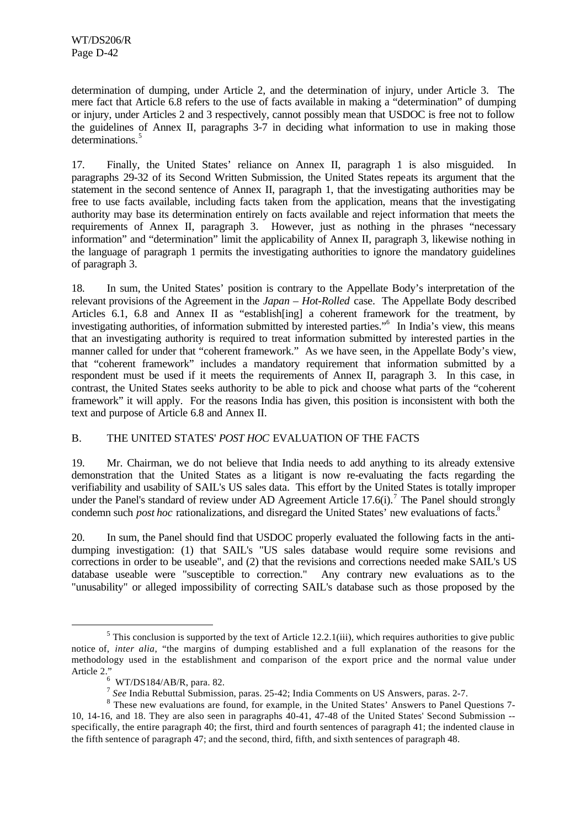determination of dumping, under Article 2, and the determination of injury, under Article 3. The mere fact that Article 6.8 refers to the use of facts available in making a "determination" of dumping or injury, under Articles 2 and 3 respectively, cannot possibly mean that USDOC is free not to follow the guidelines of Annex II, paragraphs 3-7 in deciding what information to use in making those determinations.<sup>5</sup>

17. Finally, the United States' reliance on Annex II, paragraph 1 is also misguided. In paragraphs 29-32 of its Second Written Submission, the United States repeats its argument that the statement in the second sentence of Annex II, paragraph 1, that the investigating authorities may be free to use facts available, including facts taken from the application, means that the investigating authority may base its determination entirely on facts available and reject information that meets the requirements of Annex II, paragraph 3. However, just as nothing in the phrases "necessary information" and "determination" limit the applicability of Annex II, paragraph 3, likewise nothing in the language of paragraph 1 permits the investigating authorities to ignore the mandatory guidelines of paragraph 3.

18. In sum, the United States' position is contrary to the Appellate Body's interpretation of the relevant provisions of the Agreement in the *Japan – Hot-Rolled* case. The Appellate Body described Articles 6.1, 6.8 and Annex II as "establish[ing] a coherent framework for the treatment, by investigating authorities, of information submitted by interested parties."<sup>6</sup> In India's view, this means that an investigating authority is required to treat information submitted by interested parties in the manner called for under that "coherent framework." As we have seen, in the Appellate Body's view, that "coherent framework" includes a mandatory requirement that information submitted by a respondent must be used if it meets the requirements of Annex II, paragraph 3. In this case, in contrast, the United States seeks authority to be able to pick and choose what parts of the "coherent framework" it will apply. For the reasons India has given, this position is inconsistent with both the text and purpose of Article 6.8 and Annex II.

# B. THE UNITED STATES' *POST HOC* EVALUATION OF THE FACTS

19. Mr. Chairman, we do not believe that India needs to add anything to its already extensive demonstration that the United States as a litigant is now re-evaluating the facts regarding the verifiability and usability of SAIL's US sales data. This effort by the United States is totally improper under the Panel's standard of review under AD Agreement Article 17.6(i).<sup>7</sup> The Panel should strongly condemn such *post hoc* rationalizations, and disregard the United States' new evaluations of facts.<sup>8</sup>

20. In sum, the Panel should find that USDOC properly evaluated the following facts in the antidumping investigation: (1) that SAIL's "US sales database would require some revisions and corrections in order to be useable", and (2) that the revisions and corrections needed make SAIL's US database useable were "susceptible to correction." Any contrary new evaluations as to the "unusability" or alleged impossibility of correcting SAIL's database such as those proposed by the

 $<sup>5</sup>$  This conclusion is supported by the text of Article 12.2.1(iii), which requires authorities to give public</sup> notice of, *inter alia*, "the margins of dumping established and a full explanation of the reasons for the methodology used in the establishment and comparison of the export price and the normal value under Article 2."<br>
<sup>6</sup> WT/DS184/AB/R, para. 82.<br>
<sup>7</sup> See India Bebuttal Submissi

*See* India Rebuttal Submission, paras. 25-42; India Comments on US Answers, paras. 2-7.

<sup>&</sup>lt;sup>8</sup> These new evaluations are found, for example, in the United States' Answers to Panel Questions 7-10, 14-16, and 18. They are also seen in paragraphs 40-41, 47-48 of the United States' Second Submission - specifically, the entire paragraph 40; the first, third and fourth sentences of paragraph 41; the indented clause in the fifth sentence of paragraph 47; and the second, third, fifth, and sixth sentences of paragraph 48.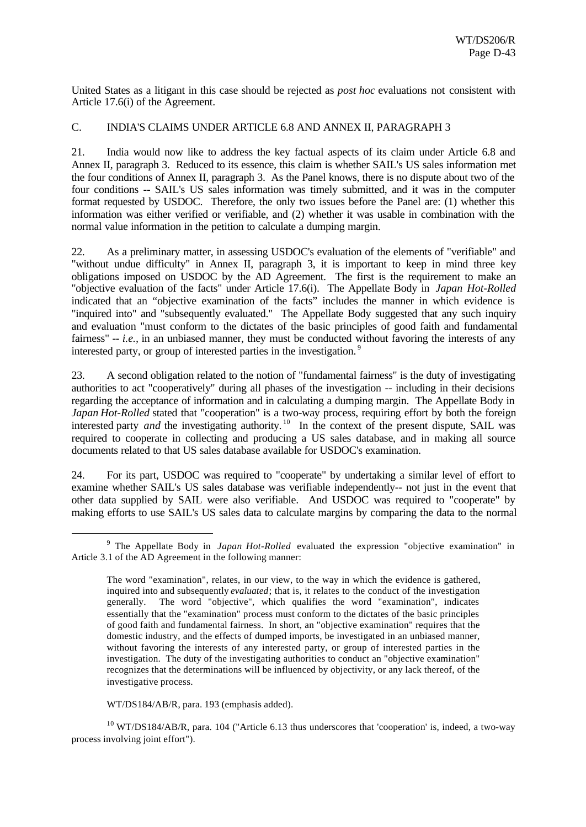United States as a litigant in this case should be rejected as *post hoc* evaluations not consistent with Article 17.6(i) of the Agreement.

#### C. INDIA'S CLAIMS UNDER ARTICLE 6.8 AND ANNEX II, PARAGRAPH 3

21. India would now like to address the key factual aspects of its claim under Article 6.8 and Annex II, paragraph 3. Reduced to its essence, this claim is whether SAIL's US sales information met the four conditions of Annex II, paragraph 3. As the Panel knows, there is no dispute about two of the four conditions -- SAIL's US sales information was timely submitted, and it was in the computer format requested by USDOC. Therefore, the only two issues before the Panel are: (1) whether this information was either verified or verifiable, and (2) whether it was usable in combination with the normal value information in the petition to calculate a dumping margin.

22. As a preliminary matter, in assessing USDOC's evaluation of the elements of "verifiable" and "without undue difficulty" in Annex II, paragraph 3, it is important to keep in mind three key obligations imposed on USDOC by the AD Agreement. The first is the requirement to make an "objective evaluation of the facts" under Article 17.6(i). The Appellate Body in *Japan Hot-Rolled* indicated that an "objective examination of the facts" includes the manner in which evidence is "inquired into" and "subsequently evaluated." The Appellate Body suggested that any such inquiry and evaluation "must conform to the dictates of the basic principles of good faith and fundamental fairness" -- *i.e.*, in an unbiased manner, they must be conducted without favoring the interests of any interested party, or group of interested parties in the investigation.<sup>9</sup>

23. A second obligation related to the notion of "fundamental fairness" is the duty of investigating authorities to act "cooperatively" during all phases of the investigation -- including in their decisions regarding the acceptance of information and in calculating a dumping margin. The Appellate Body in *Japan Hot-Rolled* stated that "cooperation" is a two-way process, requiring effort by both the foreign interested party *and* the investigating authority.<sup>10</sup> In the context of the present dispute, SAIL was required to cooperate in collecting and producing a US sales database, and in making all source documents related to that US sales database available for USDOC's examination.

24. For its part, USDOC was required to "cooperate" by undertaking a similar level of effort to examine whether SAIL's US sales database was verifiable independently-- not just in the event that other data supplied by SAIL were also verifiable. And USDOC was required to "cooperate" by making efforts to use SAIL's US sales data to calculate margins by comparing the data to the normal

WT/DS184/AB/R, para. 193 (emphasis added).

l

 $10$  WT/DS184/AB/R, para. 104 ("Article 6.13 thus underscores that 'cooperation' is, indeed, a two-way process involving joint effort").

<sup>9</sup> The Appellate Body in *Japan Hot-Rolled* evaluated the expression "objective examination" in Article 3.1 of the AD Agreement in the following manner:

The word "examination", relates, in our view, to the way in which the evidence is gathered, inquired into and subsequently *evaluated*; that is, it relates to the conduct of the investigation generally. The word "objective", which qualifies the word "examination", indicates essentially that the "examination" process must conform to the dictates of the basic principles of good faith and fundamental fairness. In short, an "objective examination" requires that the domestic industry, and the effects of dumped imports, be investigated in an unbiased manner, without favoring the interests of any interested party, or group of interested parties in the investigation. The duty of the investigating authorities to conduct an "objective examination" recognizes that the determinations will be influenced by objectivity, or any lack thereof, of the investigative process.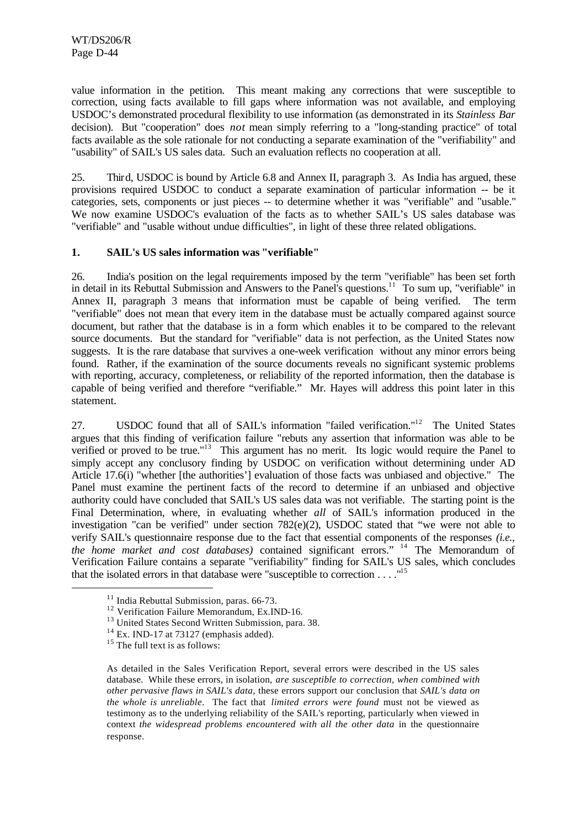value information in the petition. This meant making any corrections that were susceptible to correction, using facts available to fill gaps where information was not available, and employing USDOC's demonstrated procedural flexibility to use information (as demonstrated in its *Stainless Bar* decision). But "cooperation" does *not* mean simply referring to a "long-standing practice" of total facts available as the sole rationale for not conducting a separate examination of the "verifiability" and "usability" of SAIL's US sales data. Such an evaluation reflects no cooperation at all.

25. Third, USDOC is bound by Article 6.8 and Annex II, paragraph 3. As India has argued, these provisions required USDOC to conduct a separate examination of particular information -- be it categories, sets, components or just pieces -- to determine whether it was "verifiable" and "usable." We now examine USDOC's evaluation of the facts as to whether SAIL's US sales database was "verifiable" and "usable without undue difficulties", in light of these three related obligations.

### **1. SAIL's US sales information was "verifiable"**

26. India's position on the legal requirements imposed by the term "verifiable" has been set forth in detail in its Rebuttal Submission and Answers to the Panel's questions.<sup>11</sup> To sum up, "verifiable" in Annex II, paragraph 3 means that information must be capable of being verified. The term "verifiable" does not mean that every item in the database must be actually compared against source document, but rather that the database is in a form which enables it to be compared to the relevant source documents. But the standard for "verifiable" data is not perfection, as the United States now suggests. It is the rare database that survives a one-week verification without any minor errors being found. Rather, if the examination of the source documents reveals no significant systemic problems with reporting, accuracy, completeness, or reliability of the reported information, then the database is capable of being verified and therefore "verifiable." Mr. Hayes will address this point later in this statement.

27. USDOC found that all of SAIL's information "failed verification."<sup>12</sup> The United States argues that this finding of verification failure "rebuts any assertion that information was able to be verified or proved to be true."<sup>13</sup> This argument has no merit. Its logic would require the Panel to simply accept any conclusory finding by USDOC on verification without determining under AD Article 17.6(i) "whether [the authorities'] evaluation of those facts was unbiased and objective." The Panel must examine the pertinent facts of the record to determine if an unbiased and objective authority could have concluded that SAIL's US sales data was not verifiable. The starting point is the Final Determination, where, in evaluating whether *all* of SAIL's information produced in the investigation "can be verified" under section 782(e)(2), USDOC stated that "we were not able to verify SAIL's questionnaire response due to the fact that essential components of the responses *(i.e., the home market and cost databases)* contained significant errors." <sup>14</sup> The Memorandum of Verification Failure contains a separate "verifiability" finding for SAIL's US sales, which concludes that the isolated errors in that database were "susceptible to correction . . . ."<sup>15</sup>

<sup>&</sup>lt;sup>11</sup> India Rebuttal Submission, paras. 66-73.

<sup>&</sup>lt;sup>12</sup> Verification Failure Memorandum, Ex.IND-16.

<sup>&</sup>lt;sup>13</sup> United States Second Written Submission, para. 38.

 $14$  Ex. IND-17 at 73127 (emphasis added).

<sup>&</sup>lt;sup>15</sup> The full text is as follows:

As detailed in the Sales Verification Report, several errors were described in the US sales database. While these errors, in isolation, *are susceptible to correction, when combined with other pervasive flaws in SAIL's data*, these errors support our conclusion that *SAIL's data on the whole is unreliable*. The fact that *limited errors were found* must not be viewed as testimony as to the underlying reliability of the SAIL's reporting, particularly when viewed in context *the widespread problems encountered with all the other data* in the questionnaire response.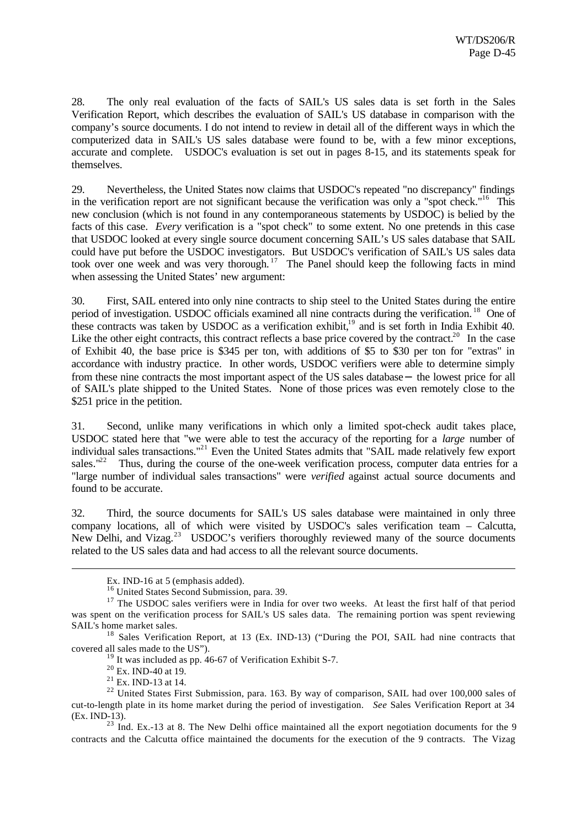28. The only real evaluation of the facts of SAIL's US sales data is set forth in the Sales Verification Report, which describes the evaluation of SAIL's US database in comparison with the company's source documents. I do not intend to review in detail all of the different ways in which the computerized data in SAIL's US sales database were found to be, with a few minor exceptions, accurate and complete. USDOC's evaluation is set out in pages 8-15, and its statements speak for themselves.

29. Nevertheless, the United States now claims that USDOC's repeated "no discrepancy" findings in the verification report are not significant because the verification was only a "spot check."<sup>16</sup> This new conclusion (which is not found in any contemporaneous statements by USDOC) is belied by the facts of this case. *Every* verification is a "spot check" to some extent. No one pretends in this case that USDOC looked at every single source document concerning SAIL's US sales database that SAIL could have put before the USDOC investigators. But USDOC's verification of SAIL's US sales data took over one week and was very thorough.<sup>17</sup> The Panel should keep the following facts in mind when assessing the United States' new argument:

30. First, SAIL entered into only nine contracts to ship steel to the United States during the entire period of investigation. USDOC officials examined all nine contracts during the verification.<sup>18</sup> One of these contracts was taken by USDOC as a verification exhibit,<sup>19</sup> and is set forth in India Exhibit 40. Like the other eight contracts, this contract reflects a base price covered by the contract.<sup>20</sup> In the case of Exhibit 40, the base price is \$345 per ton, with additions of \$5 to \$30 per ton for "extras" in accordance with industry practice. In other words, USDOC verifiers were able to determine simply from these nine contracts the most important aspect of the US sales database− the lowest price for all of SAIL's plate shipped to the United States. None of those prices was even remotely close to the \$251 price in the petition.

31. Second, unlike many verifications in which only a limited spot-check audit takes place, USDOC stated here that "we were able to test the accuracy of the reporting for a *large* number of individual sales transactions."<sup>21</sup> Even the United States admits that "SAIL made relatively few export sales." $^{22}$  Thus, during the course of the one-week verification process, computer data entries for a "large number of individual sales transactions" were *verified* against actual source documents and found to be accurate.

32. Third, the source documents for SAIL's US sales database were maintained in only three company locations, all of which were visited by USDOC's sales verification team – Calcutta, New Delhi, and Vizag.<sup>23</sup> USDOC's verifiers thoroughly reviewed many of the source documents related to the US sales data and had access to all the relevant source documents.

<sup>20</sup> Ex. IND-40 at 19.

l

<sup>21</sup> Ex. IND-13 at 14.

Ex. IND-16 at 5 (emphasis added).

<sup>&</sup>lt;sup>16</sup> United States Second Submission, para. 39.

<sup>&</sup>lt;sup>17</sup> The USDOC sales verifiers were in India for over two weeks. At least the first half of that period was spent on the verification process for SAIL's US sales data. The remaining portion was spent reviewing SAIL's home market sales.

 $18$  Sales Verification Report, at 13 (Ex. IND-13) ("During the POI, SAIL had nine contracts that covered all sales made to the US").

 $19$  It was included as pp. 46-67 of Verification Exhibit S-7.

<sup>&</sup>lt;sup>22</sup> United States First Submission, para. 163. By way of comparison, SAIL had over 100,000 sales of cut-to-length plate in its home market during the period of investigation. *See* Sales Verification Report at 34 (Ex. IND-13).

 $23$  Ind. Ex.-13 at 8. The New Delhi office maintained all the export negotiation documents for the 9 contracts and the Calcutta office maintained the documents for the execution of the 9 contracts. The Vizag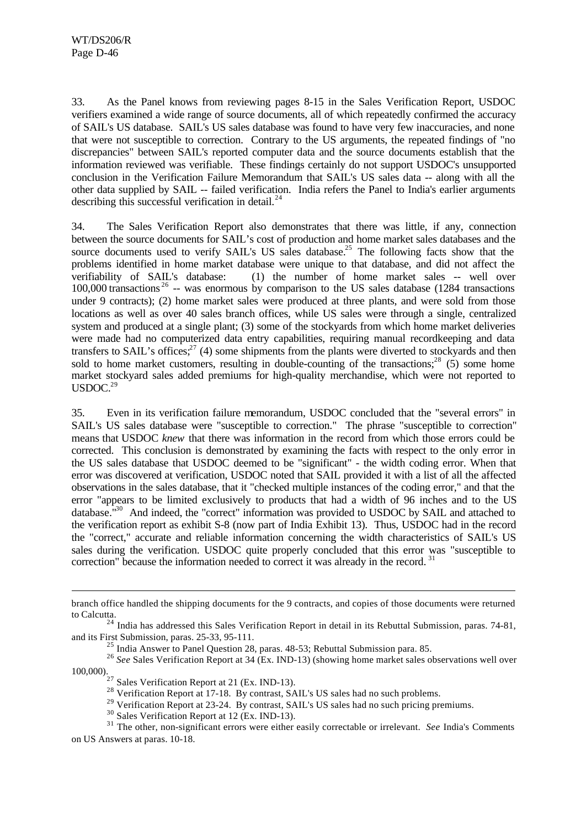l

33. As the Panel knows from reviewing pages 8-15 in the Sales Verification Report, USDOC verifiers examined a wide range of source documents, all of which repeatedly confirmed the accuracy of SAIL's US database. SAIL's US sales database was found to have very few inaccuracies, and none that were not susceptible to correction. Contrary to the US arguments, the repeated findings of "no discrepancies" between SAIL's reported computer data and the source documents establish that the information reviewed was verifiable. These findings certainly do not support USDOC's unsupported conclusion in the Verification Failure Memorandum that SAIL's US sales data -- along with all the other data supplied by SAIL -- failed verification. India refers the Panel to India's earlier arguments describing this successful verification in detail. $^{24}$ 

34. The Sales Verification Report also demonstrates that there was little, if any, connection between the source documents for SAIL's cost of production and home market sales databases and the source documents used to verify SAIL's US sales database.<sup>25</sup> The following facts show that the problems identified in home market database were unique to that database, and did not affect the verifiability of SAIL's database: (1) the number of home market sales -- well over 100,000 transactions<sup>26</sup> -- was enormous by comparison to the US sales database (1284 transactions under 9 contracts); (2) home market sales were produced at three plants, and were sold from those locations as well as over 40 sales branch offices, while US sales were through a single, centralized system and produced at a single plant; (3) some of the stockyards from which home market deliveries were made had no computerized data entry capabilities, requiring manual recordkeeping and data transfers to SAIL's offices; $^{27}$  (4) some shipments from the plants were diverted to stockyards and then sold to home market customers, resulting in double-counting of the transactions;<sup>28</sup> (5) some home market stockyard sales added premiums for high-quality merchandise, which were not reported to  $USDOC.<sup>29</sup>$ 

35. Even in its verification failure memorandum, USDOC concluded that the "several errors" in SAIL's US sales database were "susceptible to correction." The phrase "susceptible to correction" means that USDOC *knew* that there was information in the record from which those errors could be corrected. This conclusion is demonstrated by examining the facts with respect to the only error in the US sales database that USDOC deemed to be "significant" - the width coding error. When that error was discovered at verification, USDOC noted that SAIL provided it with a list of all the affected observations in the sales database, that it "checked multiple instances of the coding error," and that the error "appears to be limited exclusively to products that had a width of 96 inches and to the US database."<sup>30</sup> And indeed, the "correct" information was provided to USDOC by SAIL and attached to the verification report as exhibit S-8 (now part of India Exhibit 13). Thus, USDOC had in the record the "correct," accurate and reliable information concerning the width characteristics of SAIL's US sales during the verification. USDOC quite properly concluded that this error was "susceptible to correction" because the information needed to correct it was already in the record.<sup>31</sup>

branch office handled the shipping documents for the 9 contracts, and copies of those documents were returned to Calcutta.

 $^{24}$  India has addressed this Sales Verification Report in detail in its Rebuttal Submission, paras. 74-81, and its First Submission, paras. 25-33, 95-111. and its First Submission, paras. 25-33, 95-111.<br><sup>25</sup> India Answer to Panel Question 28, paras. 48-53; Rebuttal Submission para. 85.

<sup>&</sup>lt;sup>26</sup> See Sales Verification Report at 34 (Ex. IND-13) (showing home market sales observations well over 100,000).

 $27$  Sales Verification Report at 21 (Ex. IND-13).

<sup>&</sup>lt;sup>28</sup> Verification Report at 17-18. By contrast, SAIL's US sales had no such problems.

<sup>&</sup>lt;sup>29</sup> Verification Report at 23-24. By contrast, SAIL's US sales had no such pricing premiums.

<sup>&</sup>lt;sup>30</sup> Sales Verification Report at 12 (Ex. IND-13).

<sup>&</sup>lt;sup>31</sup> The other, non-significant errors were either easily correctable or irrelevant. *See* India's Comments on US Answers at paras. 10-18.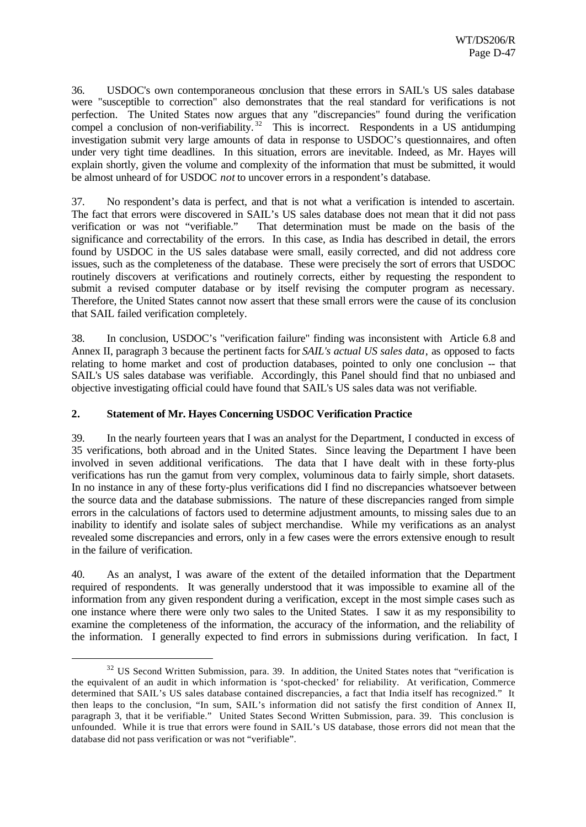36. USDOC's own contemporaneous conclusion that these errors in SAIL's US sales database were "susceptible to correction" also demonstrates that the real standard for verifications is not perfection. The United States now argues that any "discrepancies" found during the verification compel a conclusion of non-verifiability.<sup>32</sup> This is incorrect. Respondents in a US antidumping investigation submit very large amounts of data in response to USDOC's questionnaires, and often under very tight time deadlines. In this situation, errors are inevitable. Indeed, as Mr. Hayes will explain shortly, given the volume and complexity of the information that must be submitted, it would be almost unheard of for USDOC *not* to uncover errors in a respondent's database.

37. No respondent's data is perfect, and that is not what a verification is intended to ascertain. The fact that errors were discovered in SAIL's US sales database does not mean that it did not pass verification or was not "verifiable." That determination must be made on the basis of the significance and correctability of the errors. In this case, as India has described in detail, the errors found by USDOC in the US sales database were small, easily corrected, and did not address core issues, such as the completeness of the database. These were precisely the sort of errors that USDOC routinely discovers at verifications and routinely corrects, either by requesting the respondent to submit a revised computer database or by itself revising the computer program as necessary. Therefore, the United States cannot now assert that these small errors were the cause of its conclusion that SAIL failed verification completely.

38. In conclusion, USDOC's "verification failure" finding was inconsistent with Article 6.8 and Annex II, paragraph 3 because the pertinent facts for *SAIL's actual US sales data*, as opposed to facts relating to home market and cost of production databases, pointed to only one conclusion -- that SAIL's US sales database was verifiable. Accordingly, this Panel should find that no unbiased and objective investigating official could have found that SAIL's US sales data was not verifiable.

# **2. Statement of Mr. Hayes Concerning USDOC Verification Practice**

l

39. In the nearly fourteen years that I was an analyst for the Department, I conducted in excess of 35 verifications, both abroad and in the United States. Since leaving the Department I have been involved in seven additional verifications. The data that I have dealt with in these forty-plus verifications has run the gamut from very complex, voluminous data to fairly simple, short datasets. In no instance in any of these forty-plus verifications did I find no discrepancies whatsoever between the source data and the database submissions. The nature of these discrepancies ranged from simple errors in the calculations of factors used to determine adjustment amounts, to missing sales due to an inability to identify and isolate sales of subject merchandise. While my verifications as an analyst revealed some discrepancies and errors, only in a few cases were the errors extensive enough to result in the failure of verification.

40. As an analyst, I was aware of the extent of the detailed information that the Department required of respondents. It was generally understood that it was impossible to examine all of the information from any given respondent during a verification, except in the most simple cases such as one instance where there were only two sales to the United States. I saw it as my responsibility to examine the completeness of the information, the accuracy of the information, and the reliability of the information. I generally expected to find errors in submissions during verification. In fact, I

 $32$  US Second Written Submission, para. 39. In addition, the United States notes that "verification is the equivalent of an audit in which information is 'spot-checked' for reliability. At verification, Commerce determined that SAIL's US sales database contained discrepancies, a fact that India itself has recognized." It then leaps to the conclusion, "In sum, SAIL's information did not satisfy the first condition of Annex II, paragraph 3, that it be verifiable." United States Second Written Submission, para. 39. This conclusion is unfounded. While it is true that errors were found in SAIL's US database, those errors did not mean that the database did not pass verification or was not "verifiable".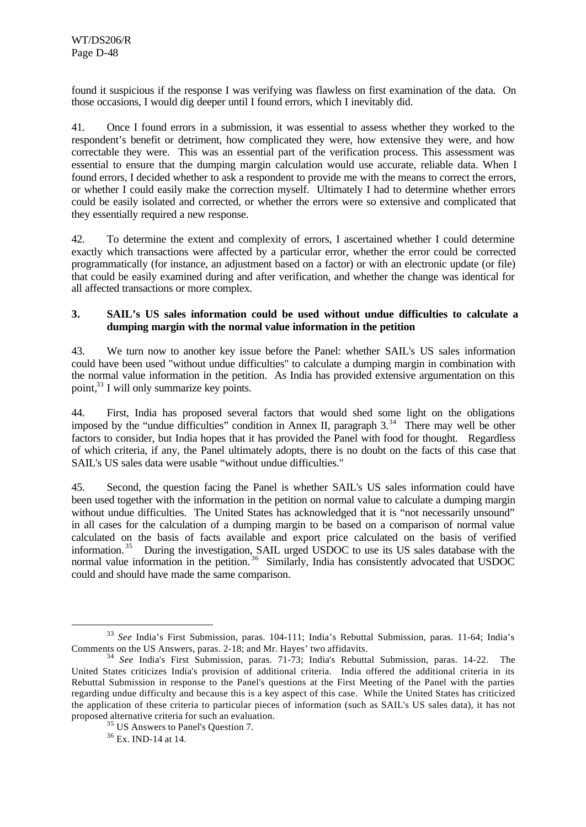found it suspicious if the response I was verifying was flawless on first examination of the data. On those occasions, I would dig deeper until I found errors, which I inevitably did.

41. Once I found errors in a submission, it was essential to assess whether they worked to the respondent's benefit or detriment, how complicated they were, how extensive they were, and how correctable they were. This was an essential part of the verification process. This assessment was essential to ensure that the dumping margin calculation would use accurate, reliable data. When I found errors, I decided whether to ask a respondent to provide me with the means to correct the errors, or whether I could easily make the correction myself. Ultimately I had to determine whether errors could be easily isolated and corrected, or whether the errors were so extensive and complicated that they essentially required a new response.

42. To determine the extent and complexity of errors, I ascertained whether I could determine exactly which transactions were affected by a particular error, whether the error could be corrected programmatically (for instance, an adjustment based on a factor) or with an electronic update (or file) that could be easily examined during and after verification, and whether the change was identical for all affected transactions or more complex.

### **3. SAIL's US sales information could be used without undue difficulties to calculate a dumping margin with the normal value information in the petition**

43. We turn now to another key issue before the Panel: whether SAIL's US sales information could have been used "without undue difficulties" to calculate a dumping margin in combination with the normal value information in the petition. As India has provided extensive argumentation on this point,<sup>33</sup> I will only summarize key points.

44. First, India has proposed several factors that would shed some light on the obligations imposed by the "undue difficulties" condition in Annex II, paragraph 3.<sup>34</sup> There may well be other factors to consider, but India hopes that it has provided the Panel with food for thought. Regardless of which criteria, if any, the Panel ultimately adopts, there is no doubt on the facts of this case that SAIL's US sales data were usable "without undue difficulties."

45. Second, the question facing the Panel is whether SAIL's US sales information could have been used together with the information in the petition on normal value to calculate a dumping margin without undue difficulties. The United States has acknowledged that it is "not necessarily unsound" in all cases for the calculation of a dumping margin to be based on a comparison of normal value calculated on the basis of facts available and export price calculated on the basis of verified information. <sup>35</sup> During the investigation, SAIL urged USDOC to use its US sales database with the normal value information in the petition.<sup>36</sup> Similarly, India has consistently advocated that USDOC could and should have made the same comparison.

<sup>33</sup> *See* India's First Submission, paras. 104-111; India's Rebuttal Submission, paras. 11-64; India's Comments on the US Answers, paras. 2-18; and Mr. Hayes' two affidavits.

<sup>34</sup> *See* India's First Submission, paras. 71-73; India's Rebuttal Submission, paras. 14-22. The United States criticizes India's provision of additional criteria. India offered the additional criteria in its Rebuttal Submission in response to the Panel's questions at the First Meeting of the Panel with the parties regarding undue difficulty and because this is a key aspect of this case. While the United States has criticized the application of these criteria to particular pieces of information (such as SAIL's US sales data), it has not proposed alternative criteria for such an evaluation.

<sup>&</sup>lt;sup>35</sup> US Answers to Panel's Question 7.

<sup>36</sup> Ex. IND-14 at 14.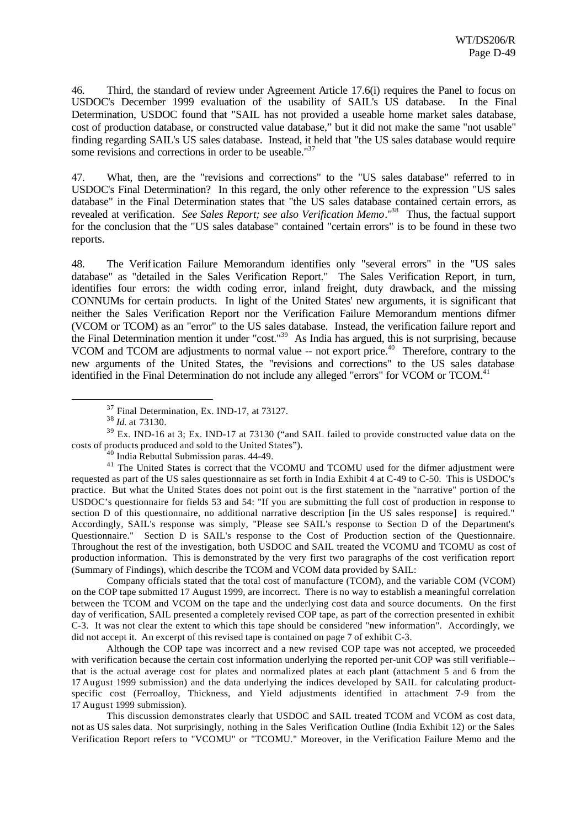46. Third, the standard of review under Agreement Article 17.6(i) requires the Panel to focus on USDOC's December 1999 evaluation of the usability of SAIL's US database. In the Final Determination, USDOC found that "SAIL has not provided a useable home market sales database, cost of production database, or constructed value database," but it did not make the same "not usable" finding regarding SAIL's US sales database. Instead, it held that "the US sales database would require some revisions and corrections in order to be useable."<sup>37</sup>

47. What, then, are the "revisions and corrections" to the "US sales database" referred to in USDOC's Final Determination? In this regard, the only other reference to the expression "US sales database" in the Final Determination states that "the US sales database contained certain errors, as revealed at verification. *See Sales Report; see also Verification Memo*."<sup>38</sup> Thus, the factual support for the conclusion that the "US sales database" contained "certain errors" is to be found in these two reports.

48. The Verification Failure Memorandum identifies only "several errors" in the "US sales database" as "detailed in the Sales Verification Report." The Sales Verification Report, in turn, identifies four errors: the width coding error, inland freight, duty drawback, and the missing CONNUMs for certain products. In light of the United States' new arguments, it is significant that neither the Sales Verification Report nor the Verification Failure Memorandum mentions difmer (VCOM or TCOM) as an "error" to the US sales database. Instead, the verification failure report and the Final Determination mention it under "cost."<sup>39</sup> As India has argued, this is not surprising, because VCOM and TCOM are adjustments to normal value -- not export price.<sup>40</sup> Therefore, contrary to the new arguments of the United States, the "revisions and corrections" to the US sales database identified in the Final Determination do not include any alleged "errors" for VCOM or TCOM.<sup>41</sup>

l

<sup>39</sup> Ex. IND-16 at 3; Ex. IND-17 at 73130 ("and SAIL failed to provide constructed value data on the costs of products produced and sold to the United States").

<sup>41</sup> The United States is correct that the VCOMU and TCOMU used for the difmer adjustment were requested as part of the US sales questionnaire as set forth in India Exhibit 4 at C-49 to C-50. This is USDOC's practice. But what the United States does not point out is the first statement in the "narrative" portion of the USDOC's questionnaire for fields 53 and 54: "If you are submitting the full cost of production in response to section D of this questionnaire, no additional narrative description [in the US sales response] is required." Accordingly, SAIL's response was simply, "Please see SAIL's response to Section D of the Department's Questionnaire." Section D is SAIL's response to the Cost of Production section of the Questionnaire. Throughout the rest of the investigation, both USDOC and SAIL treated the VCOMU and TCOMU as cost of production information. This is demonstrated by the very first two paragraphs of the cost verification report (Summary of Findings), which describe the TCOM and VCOM data provided by SAIL:

Company officials stated that the total cost of manufacture (TCOM), and the variable COM (VCOM) on the COP tape submitted 17 August 1999, are incorrect. There is no way to establish a meaningful correlation between the TCOM and VCOM on the tape and the underlying cost data and source documents. On the first day of verification, SAIL presented a completely revised COP tape, as part of the correction presented in exhibit C-3. It was not clear the extent to which this tape should be considered "new information". Accordingly, we did not accept it. An excerpt of this revised tape is contained on page 7 of exhibit C-3.

Although the COP tape was incorrect and a new revised COP tape was not accepted, we proceeded with verification because the certain cost information underlying the reported per-unit COP was still verifiable- that is the actual average cost for plates and normalized plates at each plant (attachment 5 and 6 from the 17 August 1999 submission) and the data underlying the indices developed by SAIL for calculating productspecific cost (Ferroalloy, Thickness, and Yield adjustments identified in attachment 7-9 from the 17 August 1999 submission).

This discussion demonstrates clearly that USDOC and SAIL treated TCOM and VCOM as cost data, not as US sales data. Not surprisingly, nothing in the Sales Verification Outline (India Exhibit 12) or the Sales Verification Report refers to "VCOMU" or "TCOMU." Moreover, in the Verification Failure Memo and the

<sup>&</sup>lt;sup>37</sup> Final Determination, Ex. IND-17, at 73127.

<sup>38</sup> *Id.* at 73130.

<sup>&</sup>lt;sup>40</sup> India Rebuttal Submission paras. 44-49.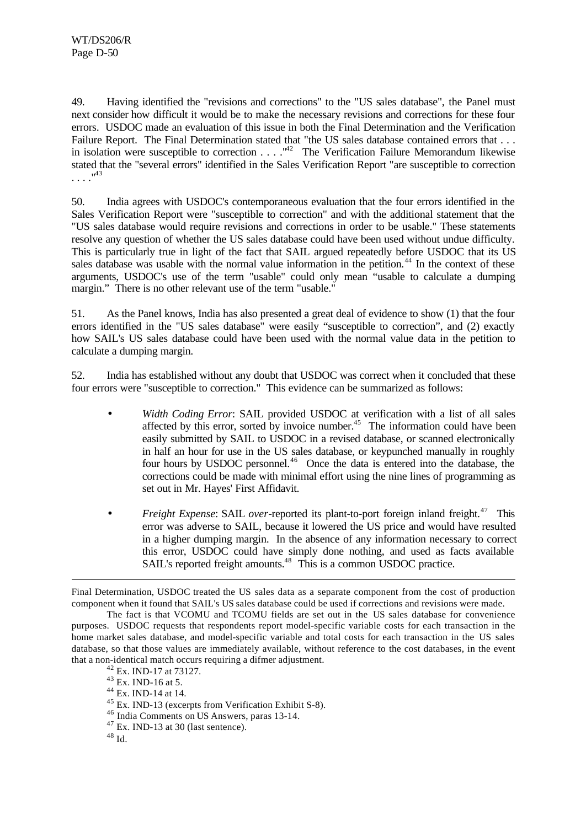49. Having identified the "revisions and corrections" to the "US sales database", the Panel must next consider how difficult it would be to make the necessary revisions and corrections for these four errors. USDOC made an evaluation of this issue in both the Final Determination and the Verification Failure Report. The Final Determination stated that "the US sales database contained errors that . . . in isolation were susceptible to correction . . .  $\cdot$  .<sup> $n42$ </sup> The Verification Failure Memorandum likewise stated that the "several errors" identified in the Sales Verification Report "are susceptible to correction  $\ldots$  .  $^{n43}$ 

50. India agrees with USDOC's contemporaneous evaluation that the four errors identified in the Sales Verification Report were "susceptible to correction" and with the additional statement that the "US sales database would require revisions and corrections in order to be usable." These statements resolve any question of whether the US sales database could have been used without undue difficulty. This is particularly true in light of the fact that SAIL argued repeatedly before USDOC that its US sales database was usable with the normal value information in the petition.<sup>44</sup> In the context of these arguments, USDOC's use of the term "usable" could only mean "usable to calculate a dumping margin." There is no other relevant use of the term "usable."

51. As the Panel knows, India has also presented a great deal of evidence to show (1) that the four errors identified in the "US sales database" were easily "susceptible to correction", and (2) exactly how SAIL's US sales database could have been used with the normal value data in the petition to calculate a dumping margin.

52. India has established without any doubt that USDOC was correct when it concluded that these four errors were "susceptible to correction." This evidence can be summarized as follows:

- *Width Coding Error*: SAIL provided USDOC at verification with a list of all sales affected by this error, sorted by invoice number.<sup>45</sup> The information could have been easily submitted by SAIL to USDOC in a revised database, or scanned electronically in half an hour for use in the US sales database, or keypunched manually in roughly four hours by USDOC personnel.<sup>46</sup> Once the data is entered into the database, the corrections could be made with minimal effort using the nine lines of programming as set out in Mr. Hayes' First Affidavit.
- *Freight Expense*: SAIL *over*-reported its plant-to-port foreign inland freight.<sup>47</sup> This error was adverse to SAIL, because it lowered the US price and would have resulted in a higher dumping margin. In the absence of any information necessary to correct this error, USDOC could have simply done nothing, and used as facts available SAIL's reported freight amounts.<sup>48</sup> This is a common USDOC practice.

Final Determination, USDOC treated the US sales data as a separate component from the cost of production component when it found that SAIL's US sales database could be used if corrections and revisions were made.

The fact is that VCOMU and TCOMU fields are set out in the US sales database for convenience purposes. USDOC requests that respondents report model-specific variable costs for each transaction in the home market sales database, and model-specific variable and total costs for each transaction in the US sales database, so that those values are immediately available, without reference to the cost databases, in the event that a non-identical match occurs requiring a difmer adjustment.

<sup>42</sup> Ex. IND-17 at 73127.

<sup>43</sup> Ex. IND-16 at 5.

<sup>44</sup> Ex. IND-14 at 14.

<sup>45</sup> Ex. IND-13 (excerpts from Verification Exhibit S-8).

<sup>46</sup> India Comments on US Answers, paras 13-14.

 $47$  Ex. IND-13 at 30 (last sentence).

<sup>48</sup> Id.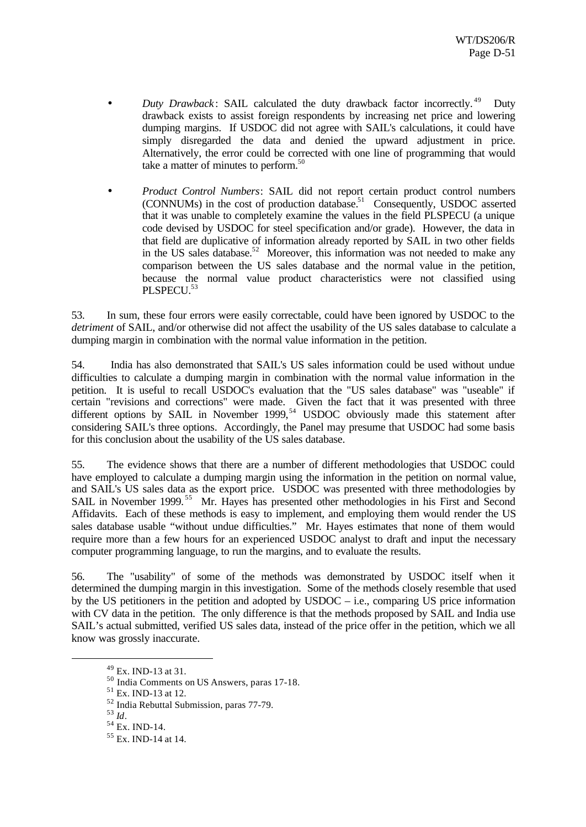- Duty Drawback: SAIL calculated the duty drawback factor incorrectly.<sup>49</sup> Duty drawback exists to assist foreign respondents by increasing net price and lowering dumping margins. If USDOC did not agree with SAIL's calculations, it could have simply disregarded the data and denied the upward adjustment in price. Alternatively, the error could be corrected with one line of programming that would take a matter of minutes to perform.<sup>50</sup>
- *Product Control Numbers*: SAIL did not report certain product control numbers  $(CONNUMs)$  in the cost of production database.<sup>51</sup> Consequently, USDOC asserted that it was unable to completely examine the values in the field PLSPECU (a unique code devised by USDOC for steel specification and/or grade). However, the data in that field are duplicative of information already reported by SAIL in two other fields in the US sales database.<sup>52</sup> Moreover, this information was not needed to make any comparison between the US sales database and the normal value in the petition, because the normal value product characteristics were not classified using PLSPECU.<sup>53</sup>

53. In sum, these four errors were easily correctable, could have been ignored by USDOC to the *detriment* of SAIL, and/or otherwise did not affect the usability of the US sales database to calculate a dumping margin in combination with the normal value information in the petition.

54. India has also demonstrated that SAIL's US sales information could be used without undue difficulties to calculate a dumping margin in combination with the normal value information in the petition. It is useful to recall USDOC's evaluation that the "US sales database" was "useable" if certain "revisions and corrections" were made. Given the fact that it was presented with three different options by SAIL in November 1999,<sup>54</sup> USDOC obviously made this statement after considering SAIL's three options. Accordingly, the Panel may presume that USDOC had some basis for this conclusion about the usability of the US sales database.

55. The evidence shows that there are a number of different methodologies that USDOC could have employed to calculate a dumping margin using the information in the petition on normal value, and SAIL's US sales data as the export price. USDOC was presented with three methodologies by SAIL in November 1999.<sup>55</sup> Mr. Hayes has presented other methodologies in his First and Second Affidavits. Each of these methods is easy to implement, and employing them would render the US sales database usable "without undue difficulties." Mr. Hayes estimates that none of them would require more than a few hours for an experienced USDOC analyst to draft and input the necessary computer programming language, to run the margins, and to evaluate the results.

56. The "usability" of some of the methods was demonstrated by USDOC itself when it determined the dumping margin in this investigation. Some of the methods closely resemble that used by the US petitioners in the petition and adopted by USDOC – i.e., comparing US price information with CV data in the petition. The only difference is that the methods proposed by SAIL and India use SAIL's actual submitted, verified US sales data, instead of the price offer in the petition, which we all know was grossly inaccurate.

<sup>49</sup> Ex. IND-13 at 31.

<sup>50</sup> India Comments on US Answers, paras 17-18.

<sup>51</sup> Ex. IND-13 at 12.

<sup>52</sup> India Rebuttal Submission, paras 77-79.

<sup>53</sup> *Id*.

 $54$  Ex. IND-14.

<sup>55</sup> Ex. IND-14 at 14.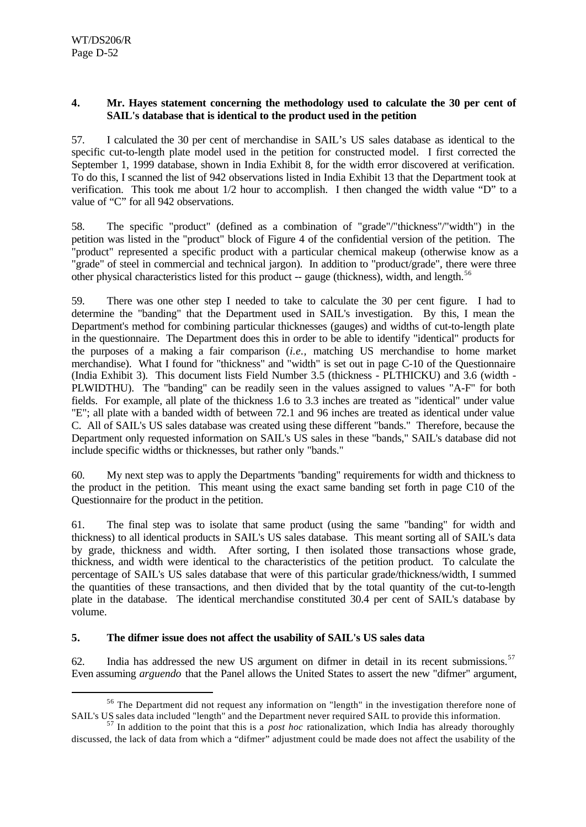l

### **4. Mr. Hayes statement concerning the methodology used to calculate the 30 per cent of SAIL's database that is identical to the product used in the petition**

57. I calculated the 30 per cent of merchandise in SAIL's US sales database as identical to the specific cut-to-length plate model used in the petition for constructed model. I first corrected the September 1, 1999 database, shown in India Exhibit 8, for the width error discovered at verification. To do this, I scanned the list of 942 observations listed in India Exhibit 13 that the Department took at verification. This took me about 1/2 hour to accomplish. I then changed the width value "D" to a value of "C" for all 942 observations.

58. The specific "product" (defined as a combination of "grade"/"thickness"/"width") in the petition was listed in the "product" block of Figure 4 of the confidential version of the petition. The "product" represented a specific product with a particular chemical makeup (otherwise know as a "grade" of steel in commercial and technical jargon). In addition to "product/grade", there were three other physical characteristics listed for this product -- gauge (thickness), width, and length.<sup>56</sup>

59. There was one other step I needed to take to calculate the 30 per cent figure. I had to determine the "banding" that the Department used in SAIL's investigation. By this, I mean the Department's method for combining particular thicknesses (gauges) and widths of cut-to-length plate in the questionnaire. The Department does this in order to be able to identify "identical" products for the purposes of a making a fair comparison (*i.e.,* matching US merchandise to home market merchandise). What I found for "thickness" and "width" is set out in page C-10 of the Questionnaire (India Exhibit 3). This document lists Field Number 3.5 (thickness - PLTHICKU) and 3.6 (width - PLWIDTHU). The "banding" can be readily seen in the values assigned to values "A-F" for both fields. For example, all plate of the thickness 1.6 to 3.3 inches are treated as "identical" under value "E"; all plate with a banded width of between 72.1 and 96 inches are treated as identical under value C. All of SAIL's US sales database was created using these different "bands." Therefore, because the Department only requested information on SAIL's US sales in these "bands," SAIL's database did not include specific widths or thicknesses, but rather only "bands."

60. My next step was to apply the Departments "banding" requirements for width and thickness to the product in the petition. This meant using the exact same banding set forth in page C10 of the Questionnaire for the product in the petition.

61. The final step was to isolate that same product (using the same "banding" for width and thickness) to all identical products in SAIL's US sales database. This meant sorting all of SAIL's data by grade, thickness and width. After sorting, I then isolated those transactions whose grade, thickness, and width were identical to the characteristics of the petition product. To calculate the percentage of SAIL's US sales database that were of this particular grade/thickness/width, I summed the quantities of these transactions, and then divided that by the total quantity of the cut-to-length plate in the database. The identical merchandise constituted 30.4 per cent of SAIL's database by volume.

# **5. The difmer issue does not affect the usability of SAIL's US sales data**

62. India has addressed the new US argument on difmer in detail in its recent submissions.<sup>57</sup> Even assuming *arguendo* that the Panel allows the United States to assert the new "difmer" argument,

<sup>&</sup>lt;sup>56</sup> The Department did not request any information on "length" in the investigation therefore none of SAIL's US sales data included "length" and the Department never required SAIL to provide this information.

<sup>57</sup> In addition to the point that this is a *post hoc* rationalization, which India has already thoroughly discussed, the lack of data from which a "difmer" adjustment could be made does not affect the usability of the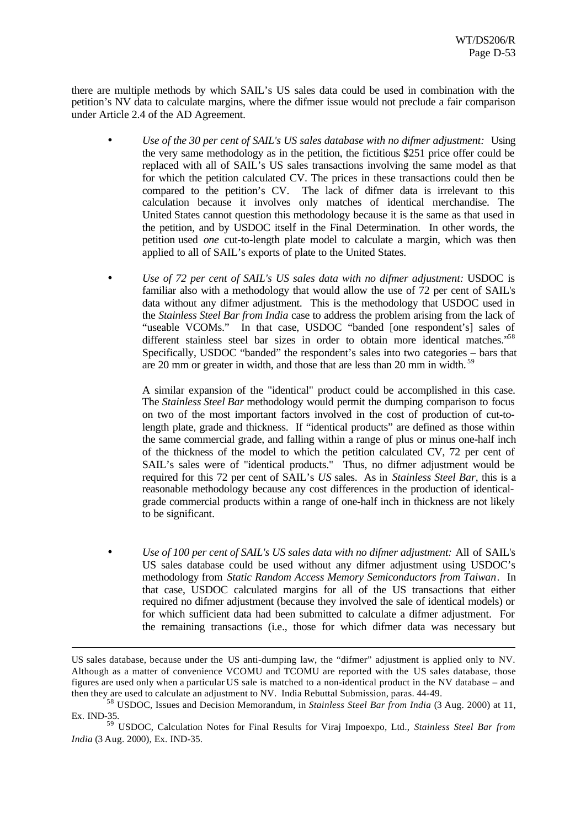there are multiple methods by which SAIL's US sales data could be used in combination with the petition's NV data to calculate margins, where the difmer issue would not preclude a fair comparison under Article 2.4 of the AD Agreement.

- *Use of the 30 per cent of SAIL's US sales database with no difmer adjustment:* Using the very same methodology as in the petition, the fictitious \$251 price offer could be replaced with all of SAIL's US sales transactions involving the same model as that for which the petition calculated CV. The prices in these transactions could then be compared to the petition's CV. The lack of difmer data is irrelevant to this calculation because it involves only matches of identical merchandise. The United States cannot question this methodology because it is the same as that used in the petition, and by USDOC itself in the Final Determination. In other words, the petition used *one* cut-to-length plate model to calculate a margin, which was then applied to all of SAIL's exports of plate to the United States.
- *Use of 72 per cent of SAIL's US sales data with no difmer adjustment:* USDOC is familiar also with a methodology that would allow the use of 72 per cent of SAIL's data without any difmer adjustment. This is the methodology that USDOC used in the *Stainless Steel Bar from India* case to address the problem arising from the lack of "useable VCOMs." In that case, USDOC "banded [one respondent's] sales of different stainless steel bar sizes in order to obtain more identical matches.<sup>58</sup> Specifically, USDOC "banded" the respondent's sales into two categories – bars that are 20 mm or greater in width, and those that are less than 20 mm in width.<sup>59</sup>

A similar expansion of the "identical" product could be accomplished in this case. The *Stainless Steel Bar* methodology would permit the dumping comparison to focus on two of the most important factors involved in the cost of production of cut-tolength plate, grade and thickness. If "identical products" are defined as those within the same commercial grade, and falling within a range of plus or minus one-half inch of the thickness of the model to which the petition calculated CV, 72 per cent of SAIL's sales were of "identical products." Thus, no difmer adjustment would be required for this 72 per cent of SAIL's *US* sales. As in *Stainless Steel Bar*, this is a reasonable methodology because any cost differences in the production of identicalgrade commercial products within a range of one-half inch in thickness are not likely to be significant.

• *Use of 100 per cent of SAIL's US sales data with no difmer adjustment:* All of SAIL's US sales database could be used without any difmer adjustment using USDOC's methodology from *Static Random Access Memory Semiconductors from Taiwan*. In that case, USDOC calculated margins for all of the US transactions that either required no difmer adjustment (because they involved the sale of identical models) or for which sufficient data had been submitted to calculate a difmer adjustment. For the remaining transactions (i.e., those for which difmer data was necessary but

US sales database, because under the US anti-dumping law, the "difmer" adjustment is applied only to NV. Although as a matter of convenience VCOMU and TCOMU are reported with the US sales database, those figures are used only when a particular US sale is matched to a non-identical product in the NV database – and then they are used to calculate an adjustment to NV. India Rebuttal Submission, paras. 44-49.

<sup>58</sup> USDOC, Issues and Decision Memorandum, in *Stainless Steel Bar from India* (3 Aug. 2000) at 11, Ex. IND-35.

<sup>59</sup> USDOC, Calculation Notes for Final Results for Viraj Impoexpo, Ltd., *Stainless Steel Bar from India* (3 Aug. 2000), Ex. IND-35.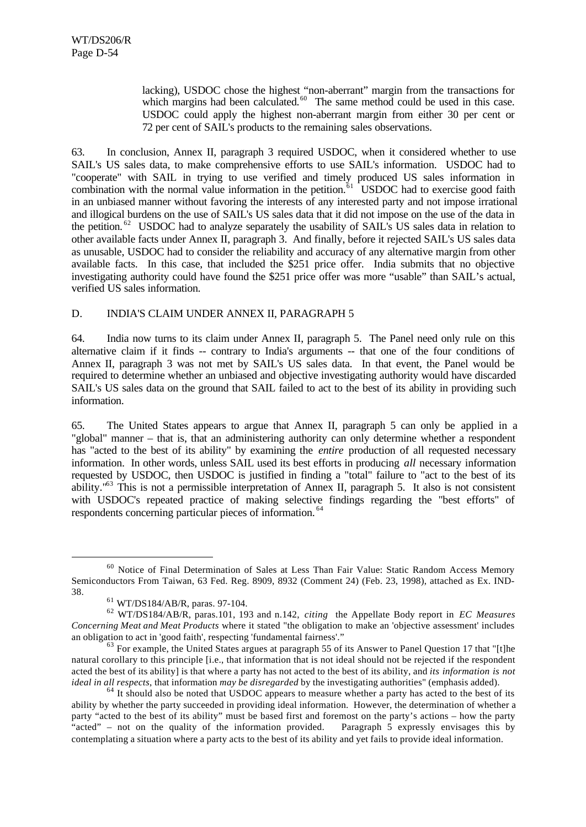lacking), USDOC chose the highest "non-aberrant" margin from the transactions for which margins had been calculated. $60$  The same method could be used in this case. USDOC could apply the highest non-aberrant margin from either 30 per cent or 72 per cent of SAIL's products to the remaining sales observations.

63. In conclusion, Annex II, paragraph 3 required USDOC, when it considered whether to use SAIL's US sales data, to make comprehensive efforts to use SAIL's information. USDOC had to "cooperate" with SAIL in trying to use verified and timely produced US sales information in combination with the normal value information in the petition.<sup> $61$ </sup> USDOC had to exercise good faith in an unbiased manner without favoring the interests of any interested party and not impose irrational and illogical burdens on the use of SAIL's US sales data that it did not impose on the use of the data in the petition.<sup>62</sup> USDOC had to analyze separately the usability of SAIL's US sales data in relation to other available facts under Annex II, paragraph 3. And finally, before it rejected SAIL's US sales data as unusable, USDOC had to consider the reliability and accuracy of any alternative margin from other available facts. In this case, that included the \$251 price offer. India submits that no objective investigating authority could have found the \$251 price offer was more "usable" than SAIL's actual, verified US sales information.

### D. INDIA'S CLAIM UNDER ANNEX II, PARAGRAPH 5

64. India now turns to its claim under Annex II, paragraph 5. The Panel need only rule on this alternative claim if it finds -- contrary to India's arguments -- that one of the four conditions of Annex II, paragraph 3 was not met by SAIL's US sales data. In that event, the Panel would be required to determine whether an unbiased and objective investigating authority would have discarded SAIL's US sales data on the ground that SAIL failed to act to the best of its ability in providing such information.

65. The United States appears to argue that Annex II, paragraph 5 can only be applied in a "global" manner – that is, that an administering authority can only determine whether a respondent has "acted to the best of its ability" by examining the *entire* production of all requested necessary information. In other words, unless SAIL used its best efforts in producing *all* necessary information requested by USDOC, then USDOC is justified in finding a "total" failure to "act to the best of its ability."<sup>63</sup> This is not a permissible interpretation of Annex II, paragraph 5. It also is not consistent with USDOC's repeated practice of making selective findings regarding the "best efforts" of respondents concerning particular pieces of information. <sup>64</sup>

<sup>&</sup>lt;sup>60</sup> Notice of Final Determination of Sales at Less Than Fair Value: Static Random Access Memory Semiconductors From Taiwan, 63 Fed. Reg. 8909, 8932 (Comment 24) (Feb. 23, 1998), attached as Ex. IND-38.

<sup>61</sup> WT/DS184/AB/R, paras. 97-104.

<sup>62</sup> WT/DS184/AB/R, paras.101, 193 and n.142, *citing* the Appellate Body report in *EC Measures Concerning Meat and Meat Products* where it stated "the obligation to make an 'objective assessment' includes an obligation to act in 'good faith', respecting 'fundamental fairness'."

 $63$  For example, the United States argues at paragraph 55 of its Answer to Panel Question 17 that "[t]he natural corollary to this principle [i.e., that information that is not ideal should not be rejected if the respondent acted the best of its ability] is that where a party has not acted to the best of its ability, and *its information is not ideal in all respects*, that information *may be disregarded* by the investigating authorities" (emphasis added).

<sup>&</sup>lt;sup>64</sup> It should also be noted that USDOC appears to measure whether a party has acted to the best of its ability by whether the party succeeded in providing ideal information. However, the determination of whether a party "acted to the best of its ability" must be based first and foremost on the party's actions – how the party "acted" – not on the quality of the information provided. Paragraph 5 expressly envisages this by contemplating a situation where a party acts to the best of its ability and yet fails to provide ideal information.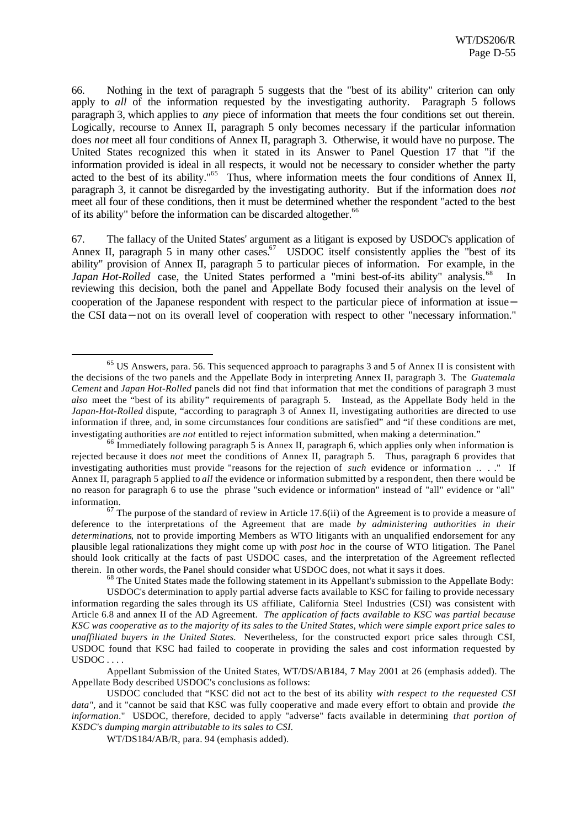66. Nothing in the text of paragraph 5 suggests that the "best of its ability" criterion can only apply to *all* of the information requested by the investigating authority. Paragraph 5 follows paragraph 3, which applies to *any* piece of information that meets the four conditions set out therein. Logically, recourse to Annex II, paragraph 5 only becomes necessary if the particular information does *not* meet all four conditions of Annex II, paragraph 3. Otherwise, it would have no purpose. The United States recognized this when it stated in its Answer to Panel Question 17 that "if the information provided is ideal in all respects, it would not be necessary to consider whether the party acted to the best of its ability."<sup>65</sup> Thus, where information meets the four conditions of Annex II, paragraph 3, it cannot be disregarded by the investigating authority. But if the information does *not* meet all four of these conditions, then it must be determined whether the respondent "acted to the best of its ability" before the information can be discarded altogether.<sup>66</sup>

67. The fallacy of the United States' argument as a litigant is exposed by USDOC's application of Annex II, paragraph 5 in many other cases.<sup>67</sup> USDOC itself consistently applies the "best of its ability" provision of Annex II, paragraph 5 to particular pieces of information. For example, in the *Japan Hot-Rolled* case, the United States performed a "mini best-of-its ability" analysis.<sup>68</sup> In reviewing this decision, both the panel and Appellate Body focused their analysis on the level of cooperation of the Japanese respondent with respect to the particular piece of information at issue− the CSI data− not on its overall level of cooperation with respect to other "necessary information."

<sup>&</sup>lt;sup>65</sup> US Answers, para. 56. This sequenced approach to paragraphs 3 and 5 of Annex II is consistent with the decisions of the two panels and the Appellate Body in interpreting Annex II, paragraph 3. The *Guatemala Cement* and *Japan Hot-Rolled* panels did not find that information that met the conditions of paragraph 3 must *also* meet the "best of its ability" requirements of paragraph 5. Instead, as the Appellate Body held in the *Japan-Hot-Rolled* dispute, "according to paragraph 3 of Annex II, investigating authorities are directed to use information if three, and, in some circumstances four conditions are satisfied" and "if these conditions are met, investigating authorities are *not* entitled to reject information submitted, when making a determination."

 $^{66}$  Immediately following paragraph 5 is Annex II, paragraph 6, which applies only when information is rejected because it does *not* meet the conditions of Annex II, paragraph 5. Thus, paragraph 6 provides that investigating authorities must provide "reasons for the rejection of *such* evidence or information . . . ." If Annex II, paragraph 5 applied to *all* the evidence or information submitted by a respondent, then there would be no reason for paragraph 6 to use the phrase "such evidence or information" instead of "all" evidence or "all" information.

 $\frac{67}{10}$  The purpose of the standard of review in Article 17.6(ii) of the Agreement is to provide a measure of deference to the interpretations of the Agreement that are made *by administering authorities in their determinations*, not to provide importing Members as WTO litigants with an unqualified endorsement for any plausible legal rationalizations they might come up with *post hoc* in the course of WTO litigation. The Panel should look critically at the facts of past USDOC cases, and the interpretation of the Agreement reflected therein. In other words, the Panel should consider what USDOC does, not what it says it does.

 $68$  The United States made the following statement in its Appellant's submission to the Appellate Body: USDOC's determination to apply partial adverse facts available to KSC for failing to provide necessary information regarding the sales through its US affiliate, California Steel Industries (CSI) was consistent with Article 6.8 and annex II of the AD Agreement. *The application of facts available to KSC was partial because KSC was cooperative as to the majority of its sales to the United States, which were simple export price sales to unaffiliated buyers in the United States.* Nevertheless, for the constructed export price sales through CSI, USDOC found that KSC had failed to cooperate in providing the sales and cost information requested by  $USDOC...$ 

Appellant Submission of the United States, WT/DS/AB184, 7 May 2001 at 26 (emphasis added). The Appellate Body described USDOC's conclusions as follows:

USDOC concluded that "KSC did not act to the best of its ability *with respect to the requested CSI data",* and it "cannot be said that KSC was fully cooperative and made every effort to obtain and provide *the information*." USDOC, therefore, decided to apply "adverse" facts available in determining *that portion of KSDC's dumping margin attributable to its sales to CSI.*

WT/DS184/AB/R, para. 94 (emphasis added).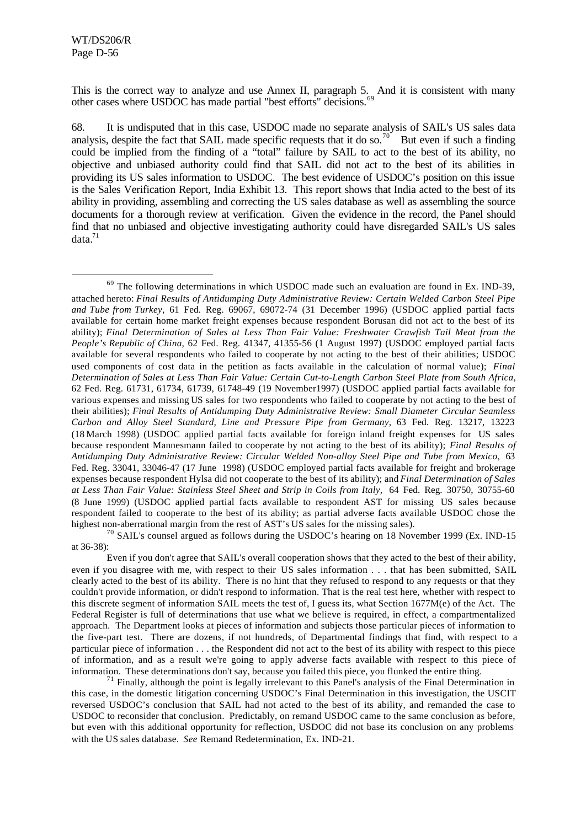l

This is the correct way to analyze and use Annex II, paragraph 5. And it is consistent with many other cases where USDOC has made partial "best efforts" decisions.<sup>6</sup>

68. It is undisputed that in this case, USDOC made no separate analysis of SAIL's US sales data analysis, despite the fact that SAIL made specific requests that it do so.<sup>70</sup> But even if such a finding could be implied from the finding of a "total" failure by SAIL to act to the best of its ability, no objective and unbiased authority could find that SAIL did not act to the best of its abilities in providing its US sales information to USDOC. The best evidence of USDOC's position on this issue is the Sales Verification Report, India Exhibit 13. This report shows that India acted to the best of its ability in providing, assembling and correcting the US sales database as well as assembling the source documents for a thorough review at verification. Given the evidence in the record, the Panel should find that no unbiased and objective investigating authority could have disregarded SAIL's US sales  $data.<sup>71</sup>$ 

 $69$  The following determinations in which USDOC made such an evaluation are found in Ex. IND-39, attached hereto: *Final Results of Antidumping Duty Administrative Review: Certain Welded Carbon Steel Pipe and Tube from Turkey,* 61 Fed. Reg. 69067, 69072-74 (31 December 1996) (USDOC applied partial facts available for certain home market freight expenses because respondent Borusan did not act to the best of its ability); *Final Determination of Sales at Less Than Fair Value: Freshwater Crawfish Tail Meat from the People's Republic of China,* 62 Fed. Reg. 41347, 41355-56 (1 August 1997) (USDOC employed partial facts available for several respondents who failed to cooperate by not acting to the best of their abilities; USDOC used components of cost data in the petition as facts available in the calculation of normal value); *Final Determination of Sales at Less Than Fair Value: Certain Cut-to-Length Carbon Steel Plate from South Africa,* 62 Fed. Reg. 61731, 61734, 61739, 61748-49 (19 November1997) (USDOC applied partial facts available for various expenses and missing US sales for two respondents who failed to cooperate by not acting to the best of their abilities); *Final Results of Antidumping Duty Administrative Review: Small Diameter Circular Seamless Carbon and Alloy Steel Standard, Line and Pressure Pipe from Germany,* 63 Fed. Reg. 13217, 13223 (18 March 1998) (USDOC applied partial facts available for foreign inland freight expenses for US sales because respondent Mannesmann failed to cooperate by not acting to the best of its ability); *Final Results of Antidumping Duty Administrative Review: Circular Welded Non-alloy Steel Pipe and Tube from Mexico,* 63 Fed. Reg. 33041, 33046-47 (17 June 1998) (USDOC employed partial facts available for freight and brokerage expenses because respondent Hylsa did not cooperate to the best of its ability); and *Final Determination of Sales at Less Than Fair Value: Stainless Steel Sheet and Strip in Coils from Italy,* 64 Fed. Reg. 30750, 30755-60 (8 June 1999) (USDOC applied partial facts available to respondent AST for missing US sales because respondent failed to cooperate to the best of its ability; as partial adverse facts available USDOC chose the highest non-aberrational margin from the rest of AST's US sales for the missing sales).

<sup>70</sup> SAIL's counsel argued as follows during the USDOC's hearing on 18 November 1999 (Ex. IND-15 at 36-38):

 $7<sup>1</sup>$  Finally, although the point is legally irrelevant to this Panel's analysis of the Final Determination in this case, in the domestic litigation concerning USDOC's Final Determination in this investigation, the USCIT reversed USDOC's conclusion that SAIL had not acted to the best of its ability, and remanded the case to USDOC to reconsider that conclusion. Predictably, on remand USDOC came to the same conclusion as before, but even with this additional opportunity for reflection, USDOC did not base its conclusion on any problems with the US sales database. *See* Remand Redetermination, Ex. IND-21.

Even if you don't agree that SAIL's overall cooperation shows that they acted to the best of their ability, even if you disagree with me, with respect to their US sales information . . . that has been submitted, SAIL clearly acted to the best of its ability. There is no hint that they refused to respond to any requests or that they couldn't provide information, or didn't respond to information. That is the real test here, whether with respect to this discrete segment of information SAIL meets the test of, I guess its, what Section 1677M(e) of the Act. The Federal Register is full of determinations that use what we believe is required, in effect, a compartmentalized approach. The Department looks at pieces of information and subjects those particular pieces of information to the five-part test. There are dozens, if not hundreds, of Departmental findings that find, with respect to a particular piece of information . . . the Respondent did not act to the best of its ability with respect to this piece of information, and as a result we're going to apply adverse facts available with respect to this piece of information. These determinations don't say, because you failed this piece, you flunked the entire thing.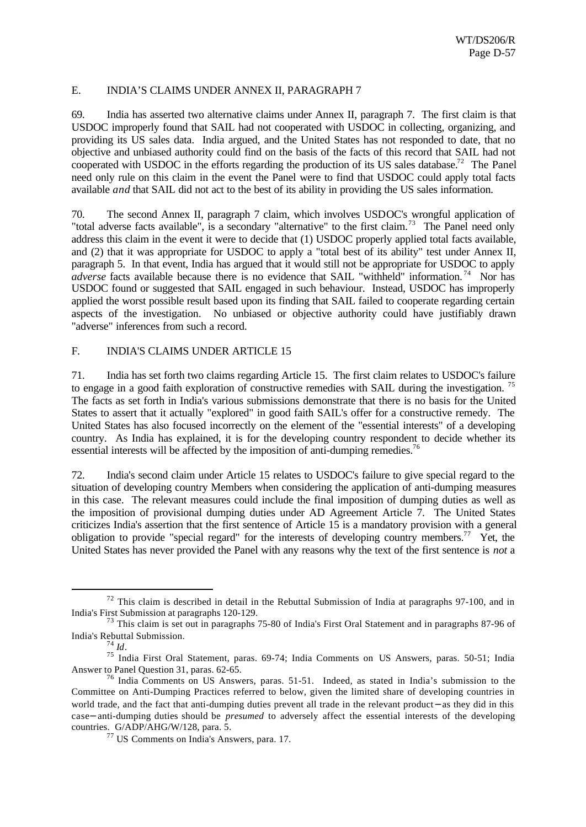### E. INDIA'S CLAIMS UNDER ANNEX II, PARAGRAPH 7

69. India has asserted two alternative claims under Annex II, paragraph 7. The first claim is that USDOC improperly found that SAIL had not cooperated with USDOC in collecting, organizing, and providing its US sales data. India argued, and the United States has not responded to date, that no objective and unbiased authority could find on the basis of the facts of this record that SAIL had not cooperated with USDOC in the efforts regarding the production of its US sales database.<sup>72</sup> The Panel need only rule on this claim in the event the Panel were to find that USDOC could apply total facts available *and* that SAIL did not act to the best of its ability in providing the US sales information.

70. The second Annex II, paragraph 7 claim, which involves USDOC's wrongful application of "total adverse facts available", is a secondary "alternative" to the first claim.<sup>73</sup> The Panel need only address this claim in the event it were to decide that (1) USDOC properly applied total facts available, and (2) that it was appropriate for USDOC to apply a "total best of its ability" test under Annex II, paragraph 5. In that event, India has argued that it would still not be appropriate for USDOC to apply *adverse* facts available because there is no evidence that SAIL "withheld" information.<sup>74</sup> Nor has USDOC found or suggested that SAIL engaged in such behaviour. Instead, USDOC has improperly applied the worst possible result based upon its finding that SAIL failed to cooperate regarding certain aspects of the investigation. No unbiased or objective authority could have justifiably drawn "adverse" inferences from such a record.

### F. INDIA'S CLAIMS UNDER ARTICLE 15

71. India has set forth two claims regarding Article 15. The first claim relates to USDOC's failure to engage in a good faith exploration of constructive remedies with SAIL during the investigation.<sup>75</sup> The facts as set forth in India's various submissions demonstrate that there is no basis for the United States to assert that it actually "explored" in good faith SAIL's offer for a constructive remedy. The United States has also focused incorrectly on the element of the "essential interests" of a developing country. As India has explained, it is for the developing country respondent to decide whether its essential interests will be affected by the imposition of anti-dumping remedies.<sup>76</sup>

72. India's second claim under Article 15 relates to USDOC's failure to give special regard to the situation of developing country Members when considering the application of anti-dumping measures in this case. The relevant measures could include the final imposition of dumping duties as well as the imposition of provisional dumping duties under AD Agreement Article 7. The United States criticizes India's assertion that the first sentence of Article 15 is a mandatory provision with a general obligation to provide "special regard" for the interests of developing country members.<sup>77</sup> Yet, the United States has never provided the Panel with any reasons why the text of the first sentence is *not* a

 $72$  This claim is described in detail in the Rebuttal Submission of India at paragraphs 97-100, and in India's First Submission at paragraphs 120-129.

<sup>&</sup>lt;sup>73</sup> This claim is set out in paragraphs 75-80 of India's First Oral Statement and in paragraphs 87-96 of India's Rebuttal Submission.

<sup>74</sup> *Id*.

<sup>75</sup> India First Oral Statement, paras. 69-74; India Comments on US Answers, paras. 50-51; India Answer to Panel Question 31, paras. 62-65.

<sup>&</sup>lt;sup>76</sup> India Comments on US Answers, paras.  $51-51$ . Indeed, as stated in India's submission to the Committee on Anti-Dumping Practices referred to below, given the limited share of developing countries in world trade, and the fact that anti-dumping duties prevent all trade in the relevant product− as they did in this case− anti-dumping duties should be *presumed* to adversely affect the essential interests of the developing countries. G/ADP/AHG/W/128, para. 5.

<sup>77</sup> US Comments on India's Answers, para. 17.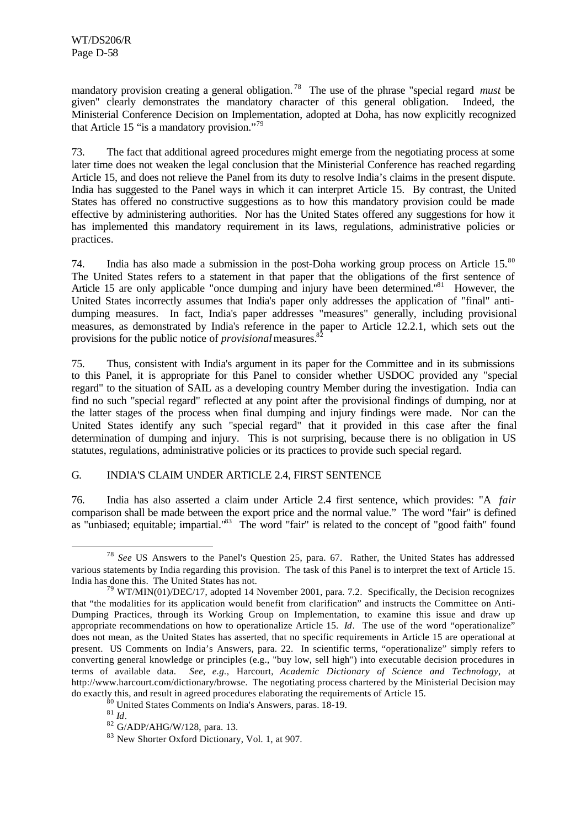mandatory provision creating a general obligation. <sup>78</sup> The use of the phrase "special regard *must* be given" clearly demonstrates the mandatory character of this general obligation. Indeed, the Ministerial Conference Decision on Implementation, adopted at Doha, has now explicitly recognized that Article 15 "is a mandatory provision."<sup>79</sup>

73. The fact that additional agreed procedures might emerge from the negotiating process at some later time does not weaken the legal conclusion that the Ministerial Conference has reached regarding Article 15, and does not relieve the Panel from its duty to resolve India's claims in the present dispute. India has suggested to the Panel ways in which it can interpret Article 15. By contrast, the United States has offered no constructive suggestions as to how this mandatory provision could be made effective by administering authorities. Nor has the United States offered any suggestions for how it has implemented this mandatory requirement in its laws, regulations, administrative policies or practices.

74. India has also made a submission in the post-Doha working group process on Article 15.<sup>80</sup> The United States refers to a statement in that paper that the obligations of the first sentence of Article 15 are only applicable "once dumping and injury have been determined."<sup>81</sup> However, the United States incorrectly assumes that India's paper only addresses the application of "final" antidumping measures. In fact, India's paper addresses "measures" generally, including provisional measures, as demonstrated by India's reference in the paper to Article 12.2.1, which sets out the provisions for the public notice of *provisional* measures. 82

75. Thus, consistent with India's argument in its paper for the Committee and in its submissions to this Panel, it is appropriate for this Panel to consider whether USDOC provided any "special regard" to the situation of SAIL as a developing country Member during the investigation. India can find no such "special regard" reflected at any point after the provisional findings of dumping, nor at the latter stages of the process when final dumping and injury findings were made. Nor can the United States identify any such "special regard" that it provided in this case after the final determination of dumping and injury. This is not surprising, because there is no obligation in US statutes, regulations, administrative policies or its practices to provide such special regard.

# G. INDIA'S CLAIM UNDER ARTICLE 2.4, FIRST SENTENCE

76. India has also asserted a claim under Article 2.4 first sentence, which provides: "A *fair* comparison shall be made between the export price and the normal value." The word "fair" is defined as "unbiased; equitable; impartial."<sup>83</sup> The word "fair" is related to the concept of "good faith" found

<sup>78</sup> *See* US Answers to the Panel's Question 25, para. 67. Rather, the United States has addressed various statements by India regarding this provision. The task of this Panel is to interpret the text of Article 15. India has done this. The United States has not.

 $^{79}$  WT/MIN(01)/DEC/17, adopted 14 November 2001, para. 7.2. Specifically, the Decision recognizes that "the modalities for its application would benefit from clarification" and instructs the Committee on Anti-Dumping Practices, through its Working Group on Implementation, to examine this issue and draw up appropriate recommendations on how to operationalize Article 15. *Id*. The use of the word "operationalize" does not mean, as the United States has asserted, that no specific requirements in Article 15 are operational at present. US Comments on India's Answers, para. 22. In scientific terms, "operationalize" simply refers to converting general knowledge or principles (e.g., "buy low, sell high") into executable decision procedures in terms of available data. *See, e.g.,* Harcourt, *Academic Dictionary of Science and Technology*, at http://www.harcourt.com/dictionary/browse. The negotiating process chartered by the Ministerial Decision may do exactly this, and result in agreed procedures elaborating the requirements of Article 15.

<sup>&</sup>lt;sup>80</sup> United States Comments on India's Answers, paras. 18-19.

<sup>81</sup> *Id*.

<sup>82</sup> G/ADP/AHG/W/128, para. 13.

<sup>83</sup> New Shorter Oxford Dictionary, Vol. 1, at 907.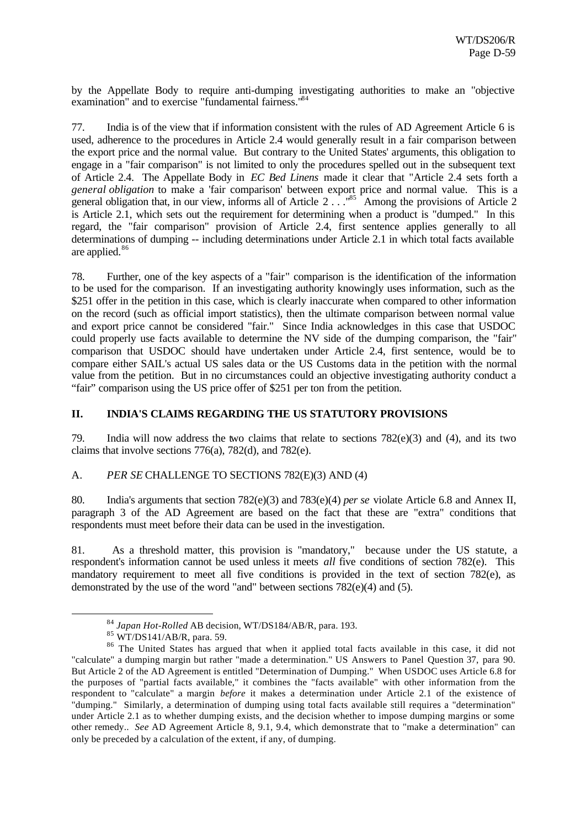by the Appellate Body to require anti-dumping investigating authorities to make an "objective examination" and to exercise "fundamental fairness."<sup>84</sup>

77. India is of the view that if information consistent with the rules of AD Agreement Article 6 is used, adherence to the procedures in Article 2.4 would generally result in a fair comparison between the export price and the normal value. But contrary to the United States' arguments, this obligation to engage in a "fair comparison" is not limited to only the procedures spelled out in the subsequent text of Article 2.4. The Appellate Body in *EC Bed Linens* made it clear that "Article 2.4 sets forth a *general obligation* to make a 'fair comparison' between export price and normal value. This is a general obligation to make a ran comparison occurrent engineeral and annual strategies of Article 2 ...<sup>185</sup> Among the provisions of Article 2 is Article 2.1, which sets out the requirement for determining when a product is "dumped." In this regard, the "fair comparison" provision of Article 2.4, first sentence applies generally to all determinations of dumping -- including determinations under Article 2.1 in which total facts available are applied.<sup>86</sup>

78. Further, one of the key aspects of a "fair" comparison is the identification of the information to be used for the comparison. If an investigating authority knowingly uses information, such as the \$251 offer in the petition in this case, which is clearly inaccurate when compared to other information on the record (such as official import statistics), then the ultimate comparison between normal value and export price cannot be considered "fair." Since India acknowledges in this case that USDOC could properly use facts available to determine the NV side of the dumping comparison, the "fair" comparison that USDOC should have undertaken under Article 2.4, first sentence, would be to compare either SAIL's actual US sales data or the US Customs data in the petition with the normal value from the petition. But in no circumstances could an objective investigating authority conduct a "fair" comparison using the US price offer of \$251 per ton from the petition.

### **II. INDIA'S CLAIMS REGARDING THE US STATUTORY PROVISIONS**

79. India will now address the two claims that relate to sections  $782(e)(3)$  and (4), and its two claims that involve sections 776(a), 782(d), and 782(e).

#### A. *PER SE* CHALLENGE TO SECTIONS 782(E)(3) AND (4)

80. India's arguments that section 782(e)(3) and 783(e)(4) *per se* violate Article 6.8 and Annex II, paragraph 3 of the AD Agreement are based on the fact that these are "extra" conditions that respondents must meet before their data can be used in the investigation.

81. As a threshold matter, this provision is "mandatory," because under the US statute, a respondent's information cannot be used unless it meets *all* five conditions of section 782(e). This mandatory requirement to meet all five conditions is provided in the text of section 782(e), as demonstrated by the use of the word "and" between sections 782(e)(4) and (5).

<sup>84</sup> *Japan Hot-Rolled* AB decision, WT/DS184/AB/R, para. 193.

<sup>85</sup> WT/DS141/AB/R, para. 59.

<sup>&</sup>lt;sup>86</sup> The United States has argued that when it applied total facts available in this case, it did not "calculate" a dumping margin but rather "made a determination." US Answers to Panel Question 37, para 90. But Article 2 of the AD Agreement is entitled "Determination of Dumping." When USDOC uses Article 6.8 for the purposes of "partial facts available," it combines the "facts available" with other information from the respondent to "calculate" a margin *before* it makes a determination under Article 2.1 of the existence of "dumping." Similarly, a determination of dumping using total facts available still requires a "determination" under Article 2.1 as to whether dumping exists, and the decision whether to impose dumping margins or some other remedy.. *See* AD Agreement Article 8, 9.1, 9.4, which demonstrate that to "make a determination" can only be preceded by a calculation of the extent, if any, of dumping.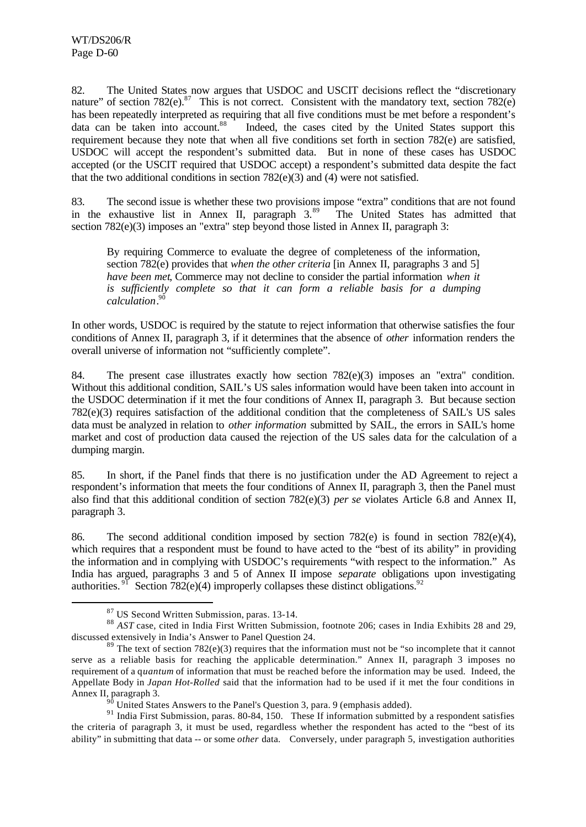82. The United States now argues that USDOC and USCIT decisions reflect the "discretionary nature" of section  $782(e)$ .<sup>87</sup> This is not correct. Consistent with the mandatory text, section  $782(e)$ has been repeatedly interpreted as requiring that all five conditions must be met before a respondent's data can be taken into account.<sup>88</sup> Indeed, the cases cited by the United States support this Indeed, the cases cited by the United States support this requirement because they note that when all five conditions set forth in section 782(e) are satisfied, USDOC will accept the respondent's submitted data. But in none of these cases has USDOC accepted (or the USCIT required that USDOC accept) a respondent's submitted data despite the fact that the two additional conditions in section  $782(e)(3)$  and (4) were not satisfied.

83. The second issue is whether these two provisions impose "extra" conditions that are not found in the exhaustive list in Annex II, paragraph  $3.^{89}$  The United States has admitted that section 782(e)(3) imposes an "extra" step beyond those listed in Annex II, paragraph 3:

By requiring Commerce to evaluate the degree of completeness of the information, section 782(e) provides that *when the other criteria* [in Annex II, paragraphs 3 and 5] *have been met*, Commerce may not decline to consider the partial information *when it is sufficiently complete so that it can form a reliable basis for a dumping calculation*. 90

In other words, USDOC is required by the statute to reject information that otherwise satisfies the four conditions of Annex II, paragraph 3, if it determines that the absence of *other* information renders the overall universe of information not "sufficiently complete".

84. The present case illustrates exactly how section 782(e)(3) imposes an "extra" condition. Without this additional condition, SAIL's US sales information would have been taken into account in the USDOC determination if it met the four conditions of Annex II, paragraph 3. But because section 782(e)(3) requires satisfaction of the additional condition that the completeness of SAIL's US sales data must be analyzed in relation to *other information* submitted by SAIL, the errors in SAIL's home market and cost of production data caused the rejection of the US sales data for the calculation of a dumping margin.

85. In short, if the Panel finds that there is no justification under the AD Agreement to reject a respondent's information that meets the four conditions of Annex II, paragraph 3, then the Panel must also find that this additional condition of section 782(e)(3) *per se* violates Article 6.8 and Annex II, paragraph 3.

86. The second additional condition imposed by section  $782(e)$  is found in section  $782(e)(4)$ , which requires that a respondent must be found to have acted to the "best of its ability" in providing the information and in complying with USDOC's requirements "with respect to the information." As India has argued, paragraphs 3 and 5 of Annex II impose *separate* obligations upon investigating authorities. <sup>91</sup> Section 782(e)(4) improperly collapses these distinct obligations.<sup>92</sup>

<sup>87</sup> US Second Written Submission, paras. 13-14.

<sup>88</sup> *AST* case, cited in India First Written Submission, footnote 206; cases in India Exhibits 28 and 29, discussed extensively in India's Answer to Panel Question 24.

 $89$  The text of section 782(e)(3) requires that the information must not be "so incomplete that it cannot serve as a reliable basis for reaching the applicable determination." Annex II, paragraph 3 imposes no requirement of a q*uantum* of information that must be reached before the information may be used. Indeed, the Appellate Body in *Japan Hot-Rolled* said that the information had to be used if it met the four conditions in Annex II, paragraph 3.

 $90$  United States Answers to the Panel's Question 3, para. 9 (emphasis added).

<sup>&</sup>lt;sup>91</sup> India First Submission, paras. 80-84, 150. These If information submitted by a respondent satisfies the criteria of paragraph 3, it must be used, regardless whether the respondent has acted to the "best of its ability" in submitting that data -- or some *other* data. Conversely, under paragraph 5, investigation authorities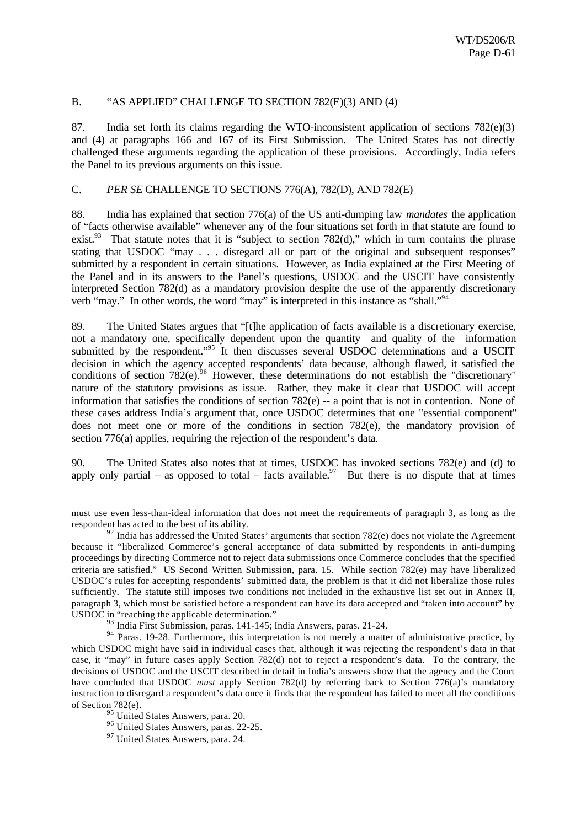#### B. "AS APPLIED" CHALLENGE TO SECTION 782(E)(3) AND (4)

87. India set forth its claims regarding the WTO-inconsistent application of sections 782(e)(3) and (4) at paragraphs 166 and 167 of its First Submission. The United States has not directly challenged these arguments regarding the application of these provisions. Accordingly, India refers the Panel to its previous arguments on this issue.

### C. *PER SE* CHALLENGE TO SECTIONS 776(A), 782(D), AND 782(E)

88. India has explained that section 776(a) of the US anti-dumping law *mandates* the application of "facts otherwise available" whenever any of the four situations set forth in that statute are found to exist.<sup>93</sup> That statute notes that it is "subject to section 782(d)," which in turn contains the phrase stating that USDOC "may . . . disregard all or part of the original and subsequent responses" submitted by a respondent in certain situations. However, as India explained at the First Meeting of the Panel and in its answers to the Panel's questions, USDOC and the USCIT have consistently interpreted Section 782(d) as a mandatory provision despite the use of the apparently discretionary verb "may." In other words, the word "may" is interpreted in this instance as "shall."<sup>94</sup>

89. The United States argues that "[t]he application of facts available is a discretionary exercise, not a mandatory one, specifically dependent upon the quantity and quality of the information submitted by the respondent."<sup>95</sup> It then discusses several USDOC determinations and a USCIT decision in which the agency accepted respondents' data because, although flawed, it satisfied the conditions of section  $782(e)^{96}$  However, these determinations do not establish the "discretionary" nature of the statutory provisions as issue. Rather, they make it clear that USDOC will accept information that satisfies the conditions of section 782(e) -- a point that is not in contention. None of these cases address India's argument that, once USDOC determines that one "essential component" does not meet one or more of the conditions in section 782(e), the mandatory provision of section 776(a) applies, requiring the rejection of the respondent's data.

90. The United States also notes that at times, USDOC has invoked sections 782(e) and (d) to apply only partial – as opposed to total – facts available.<sup>97</sup> But there is no dispute that at times

must use even less-than-ideal information that does not meet the requirements of paragraph 3, as long as the respondent has acted to the best of its ability.

 $92$  India has addressed the United States' arguments that section 782(e) does not violate the Agreement because it "liberalized Commerce's general acceptance of data submitted by respondents in anti-dumping proceedings by directing Commerce not to reject data submissions once Commerce concludes that the specified criteria are satisfied." US Second Written Submission, para. 15. While section 782(e) may have liberalized USDOC's rules for accepting respondents' submitted data, the problem is that it did not liberalize those rules sufficiently. The statute still imposes two conditions not included in the exhaustive list set out in Annex II, paragraph 3, which must be satisfied before a respondent can have its data accepted and "taken into account" by USDOC in "reaching the applicable determination."

<sup>&</sup>lt;sup>93</sup> India First Submission, paras. 141-145; India Answers, paras. 21-24.

<sup>&</sup>lt;sup>94</sup> Paras. 19-28. Furthermore, this interpretation is not merely a matter of administrative practice, by which USDOC might have said in individual cases that, although it was rejecting the respondent's data in that case, it "may" in future cases apply Section 782(d) not to reject a respondent's data. To the contrary, the decisions of USDOC and the USCIT described in detail in India's answers show that the agency and the Court have concluded that USDOC *must* apply Section 782(d) by referring back to Section 776(a)'s mandatory instruction to disregard a respondent's data once it finds that the respondent has failed to meet all the conditions of Section 782(e).

<sup>&</sup>lt;sup>95</sup> United States Answers, para. 20.

<sup>96</sup> United States Answers, paras. 22-25.

<sup>&</sup>lt;sup>97</sup> United States Answers, para. 24.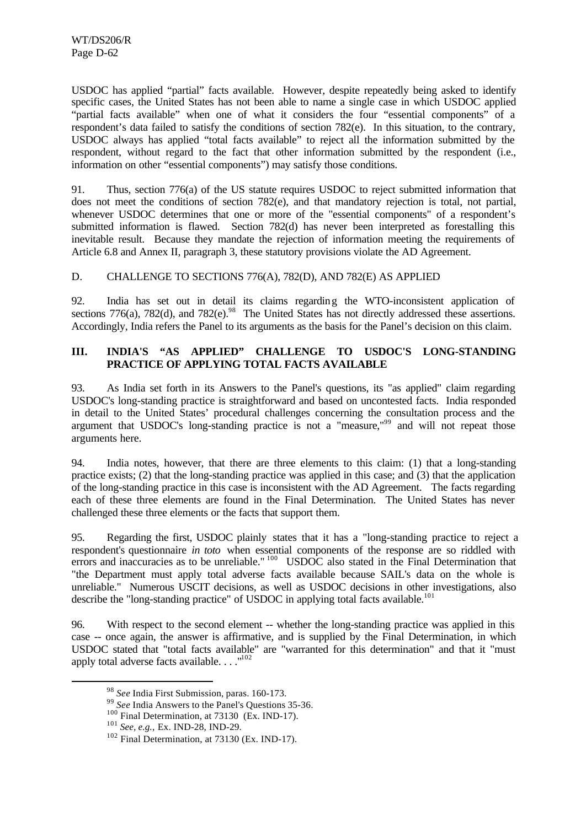USDOC has applied "partial" facts available. However, despite repeatedly being asked to identify specific cases, the United States has not been able to name a single case in which USDOC applied "partial facts available" when one of what it considers the four "essential components" of a respondent's data failed to satisfy the conditions of section 782(e). In this situation, to the contrary, USDOC always has applied "total facts available" to reject all the information submitted by the respondent, without regard to the fact that other information submitted by the respondent (i.e., information on other "essential components") may satisfy those conditions.

91. Thus, section 776(a) of the US statute requires USDOC to reject submitted information that does not meet the conditions of section 782(e), and that mandatory rejection is total, not partial, whenever USDOC determines that one or more of the "essential components" of a respondent's submitted information is flawed. Section 782(d) has never been interpreted as forestalling this inevitable result. Because they mandate the rejection of information meeting the requirements of Article 6.8 and Annex II, paragraph 3, these statutory provisions violate the AD Agreement.

### D. CHALLENGE TO SECTIONS 776(A), 782(D), AND 782(E) AS APPLIED

92. India has set out in detail its claims regarding the WTO-inconsistent application of sections 776(a), 782(d), and 782(e).<sup>98</sup> The United States has not directly addressed these assertions. Accordingly, India refers the Panel to its arguments as the basis for the Panel's decision on this claim.

# **III. INDIA'S "AS APPLIED" CHALLENGE TO USDOC'S LONG-STANDING PRACTICE OF APPLYING TOTAL FACTS AVAILABLE**

93. As India set forth in its Answers to the Panel's questions, its "as applied" claim regarding USDOC's long-standing practice is straightforward and based on uncontested facts. India responded in detail to the United States' procedural challenges concerning the consultation process and the argument that USDOC's long-standing practice is not a "measure,"<sup>99</sup> and will not repeat those arguments here.

94. India notes, however, that there are three elements to this claim: (1) that a long-standing practice exists; (2) that the long-standing practice was applied in this case; and (3) that the application of the long-standing practice in this case is inconsistent with the AD Agreement. The facts regarding each of these three elements are found in the Final Determination. The United States has never challenged these three elements or the facts that support them.

95. Regarding the first, USDOC plainly states that it has a "long-standing practice to reject a respondent's questionnaire *in toto* when essential components of the response are so riddled with errors and inaccuracies as to be unreliable."<sup>100</sup> USDOC also stated in the Final Determination that "the Department must apply total adverse facts available because SAIL's data on the whole is unreliable." Numerous USCIT decisions, as well as USDOC decisions in other investigations, also describe the "long-standing practice" of USDOC in applying total facts available.<sup>101</sup>

96. With respect to the second element -- whether the long-standing practice was applied in this case -- once again, the answer is affirmative, and is supplied by the Final Determination, in which USDOC stated that "total facts available" are "warranted for this determination" and that it "must apply total adverse facts available. . . ."<sup>102</sup>

<sup>98</sup> *See* India First Submission, paras. 160-173.

<sup>99</sup> *See* India Answers to the Panel's Questions 35-36.

 $100$  Final Determination, at 73130 (Ex. IND-17).

<sup>101</sup> *See, e.g.,* Ex. IND-28, IND-29.

<sup>&</sup>lt;sup>102</sup> Final Determination, at 73130 (Ex. IND-17).